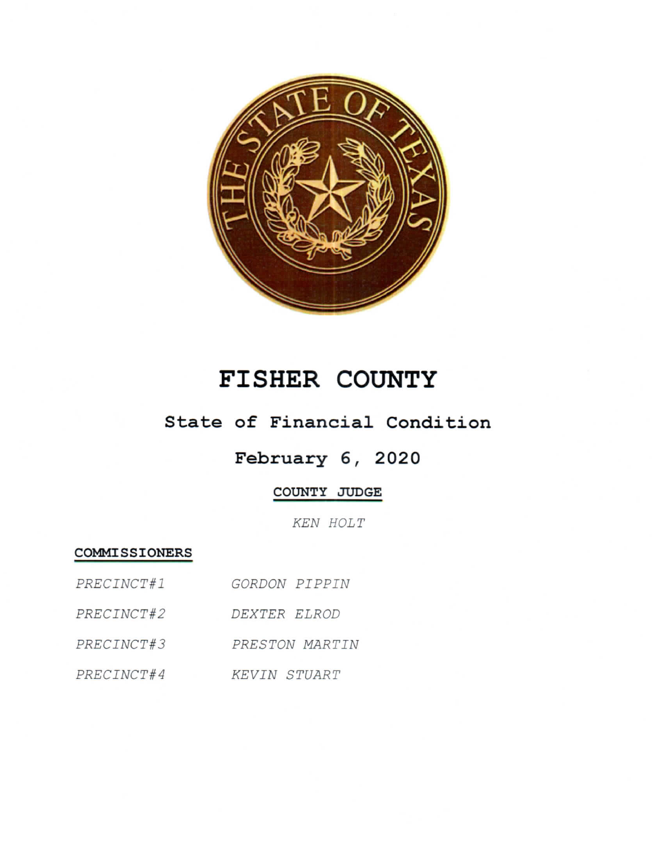

# FISHER COUNTY

### State of Financial Condition

## February 6, 2020

#### COUNTY JUDGE

KEN HOLT

#### COMMISSIONERS

| PRECINCT#1 | GORDON PIPPIN       |
|------------|---------------------|
| PRECINCT#2 | DEXTER ELROD        |
| PRECINCT#3 | PRESTON MARTIN      |
| PRECINCT#4 | <b>KEVIN STUART</b> |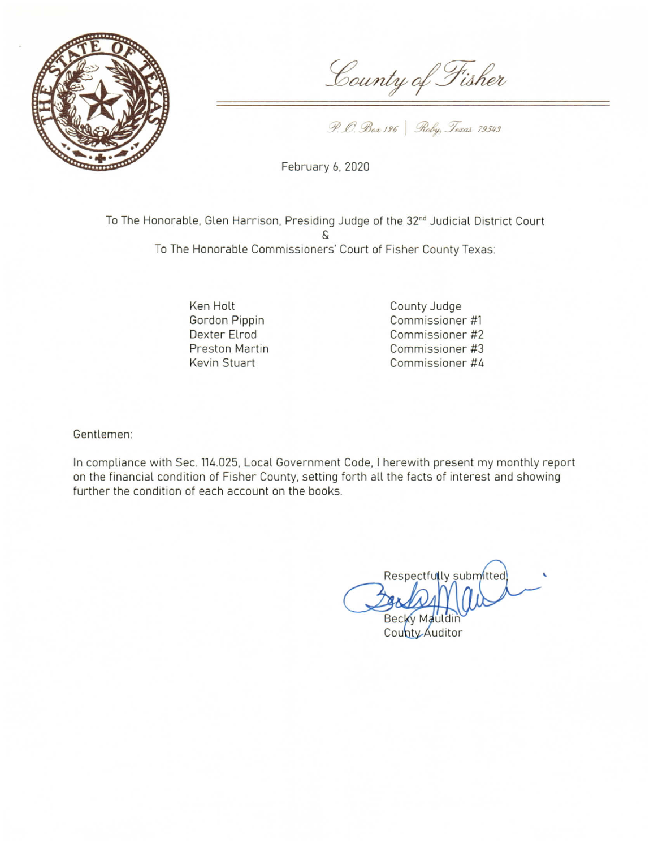

County of Fisher

P. O. Box 126 | Roby, Texas 79543

February 6, 2020

To The Honorable, Glen Harrison, Presiding Judge of the 32<sup>nd</sup> Judicial District Court To The Honorable Commissioners' Court of Fisher County Texas:

> Ken Holt Gordon Pippin Dexter Elrod **Preston Martin Kevin Stuart**

County Judge Commissioner #1 Commissioner #2 Commissioner #3 Commissioner #4

Gentlemen:

In compliance with Sec. 114.025, Local Government Code, I herewith present my monthly report on the financial condition of Fisher County, setting forth all the facts of interest and showing further the condition of each account on the books.

Respectfully submitted Becky Mauldin

County Auditor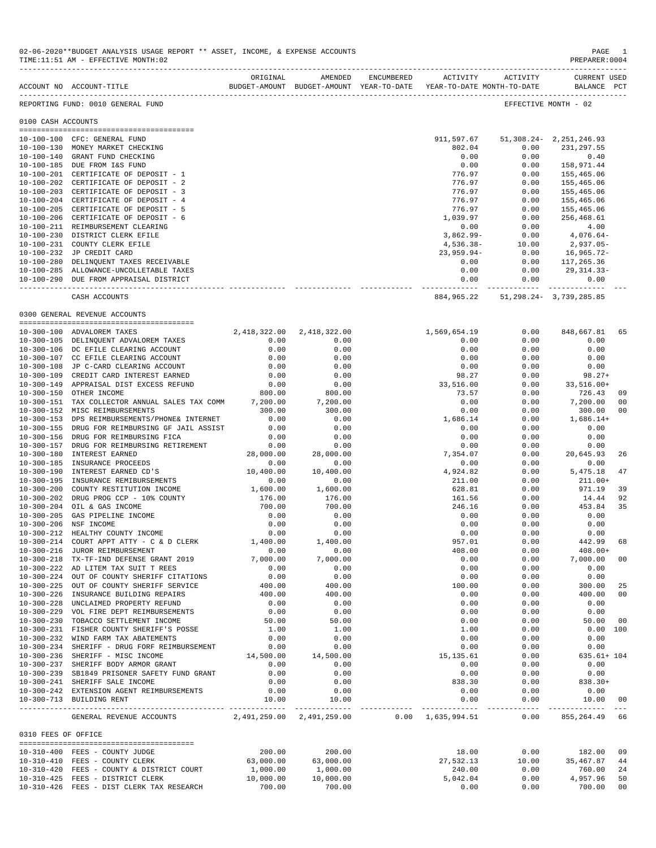|                     | ACCOUNT NO ACCOUNT-TITLE THE SUDGET-AMOUNT BUDGET-AMOUNT YEAR-TO-DATE YEAR-TO-DATE MONTH-TO-DATE | ORIGINAL                                    | AMENDED                        | ENCUMBERED | ACTIVITY         | ACTIVITY                                   | CURRENT USED<br>BALANCE PCT |                |
|---------------------|--------------------------------------------------------------------------------------------------|---------------------------------------------|--------------------------------|------------|------------------|--------------------------------------------|-----------------------------|----------------|
|                     | REPORTING FUND: 0010 GENERAL FUND                                                                |                                             |                                |            |                  |                                            | EFFECTIVE MONTH - 02        |                |
| 0100 CASH ACCOUNTS  |                                                                                                  |                                             |                                |            |                  |                                            |                             |                |
|                     |                                                                                                  |                                             |                                |            |                  |                                            |                             |                |
|                     | 10-100-100 CFC: GENERAL FUND                                                                     |                                             |                                |            |                  | 911,597.67 51,308.24 - 2,251,246.93        |                             |                |
|                     | 10-100-130 MONEY MARKET CHECKING                                                                 |                                             |                                |            | 802.04           | 0.00                                       | 231, 297.55                 |                |
| 10-100-140          | GRANT FUND CHECKING                                                                              |                                             |                                |            | 0.00             | 0.00                                       | 0.40                        |                |
|                     | 10-100-185 DUE FROM I&S FUND                                                                     |                                             |                                |            | 0.00             | 0.00                                       | 158,971.44                  |                |
|                     | 10-100-201 CERTIFICATE OF DEPOSIT - 1                                                            |                                             |                                |            | 776.97           | 0.00                                       | 155,465.06                  |                |
|                     | 10-100-202 CERTIFICATE OF DEPOSIT - 2                                                            |                                             |                                |            | 776.97           | 0.00                                       | 155,465.06                  |                |
|                     | 10-100-203 CERTIFICATE OF DEPOSIT - 3                                                            |                                             |                                |            | 776.97           | 0.00                                       | 155,465.06                  |                |
|                     | 10-100-204 CERTIFICATE OF DEPOSIT - 4                                                            |                                             |                                |            | 776.97           | 0.00                                       | 155,465.06                  |                |
|                     | 10-100-205 CERTIFICATE OF DEPOSIT - 5                                                            |                                             |                                |            | 776.97           | 0.00                                       | 155,465.06                  |                |
|                     | 10-100-206 CERTIFICATE OF DEPOSIT - 6                                                            |                                             |                                |            | 1,039.97         | 0.00                                       | 256,468.61                  |                |
|                     |                                                                                                  |                                             |                                |            |                  |                                            |                             |                |
|                     | 10-100-211 REIMBURSEMENT CLEARING                                                                |                                             |                                |            | 0.00             | 0.00                                       | 4.00                        |                |
|                     | 10-100-230 DISTRICT CLERK EFILE                                                                  |                                             |                                |            | $3,862.99 -$     | 0.00                                       | 4,076.64-                   |                |
|                     | 10-100-231 COUNTY CLERK EFILE                                                                    |                                             |                                |            | 4,536.38-        | 10.00                                      | 2,937.05-                   |                |
|                     | 10-100-232 JP CREDIT CARD                                                                        |                                             |                                |            | 23,959.94-       | 0.00                                       | 16,965.72-                  |                |
|                     | 10-100-280 DELINQUENT TAXES RECEIVABLE                                                           |                                             |                                |            | 0.00             | 0.00                                       | 117,265.36                  |                |
|                     | 10-100-285 ALLOWANCE-UNCOLLETABLE TAXES                                                          |                                             |                                |            | 0.00             | 0.00                                       | 29,314.33-                  |                |
|                     | 10-100-290 DUE FROM APPRAISAL DISTRICT                                                           |                                             |                                |            | 0.00             | 0.00                                       | 0.00                        |                |
|                     |                                                                                                  |                                             |                                |            | -------------    | 884, 965. 22 51, 298. 24 - 3, 739, 285. 85 | ------------ -------------- |                |
|                     | CASH ACCOUNTS                                                                                    |                                             |                                |            |                  |                                            |                             |                |
|                     | 0300 GENERAL REVENUE ACCOUNTS                                                                    |                                             |                                |            |                  |                                            |                             |                |
|                     | 10-300-100 ADVALOREM TAXES                                                                       | 2,418,322.00                                | 2,418,322.00                   |            | 1,569,654.19     | 0.00                                       | 848,667.81                  | 65             |
|                     | 10-300-105 DELINQUENT ADVALOREM TAXES                                                            | 0.00                                        | 0.00                           |            | 0.00             | 0.00                                       | 0.00                        |                |
|                     | 10-300-106 DC EFILE CLEARING ACCOUNT                                                             | 0.00                                        | 0.00                           |            | 0.00             | 0.00                                       | 0.00                        |                |
|                     | 10-300-107 CC EFILE CLEARING ACCOUNT                                                             | 0.00                                        | 0.00                           |            | 0.00             | 0.00                                       | 0.00                        |                |
|                     |                                                                                                  |                                             |                                |            |                  |                                            |                             |                |
|                     | 10-300-108 JP C-CARD CLEARING ACCOUNT                                                            | 0.00                                        | 0.00                           |            | 0.00             | 0.00                                       | 0.00                        |                |
| 10-300-109          | CREDIT CARD INTEREST EARNED                                                                      | 0.00                                        | 0.00                           |            | 98.27            | 0.00                                       | $98.27+$                    |                |
|                     | 10-300-149 APPRAISAL DIST EXCESS REFUND                                                          | 0.00                                        | 0.00                           |            | 33,516.00        | 0.00                                       | $33,516.00+$                |                |
|                     | 10-300-150 OTHER INCOME                                                                          | 800.00                                      | 800.00                         |            | 73.57            | 0.00                                       | 726.43                      | 09             |
|                     | 10-300-151 TAX COLLECTOR ANNUAL SALES TAX COMM 7,200.00                                          |                                             | 7,200.00                       |            | 0.00             | 0.00                                       | 7,200.00                    | 0 <sub>0</sub> |
|                     | 10-300-152 MISC REIMBURSEMENTS                                                                   | 300.00                                      | 300.00                         |            | 0.00             | 0.00                                       | 300.00                      | 0 <sub>0</sub> |
| $10 - 300 - 153$    | DPS REIMBURSEMENTS/PHONE& INTERNET                                                               | 0.00                                        | 0.00                           |            | 1,686.14         | 0.00                                       | $1,686.14+$                 |                |
| $10 - 300 - 155$    | DRUG FOR REIMBURSING GF JAIL ASSIST                                                              | 0.00                                        | 0.00                           |            | 0.00             | 0.00                                       | 0.00                        |                |
| 10-300-156          | DRUG FOR REIMBURSING FICA                                                                        | 0.00                                        | 0.00                           |            | 0.00             | 0.00                                       | 0.00                        |                |
| $10 - 300 - 157$    | DRUG FOR REIMBURSING RETIREMENT                                                                  | 0.00                                        | 0.00                           |            | 0.00             | 0.00                                       | 0.00                        |                |
| $10 - 300 - 180$    | INTEREST EARNED                                                                                  | 28,000.00                                   | 28,000.00                      |            | 7,354.07         | 0.00                                       | 20,645.93                   | 26             |
|                     | 10-300-185 INSURANCE PROCEEDS                                                                    | 0.00                                        |                                |            | 0.00             |                                            | 0.00                        |                |
|                     |                                                                                                  |                                             | 0.00                           |            |                  | 0.00                                       |                             |                |
| 10-300-190          | INTEREST EARNED CD'S                                                                             | 10,400.00                                   | 10,400.00                      |            | 4,924.82         | 0.00                                       | 5,475.18                    | 47             |
| $10 - 300 - 195$    | INSURANCE REMIBURSEMENTS                                                                         | 0.00                                        | 0.00                           |            | 211.00           | 0.00                                       | $211.00+$                   |                |
| $10 - 300 - 200$    | COUNTY RESTITUTION INCOME                                                                        | 1,600.00                                    | 1,600.00                       |            | 628.81           | 0.00                                       | 971.19                      | 39             |
|                     | 10-300-202 DRUG PROG CCP - 10% COUNTY                                                            | 176.00                                      | 176.00                         |            | 161.56           | 0.00                                       | 14.44                       | 92             |
| $10 - 300 - 204$    | OIL & GAS INCOME                                                                                 | 700.00                                      | 700.00                         |            | 246.16           | 0.00                                       | 453.84                      | 35             |
| $10 - 300 - 205$    | GAS PIPELINE INCOME                                                                              | 0.00                                        | 0.00                           |            | 0.00             | 0.00                                       | 0.00                        |                |
| $10 - 300 - 206$    | NSF INCOME                                                                                       |                                             | 0.00                           |            | 0.00             | 0.00                                       | 0.00                        |                |
| 10-300-212          | HEALTHY COUNTY INCOME                                                                            | $\begin{array}{c} 0.00 \\ 0.00 \end{array}$ | 0.00                           |            | 0.00             | 0.00                                       | 0.00                        |                |
| $10 - 300 - 214$    | COURT APPT ATTY - C & D CLERK                                                                    | 1,400.00                                    | 1,400.00                       |            | 957.01           | 0.00                                       | 442.99                      | 68             |
| $10 - 300 - 216$    | JUROR REIMBURSEMENT                                                                              | 0.00                                        | 0.00                           |            | 408.00           | 0.00                                       | $408.00+$                   |                |
| $10 - 300 - 218$    | TX-TF-IND DEFENSE GRANT 2019                                                                     | 7,000.00                                    | 7,000.00                       |            | 0.00             | 0.00                                       | 7,000.00                    | 00             |
|                     | 10-300-222 AD LITEM TAX SUIT T REES                                                              | 0.00                                        | 0.00                           |            | 0.00             | 0.00                                       | 0.00                        |                |
|                     |                                                                                                  |                                             | 0.00                           |            |                  |                                            |                             |                |
|                     | 10-300-224 OUT OF COUNTY SHERIFF CITATIONS                                                       | 0.00                                        |                                |            | 0.00             | 0.00                                       | 0.00                        |                |
|                     | 10-300-225 OUT OF COUNTY SHERIFF SERVICE                                                         | 400.00                                      | 400.00                         |            | 100.00           | 0.00                                       | 300.00                      | 25             |
|                     | 10-300-226 INSURANCE BUILDING REPAIRS                                                            | 400.00                                      | 400.00                         |            | 0.00             | 0.00                                       | 400.00                      | 00             |
| $10 - 300 - 228$    | UNCLAIMED PROPERTY REFUND                                                                        | 0.00                                        | 0.00                           |            | 0.00             | 0.00                                       | 0.00                        |                |
|                     | 10-300-229 VOL FIRE DEPT REIMBURSEMENTS                                                          | 0.00                                        | 0.00                           |            | 0.00             | 0.00                                       | 0.00                        |                |
|                     | 10-300-230 TOBACCO SETTLEMENT INCOME                                                             | 50.00                                       | 50.00                          |            | 0.00             | 0.00                                       | 50.00                       | - 00           |
|                     | 10-300-231 FISHER COUNTY SHERIFF'S POSSE                                                         | 1.00                                        | 1.00                           |            | 1.00             | 0.00                                       | 0.00 100                    |                |
|                     | 10-300-232 WIND FARM TAX ABATEMENTS                                                              | 0.00                                        | 0.00                           |            | 0.00             | 0.00                                       | 0.00                        |                |
|                     | 10-300-234 SHERIFF - DRUG FORF REIMBURSEMENT                                                     | 0.00                                        | 0.00                           |            | 0.00             | 0.00                                       | 0.00                        |                |
|                     | 10-300-236 SHERIFF - MISC INCOME                                                                 | 14,500.00                                   | 14,500.00                      |            | 15, 135.61       | 0.00                                       | 635.61+ 104                 |                |
|                     |                                                                                                  |                                             |                                |            |                  |                                            |                             |                |
|                     | 10-300-237 SHERIFF BODY ARMOR GRANT                                                              | 0.00                                        | 0.00                           |            | 0.00             | 0.00                                       | 0.00                        |                |
|                     | 10-300-239 SB1849 PRISONER SAFETY FUND GRANT                                                     | 0.00                                        | 0.00                           |            | 0.00             | 0.00                                       | 0.00                        |                |
|                     | 10-300-241 SHERIFF SALE INCOME                                                                   | 0.00                                        | 0.00                           |            | 838.30           | 0.00                                       | $838.30+$                   |                |
|                     | 10-300-242 EXTENSION AGENT REIMBURSEMENTS<br>10-300-713 BUILDING RENT                            | 0.00<br>10.00                               | 0.00<br>10.00                  |            | 0.00<br>0.00     | 0.00<br>0.00                               | 0.00<br>10.00               | 00             |
|                     |                                                                                                  |                                             | ------------------------------ |            | ________________ | -----------                                |                             |                |
|                     | GENERAL REVENUE ACCOUNTS 2,491,259.00 2,491,259.00 0.00 1,635,994.51                             |                                             |                                |            |                  | 0.00                                       | 855, 264.49 66              |                |
| 0310 FEES OF OFFICE |                                                                                                  |                                             |                                |            |                  |                                            |                             |                |
|                     | 10-310-400 FEES - COUNTY JUDGE                                                                   | 200.00                                      | 200.00                         |            | 18.00            | 0.00                                       | 182.00                      | 09             |
|                     | 10-310-410 FEES - COUNTY CLERK                                                                   | 63,000.00                                   | 63,000.00                      |            | 27,532.13        | 10.00                                      | 35,467.87                   | 44             |
|                     | 10-310-420 FEES - COUNTY & DISTRICT COURT                                                        | 1,000.00                                    | 1,000.00                       |            | 240.00           | 0.00                                       | 760.00                      | 24             |
|                     | 10-310-425 FEES - DISTRICT CLERK                                                                 | 10,000.00                                   | 10,000.00                      |            | 5,042.04         | 0.00                                       | 4,957.96                    | 50             |
|                     | 10-310-426 FEES - DIST CLERK TAX RESEARCH                                                        | 700.00                                      | 700.00                         |            | 0.00             | 0.00                                       | 700.00                      | 00             |

02-06-2020\*\*BUDGET ANALYSIS USAGE REPORT \*\* ASSET, INCOME, & EXPENSE ACCOUNTS PAGE 1<br>TIME:11:51 AM - EFFECTIVE MONTH:02

TIME:11:51 AM - EFFECTIVE MONTH:02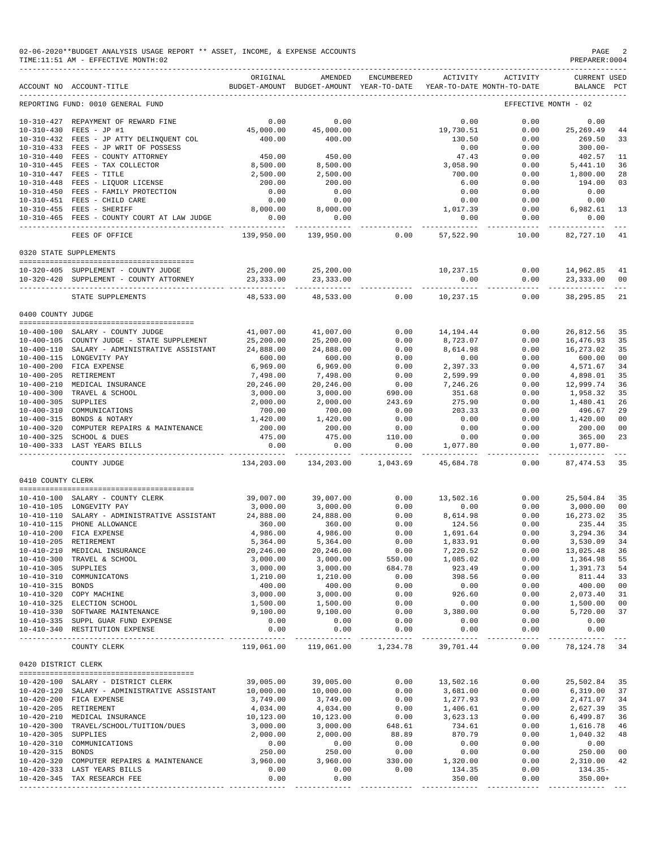|                     | 02-06-2020**BUDGET ANALYSIS USAGE REPORT ** ASSET, INCOME, & EXPENSE ACCOUNTS<br>TIME: 11:51 AM - EFFECTIVE MONTH: 02 |                           |                                                     |                         |                          |                                        | PAGE<br>PREPARER: 0004             |                   |
|---------------------|-----------------------------------------------------------------------------------------------------------------------|---------------------------|-----------------------------------------------------|-------------------------|--------------------------|----------------------------------------|------------------------------------|-------------------|
|                     | ACCOUNT NO ACCOUNT-TITLE                                                                                              | ORIGINAL                  | AMENDED<br>BUDGET-AMOUNT BUDGET-AMOUNT YEAR-TO-DATE | ENCUMBERED              | ACTIVITY                 | ACTIVITY<br>YEAR-TO-DATE MONTH-TO-DATE | <b>CURRENT USED</b><br>BALANCE PCT |                   |
|                     | REPORTING FUND: 0010 GENERAL FUND                                                                                     |                           |                                                     |                         |                          |                                        | EFFECTIVE MONTH - 02               |                   |
| $10 - 310 - 430$    | 10-310-427 REPAYMENT OF REWARD FINE<br>$FEES - JP$ #1                                                                 | 0.00<br>45,000.00         | 0.00<br>45,000.00                                   |                         | 0.00<br>19,730.51        | 0.00<br>0.00                           | 0.00<br>25, 269.49                 | 44                |
|                     | 10-310-432 FEES - JP ATTY DELINQUENT COL                                                                              | 400.00                    | 400.00                                              |                         | 130.50                   | 0.00                                   | 269.50                             | 33                |
|                     | 10-310-433 FEES - JP WRIT OF POSSESS<br>10-310-440 FEES - COUNTY ATTORNEY                                             | 450.00                    | 450.00                                              |                         | 0.00<br>47.43            | 0.00<br>0.00                           | $300.00 -$<br>402.57               | 11                |
|                     | 10-310-445 FEES - TAX COLLECTOR                                                                                       | 8,500.00                  | 8,500.00                                            |                         | 3,058.90                 | 0.00                                   | 5,441.10                           | 36                |
|                     | 10-310-447 FEES - TITLE                                                                                               | 2,500.00                  | 2,500.00                                            |                         | 700.00                   | 0.00                                   | 1,800.00                           | 28                |
|                     | 10-310-448 FEES - LIQUOR LICENSE                                                                                      | 200.00                    | 200.00                                              |                         | 6.00                     | 0.00                                   | 194.00                             | 03                |
|                     | 10-310-450 FEES - FAMILY PROTECTION                                                                                   | 0.00                      | 0.00                                                |                         | 0.00                     | 0.00                                   | 0.00                               |                   |
|                     | 10-310-451 FEES - CHILD CARE                                                                                          | 0.00                      | 0.00                                                |                         | 0.00                     | 0.00                                   | 0.00                               |                   |
|                     | 10-310-455 FEES - SHERIFF                                                                                             | 8,000.00                  | 8,000.00                                            |                         | 1,017.39                 | 0.00                                   | 6,982.61                           | 13                |
|                     | 10-310-465 FEES - COUNTY COURT AT LAW JUDGE                                                                           | 0.00<br>$- - - - - -$     | 0.00                                                |                         | 0.00                     | 0.00                                   | 0.00                               |                   |
|                     | FEES OF OFFICE                                                                                                        | 139,950.00                | 139,950.00                                          | 0.00                    | 57,522.90                | 10.00                                  | 82,727.10                          | 41                |
|                     | 0320 STATE SUPPLEMENTS                                                                                                |                           |                                                     |                         |                          |                                        |                                    |                   |
|                     | 10-320-405 SUPPLEMENT - COUNTY JUDGE                                                                                  | 25,200.00                 | 25,200.00                                           |                         | 10,237.15                | 0.00                                   | 14,962.85                          | 41                |
|                     | 10-320-420 SUPPLEMENT - COUNTY ATTORNEY                                                                               | 23, 333.00<br>----------- | 23, 333.00                                          |                         | 0.00                     | 0.00<br>--------                       | 23,333.00                          | 00<br>$\sim$ $ -$ |
|                     | STATE SUPPLEMENTS                                                                                                     | 48,533.00                 | 48,533.00                                           | 0.00                    | 10,237.15                | 0.00                                   | 38, 295.85                         | 21                |
| 0400 COUNTY JUDGE   |                                                                                                                       |                           |                                                     |                         |                          |                                        |                                    |                   |
|                     |                                                                                                                       |                           |                                                     |                         |                          |                                        |                                    |                   |
|                     | 10-400-100 SALARY - COUNTY JUDGE                                                                                      | 41,007.00                 | 41,007.00                                           | 0.00                    | 14, 194. 44              | 0.00                                   | 26,812.56                          | 35                |
|                     | 10-400-105 COUNTY JUDGE - STATE SUPPLEMENT                                                                            | 25,200.00                 | 25,200.00<br>24,888.00                              | 0.00                    | 8,723.07                 | 0.00                                   | 16,476.93                          | 35                |
|                     | 10-400-110 SALARY - ADMINISTRATIVE ASSISTANT<br>10-400-115 LONGEVITY PAY                                              | 24,888.00<br>600.00       | 600.00                                              | 0.00<br>0.00            | 8,614.98<br>0.00         | 0.00<br>0.00                           | 16,273.02<br>600.00                | 35<br>00          |
|                     | 10-400-200 FICA EXPENSE                                                                                               | 6,969.00                  | 6,969.00                                            | 0.00                    | 2,397.33                 | 0.00                                   | 4,571.67                           | 34                |
| $10 - 400 - 205$    | RETIREMENT                                                                                                            | 7,498.00                  | 7,498.00                                            | 0.00                    | 2,599.99                 | 0.00                                   | 4,898.01                           | 35                |
|                     | 10-400-210 MEDICAL INSURANCE                                                                                          | 20,246.00                 | 20,246.00                                           | 0.00                    | 7,246.26                 | 0.00                                   | 12,999.74                          | 36                |
| $10 - 400 - 300$    | TRAVEL & SCHOOL                                                                                                       | 3,000.00                  | 3,000.00                                            | 690.00                  | 351.68                   | 0.00                                   | 1,958.32                           | 35                |
| $10 - 400 - 305$    | SUPPLIES                                                                                                              | 2,000.00                  | 2,000.00                                            | 243.69                  | 275.90                   | 0.00                                   | 1,480.41                           | 26                |
|                     | 10-400-310 COMMUNICATIONS                                                                                             | 700.00                    | 700.00                                              | 0.00                    | 203.33                   | 0.00                                   | 496.67                             | 29                |
| $10 - 400 - 320$    | 10-400-315 BONDS & NOTARY<br>COMPUTER REPAIRS & MAINTENANCE                                                           | 1,420.00<br>200.00        | 1,420.00<br>200.00                                  | 0.00<br>0.00            | 0.00<br>0.00             | 0.00<br>0.00                           | 1,420.00<br>200.00                 | 00<br>00          |
| $10 - 400 - 325$    | SCHOOL & DUES                                                                                                         | 475.00                    | 475.00                                              | 110.00                  | 0.00                     | 0.00                                   | 365.00                             | 23                |
|                     | 10-400-333 LAST YEARS BILLS                                                                                           | 0.00                      | 0.00                                                | 0.00                    | 1,077.80                 | 0.00                                   | $1,077.80-$                        |                   |
|                     | COUNTY JUDGE                                                                                                          | 134,203.00                | 134,203.00                                          | 1,043.69                | 45,684.78                | 0.00                                   | 87, 474.53                         | 35                |
| 0410 COUNTY CLERK   |                                                                                                                       |                           |                                                     |                         |                          |                                        |                                    |                   |
|                     |                                                                                                                       |                           |                                                     |                         |                          |                                        |                                    |                   |
|                     | 10-410-100 SALARY - COUNTY CLERK<br>10-410-105 LONGEVITY PAY                                                          | 39,007.00<br>3,000.00     | 39,007.00<br>3,000.00                               | 0.00<br>0.00            | 13,502.16<br>0.00        | 0.00<br>0.00                           | 25,504.84<br>3,000.00              | 35<br>00          |
| $10 - 410 - 110$    | SALARY - ADMINISTRATIVE ASSISTANT                                                                                     | 24,888.00                 | 24,888.00                                           | 0.00                    | 8,614.98                 | 0.00                                   | 16,273.02                          | 35                |
| 10-410-115          | PHONE ALLOWANCE                                                                                                       | 360.00                    | 360.00                                              | 0.00                    | 124.56                   | 0.00                                   | 235.44                             | 35                |
|                     | 10-410-200 FICA EXPENSE                                                                                               | 4,986.00                  | 4,986.00                                            | 0.00                    | 1,691.64                 | 0.00                                   | 3,294.36                           | 34                |
|                     | 10-410-205 RETIREMENT                                                                                                 | 5,364.00                  | 5,364.00                                            | 0.00                    | 1,833.91                 | 0.00                                   | 3,530.09                           | 34                |
|                     | 10-410-210 MEDICAL INSURANCE                                                                                          | 20,246.00                 | 20,246.00                                           | 0.00                    | 7,220.52                 | 0.00                                   | 13,025.48                          | 36                |
|                     | 10-410-300 TRAVEL & SCHOOL                                                                                            | 3,000.00                  | 3,000.00                                            | 550.00                  | 1,085.02                 | 0.00                                   | 1,364.98                           | 55                |
| 10-410-305 SUPPLIES | 10-410-310 COMMUNICATONS                                                                                              | 3,000.00<br>1,210.00      | 3,000.00<br>1,210.00                                | 684.78<br>0.00          | 923.49<br>398.56         | 0.00<br>0.00                           | 1,391.73<br>811.44                 | 54<br>33          |
| 10-410-315 BONDS    |                                                                                                                       | 400.00                    | 400.00                                              | 0.00                    | 0.00                     | 0.00                                   | 400.00                             | 00                |
|                     | 10-410-320 COPY MACHINE                                                                                               | 3,000.00                  | 3,000.00                                            | 0.00                    | 926.60                   | 0.00                                   | 2,073.40                           | 31                |
|                     | 10-410-325 ELECTION SCHOOL                                                                                            | 1,500.00                  | 1,500.00                                            | 0.00                    | 0.00                     | 0.00                                   | 1,500.00                           | 00                |
|                     | 10-410-330 SOFTWARE MAINTENANCE                                                                                       | 9,100.00                  | 9,100.00                                            | 0.00                    | 3,380.00                 | 0.00                                   | 5,720.00                           | 37                |
|                     | 10-410-335 SUPPL GUAR FUND EXPENSE<br>10-410-340 RESTITUTION EXPENSE                                                  | 0.00<br>0.00              | 0.00<br>0.00                                        | 0.00<br>0.00            | 0.00<br>0.00             | 0.00<br>0.00                           | 0.00<br>0.00                       |                   |
|                     | ----------------------------------<br>COUNTY CLERK                                                                    | ----------<br>119,061.00  | -----------<br>119,061.00                           | -----------<br>1,234.78 | -----------<br>39,701.44 | .<br>0.00                              | -----------<br>78, 124. 78 34      |                   |
|                     |                                                                                                                       |                           |                                                     |                         |                          |                                        |                                    |                   |
| 0420 DISTRICT CLERK |                                                                                                                       |                           |                                                     |                         |                          |                                        |                                    |                   |
|                     | 10-420-100 SALARY - DISTRICT CLERK                                                                                    | 39,005.00                 | 39,005.00                                           | 0.00                    | 13,502.16                | 0.00                                   | 25,502.84                          | 35                |
|                     | 10-420-120 SALARY - ADMINISTRATIVE ASSISTANT                                                                          | 10,000.00                 | 10,000.00                                           | 0.00                    | 3,681.00                 | 0.00                                   | 6,319.00                           | 37                |
|                     | 10-420-200 FICA EXPENSE                                                                                               | 3,749.00                  | 3,749.00                                            | 0.00                    | 1,277.93                 | 0.00                                   | 2,471.07                           | 34                |
|                     | 10-420-205 RETIREMENT<br>10-420-210 MEDICAL INSURANCE                                                                 | 4,034.00<br>10,123.00     | 4,034.00<br>10,123.00                               | 0.00<br>0.00            | 1,406.61<br>3,623.13     | 0.00<br>0.00                           | 2,627.39                           | 35<br>36          |
|                     | 10-420-300 TRAVEL/SCHOOL/TUITION/DUES                                                                                 | 3,000.00                  | 3,000.00                                            | 648.61                  | 734.61                   | 0.00                                   | 6,499.87<br>1,616.78               | 46                |
| 10-420-305 SUPPLIES |                                                                                                                       | 2,000.00                  | 2,000.00                                            | 88.89                   | 870.79                   | 0.00                                   | 1,040.32                           | 48                |
|                     | 10-420-310 COMMUNICATIONS                                                                                             | 0.00                      | 0.00                                                | 0.00                    | 0.00                     | 0.00                                   | 0.00                               |                   |
| 10-420-315 BONDS    |                                                                                                                       | 250.00                    | 250.00                                              | 0.00                    | 0.00                     | 0.00                                   | 250.00                             | 00                |
|                     | 10-420-320 COMPUTER REPAIRS & MAINTENANCE                                                                             | 3,960.00                  | 3,960.00                                            | 330.00                  | 1,320.00                 | 0.00                                   | 2,310.00                           | 42                |
|                     | 10-420-333 LAST YEARS BILLS                                                                                           | 0.00                      | 0.00                                                | 0.00                    | 134.35                   | 0.00                                   | $134.35-$                          |                   |
|                     | 10-420-345 TAX RESEARCH FEE                                                                                           | 0.00                      | 0.00<br>-----------                                 |                         | 350.00                   | 0.00                                   | $350.00+$                          |                   |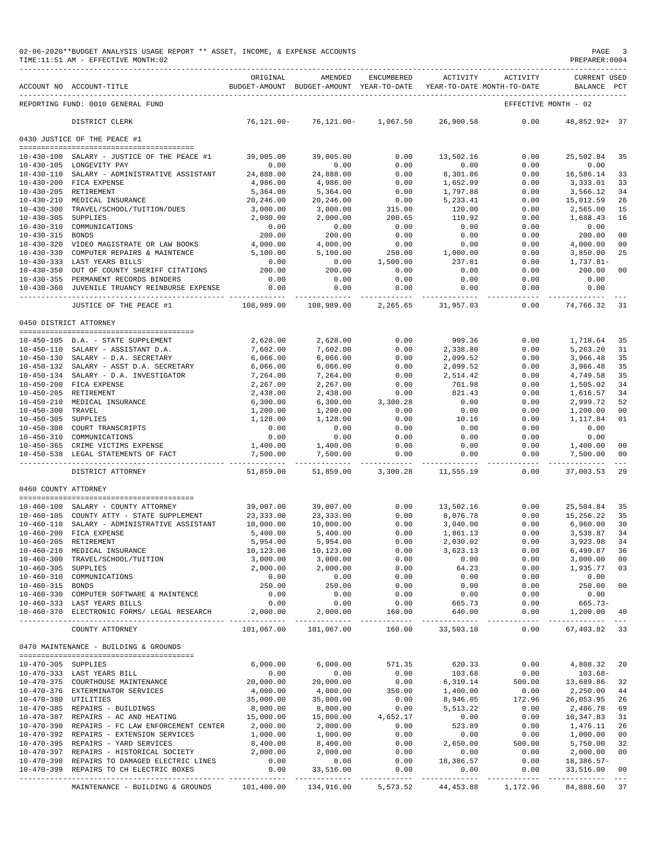|                      | 02-06-2020**BUDGET ANALYSIS USAGE REPORT ** ASSET, INCOME, & EXPENSE ACCOUNTS<br>TIME:11:51 AM - EFFECTIVE MONTH:02 |                            |                                                     |                                   |                    |                                        | PAGE<br>PREPARER: 0004             |                           |
|----------------------|---------------------------------------------------------------------------------------------------------------------|----------------------------|-----------------------------------------------------|-----------------------------------|--------------------|----------------------------------------|------------------------------------|---------------------------|
|                      | ACCOUNT NO ACCOUNT-TITLE                                                                                            | ORIGINAL                   | AMENDED<br>BUDGET-AMOUNT BUDGET-AMOUNT YEAR-TO-DATE | ENCUMBERED                        | <b>ACTIVITY</b>    | ACTIVITY<br>YEAR-TO-DATE MONTH-TO-DATE | <b>CURRENT USED</b><br>BALANCE PCT |                           |
|                      | REPORTING FUND: 0010 GENERAL FUND                                                                                   |                            |                                                     |                                   |                    |                                        | EFFECTIVE MONTH - 02               |                           |
|                      | DISTRICT CLERK                                                                                                      | $76, 121.00 -$             | $76,121.00 -$                                       | 1,067.50                          | 26,900.58          | 0.00                                   | 48,852.92+ 37                      |                           |
|                      | 0430 JUSTICE OF THE PEACE #1                                                                                        |                            |                                                     |                                   |                    |                                        |                                    |                           |
|                      | 10-430-100 SALARY - JUSTICE OF THE PEACE #1                                                                         | 39,005.00                  | 39,005.00                                           | 0.00                              | 13,502.16          | 0.00                                   | 25,502.84                          | 35                        |
|                      | 10-430-105 LONGEVITY PAY                                                                                            | 0.00                       | 0.00                                                | 0.00                              | 0.00               | 0.00                                   | 0.00                               |                           |
|                      | 10-430-110 SALARY - ADMINISTRATIVE ASSISTANT                                                                        | 24,888.00                  | 24,888.00                                           | 0.00                              | 8,301.86           | 0.00                                   | 16,586.14                          | 33                        |
|                      | 10-430-200 FICA EXPENSE                                                                                             | 4,986.00                   | 4,986.00                                            | 0.00                              | 1,652.99           | 0.00                                   | 3,333.01                           | 33                        |
|                      | 10-430-205 RETIREMENT                                                                                               | 5,364.00                   | 5,364.00                                            | 0.00                              | 1,797.88           | 0.00                                   | 3,566.12                           | 34                        |
|                      | 10-430-210 MEDICAL INSURANCE<br>10-430-300 TRAVEL/SCHOOL/TUITION/DUES                                               | 20,246.00<br>3,000.00      | 20,246.00<br>3,000.00                               | 0.00<br>315.00                    | 5,233.41<br>120.00 | 0.00<br>0.00                           | 15,012.59<br>2,565.00              | 26<br>15                  |
| 10-430-305 SUPPLIES  |                                                                                                                     | 2,000.00                   | 2,000.00                                            | 200.65                            | 110.92             | 0.00                                   | 1,688.43                           | 16                        |
|                      | 10-430-310 COMMUNICATIONS                                                                                           | 0.00                       | 0.00                                                | 0.00                              | 0.00               | 0.00                                   | 0.00                               |                           |
| 10-430-315 BONDS     |                                                                                                                     | 200.00                     | 200.00                                              | 0.00                              | 0.00               | 0.00                                   | 200.00                             | 0 <sub>0</sub>            |
|                      | 10-430-320 VIDEO MAGISTRATE OR LAW BOOKS                                                                            | 4,000.00                   | 4,000.00                                            | 0.00                              | 0.00               | 0.00                                   | 4,000.00                           | 0 <sub>0</sub>            |
|                      | 10-430-330 COMPUTER REPAIRS & MAINTENCE                                                                             | 5,100.00                   | 5,100.00                                            | 250.00                            | 1,000.00           | 0.00                                   | 3,850.00                           | 25                        |
|                      | 10-430-333 LAST YEARS BILLS                                                                                         | 0.00<br>200.00             | 0.00<br>200.00                                      | 1,500.00                          | 237.81             | 0.00                                   | 1,737.81-                          |                           |
|                      | 10-430-350 OUT OF COUNTY SHERIFF CITATIONS<br>10-430-355 PERMANENT RECORDS BINDERS                                  | 0.00                       | 0.00                                                | 0.00<br>0.00                      | 0.00<br>0.00       | 0.00<br>0.00                           | 200.00<br>0.00                     | 0 <sub>0</sub>            |
|                      | 10-430-360 JUVENILE TRUANCY REINBURSE EXPENSE                                                                       | 0.00                       | 0.00                                                | 0.00                              | 0.00               | 0.00                                   | 0.00                               |                           |
|                      |                                                                                                                     | ----------                 | ------------                                        | . <u>.</u>                        |                    | $- - - - - - -$                        | -----------                        |                           |
|                      | JUSTICE OF THE PEACE #1                                                                                             | 108,989.00                 | 108,989.00                                          | 2,265.65                          | 31,957.03          | 0.00                                   | 74,766.32                          | 31                        |
|                      | 0450 DISTRICT ATTORNEY                                                                                              |                            |                                                     |                                   |                    |                                        |                                    |                           |
|                      | 10-450-105 D.A. - STATE SUPPLEMENT                                                                                  | 2,628.00                   | 2,628.00                                            | 0.00                              | 909.36             | 0.00                                   | 1,718.64                           | 35                        |
|                      | 10-450-110 SALARY - ASSISTANT D.A.                                                                                  | 7,602.00                   | 7,602.00                                            | 0.00                              | 2,338.80           | 0.00                                   | 5,263.20                           | 31                        |
|                      | 10-450-130 SALARY - D.A. SECRETARY                                                                                  | 6,066.00                   | 6,066.00                                            | 0.00                              | 2,099.52           | 0.00                                   | 3,966.48                           | 35                        |
|                      | 10-450-132 SALARY - ASST D.A. SECRETARY                                                                             | 6,066.00                   | 6,066.00                                            | 0.00                              | 2,099.52           | 0.00                                   | 3,966.48                           | 35                        |
|                      | 10-450-134 SALARY - D.A. INVESTIGATOR                                                                               | 7,264.00                   | 7,264.00                                            | 0.00                              | 2,514.42           | 0.00                                   | 4,749.58                           | 35                        |
|                      | 10-450-200 FICA EXPENSE                                                                                             | 2,267.00                   | 2,267.00                                            | 0.00                              | 761.98             | 0.00                                   | 1,505.02                           | 34                        |
|                      | 10-450-205 RETIREMENT                                                                                               | 2,438.00                   | 2,438.00                                            | 0.00                              | 821.43             | 0.00                                   | 1,616.57                           | 34                        |
| 10-450-300 TRAVEL    | 10-450-210 MEDICAL INSURANCE                                                                                        | 6,300.00<br>1,200.00       | 6,300.00<br>1,200.00                                | 3,300.28<br>0.00                  | 0.00<br>0.00       | 0.00<br>0.00                           | 2,999.72<br>1,200.00               | 52<br>0 <sub>0</sub>      |
| 10-450-305 SUPPLIES  |                                                                                                                     | 1,128.00                   | 1,128.00                                            | 0.00                              | 10.16              | 0.00                                   | 1,117.84                           | 01                        |
|                      | 10-450-308 COURT TRANSCRIPTS                                                                                        | 0.00                       | 0.00                                                | 0.00                              | 0.00               | 0.00                                   | 0.00                               |                           |
|                      | 10-450-310 COMMUNICATIONS                                                                                           | 0.00                       | 0.00                                                | 0.00                              | 0.00               | 0.00                                   | 0.00                               |                           |
|                      | 10-450-365 CRIME VICTIMS EXPENSE                                                                                    | 1,400.00                   | 1,400.00                                            | 0.00                              | 0.00               | 0.00                                   | 1,400.00                           | 0 <sub>0</sub>            |
|                      | 10-450-538 LEGAL STATEMENTS OF FACT                                                                                 | 7,500.00<br>______________ | 7,500.00                                            | 0.00<br>------------ ------------ | 0.00               | 0.00<br>----------                     | 7,500.00<br>------------           | 0 <sub>0</sub><br>$- - -$ |
|                      | DISTRICT ATTORNEY                                                                                                   | 51,859.00                  | 51,859.00                                           | 3,300.28                          | 11,555.19          | 0.00                                   | 37,003.53                          | 29                        |
| 0460 COUNTY ATTORNEY |                                                                                                                     |                            |                                                     |                                   |                    |                                        |                                    |                           |
|                      | 10-460-100 SALARY - COUNTY ATTORNEY                                                                                 | 39,007.00                  | 39,007.00                                           | 0.00                              | 13,502.16          | 0.00                                   | 25,504.84                          | 35                        |
|                      | 10-460-105 COUNTY ATTY - STATE SUPPLEMENT                                                                           | 23, 333.00                 | 23, 333.00                                          | 0.00                              | 8,076.78           | 0.00                                   | 15,256.22                          | 35                        |
|                      | 10-460-110 SALARY - ADMINISTRATIVE ASSISTANT                                                                        | 10,000.00                  | 10,000.00                                           | 0.00                              | 3,040.00           | 0.00                                   | 6,960.00                           | 30                        |
|                      | 10-460-200 FICA EXPENSE                                                                                             | 5,400.00                   | 5,400.00                                            | 0.00                              | 1,861.13           | 0.00                                   | 3,538.87                           | 34                        |
|                      | 10-460-205 RETIREMENT                                                                                               | 5,954.00                   | 5,954.00                                            | 0.00                              | 2,030.02           | 0.00                                   | 3,923.98                           | 34                        |
|                      | 10-460-210 MEDICAL INSURANCE<br>10-460-300 TRAVEL/SCHOOL/TUITION                                                    | 10,123.00<br>3,000.00      | 10,123.00<br>3,000.00                               | 0.00<br>0.00                      | 3,623.13<br>0.00   | 0.00<br>0.00                           | 6,499.87<br>3,000.00               | 36<br>0 <sub>0</sub>      |
| 10-460-305 SUPPLIES  |                                                                                                                     | 2,000.00                   | 2,000.00                                            | 0.00                              | 64.23              | 0.00                                   | 1,935.77                           | 03                        |
| $10 - 460 - 310$     | COMMUNICATIONS                                                                                                      | 0.00                       | 0.00                                                | 0.00                              | 0.00               | 0.00                                   | 0.00                               |                           |
| 10-460-315 BONDS     |                                                                                                                     | 250.00                     | 250.00                                              | 0.00                              | 0.00               | 0.00                                   | 250.00                             | 0 <sub>0</sub>            |
|                      | 10-460-330 COMPUTER SOFTWARE & MAINTENCE                                                                            | 0.00                       | 0.00                                                | 0.00                              | 0.00               | 0.00                                   | 0.00                               |                           |
|                      | 10-460-333 LAST YEARS BILLS                                                                                         | 0.00                       | 0.00                                                | 0.00                              | 665.73             | 0.00                                   | $665.73-$                          |                           |
|                      | 10-460-370 ELECTRONIC FORMS/ LEGAL RESEARCH                                                                         | 2,000.00                   | 2,000.00                                            | 160.00                            | 640.00             | 0.00                                   | 1,200.00                           | -40                       |
|                      | COUNTY ATTORNEY                                                                                                     | 101,067.00                 | 101,067.00                                          | 160.00                            | 33,503.18          | 0.00                                   | 67,403.82 33                       |                           |
|                      | 0470 MAINTENANCE - BUILDING & GROUNDS                                                                               |                            |                                                     |                                   |                    |                                        |                                    |                           |
| 10-470-305 SUPPLIES  |                                                                                                                     | 6,000.00                   | 6,000.00                                            | 571.35                            | 620.33             | 0.00                                   | 4,808.32                           | 20                        |
|                      | 10-470-333 LAST YEARS BILL                                                                                          | 0.00                       | 0.00                                                | 0.00                              | 103.68             | 0.00                                   | $103.68-$                          |                           |
|                      | 10-470-375 COURTHOUSE MAINTENANCE                                                                                   | 20,000.00                  | 20,000.00                                           | 0.00                              | 6,310.14           | 500.00                                 | 13,689.86                          | 32                        |
|                      | 10-470-376 EXTERMINATOR SERVICES                                                                                    | 4,000.00                   | 4,000.00                                            | 350.00                            | 1,400.00           | 0.00                                   | 2,250.00                           | 44                        |
| 10-470-380 UTILITIES |                                                                                                                     | 35,000.00                  | 35,000.00                                           | 0.00                              | 8,946.05           | 172.96                                 | 26,053.95                          | 26                        |
|                      | 10-470-385 REPAIRS - BUILDINGS                                                                                      | 8,000.00                   | 8,000.00                                            | 0.00                              | 5,513.22           | 0.00                                   | 2,486.78                           | 69                        |
|                      | 10-470-387 REPAIRS - AC AND HEATING<br>10-470-390 REPAIRS - FC LAW ENFORCEMENT CENTER                               | 15,000.00<br>2,000.00      | 15,000.00<br>2,000.00                               | 4,652.17<br>0.00                  | 0.00<br>523.89     | 0.00<br>0.00                           | 10,347.83<br>1,476.11              | 31<br>26                  |
|                      | 10-470-392 REPAIRS - EXTENSION SERVICES                                                                             | 1,000.00                   | 1,000.00                                            | 0.00                              | 0.00               | 0.00                                   | 1,000.00                           | 0 <sub>0</sub>            |
|                      | 10-470-395 REPAIRS - YARD SERVICES                                                                                  | 8,400.00                   | 8,400.00                                            | 0.00                              | 2,650.00           | 500.00                                 | 5,750.00                           | 32                        |
|                      | 10-470-397 REPAIRS - HISTORICAL SOCIETY                                                                             | 2,000.00                   | 2,000.00                                            | 0.00                              | 0.00               | 0.00                                   | 2,000.00                           | 0 <sub>0</sub>            |
|                      | 10-470-398 REPAIRS TO DAMAGED ELECTRIC LINES                                                                        | 0.00                       | 0.00                                                | 0.00                              | 18,386.57          | 0.00                                   | $18,386.57-$                       |                           |
|                      | 10-470-399 REPAIRS TO CH ELECTRIC BOXES                                                                             | 0.00                       | 33,516.00                                           | 0.00                              | 0.00               | 0.00                                   | 33,516.00                          | 0 <sub>0</sub>            |
|                      | MAINTENANCE - BUILDING & GROUNDS 101,400.00 134,916.00                                                              |                            |                                                     | 5,573.52                          |                    | 44, 453.88 1, 172.96                   | --------------<br>84,888.60        | $- - -$<br>37             |
|                      |                                                                                                                     |                            |                                                     |                                   |                    |                                        |                                    |                           |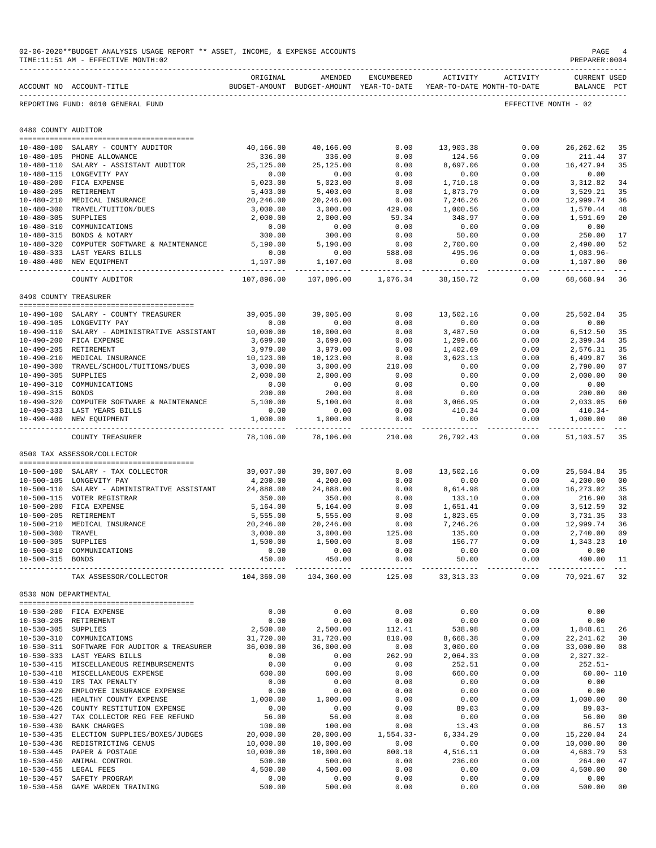|                                      | 02-06-2020**BUDGET ANALYSIS USAGE REPORT ** ASSET, INCOME, & EXPENSE ACCOUNTS<br>TIME: 11:51 AM - EFFECTIVE MONTH: 02 |                          |                                                     |                         |                    |                                        | PAGE<br>PREPARER: 0004             |                     |
|--------------------------------------|-----------------------------------------------------------------------------------------------------------------------|--------------------------|-----------------------------------------------------|-------------------------|--------------------|----------------------------------------|------------------------------------|---------------------|
|                                      | ACCOUNT NO ACCOUNT-TITLE                                                                                              | ORIGINAL                 | AMENDED<br>BUDGET-AMOUNT BUDGET-AMOUNT YEAR-TO-DATE | ENCUMBERED              | ACTIVITY           | ACTIVITY<br>YEAR-TO-DATE MONTH-TO-DATE | <b>CURRENT USED</b><br>BALANCE PCT |                     |
|                                      | REPORTING FUND: 0010 GENERAL FUND                                                                                     |                          |                                                     |                         |                    |                                        | EFFECTIVE MONTH - 02               |                     |
| 0480 COUNTY AUDITOR                  |                                                                                                                       |                          |                                                     |                         |                    |                                        |                                    |                     |
|                                      |                                                                                                                       |                          |                                                     |                         |                    |                                        |                                    |                     |
|                                      | 10-480-100 SALARY - COUNTY AUDITOR                                                                                    | 40,166.00                | 40,166.00                                           | 0.00                    | 13,903.38          | 0.00                                   | 26, 262.62                         | 35                  |
|                                      | 10-480-105 PHONE ALLOWANCE<br>10-480-110 SALARY - ASSISTANT AUDITOR                                                   | 336.00<br>25,125.00      | 336.00<br>25,125.00                                 | 0.00<br>0.00            | 124.56<br>8,697.06 | 0.00<br>0.00                           | 211.44<br>16,427.94                | 37<br>35            |
|                                      | 10-480-115 LONGEVITY PAY                                                                                              | 0.00                     | 0.00                                                | 0.00                    | 0.00               | 0.00                                   | 0.00                               |                     |
|                                      | 10-480-200 FICA EXPENSE                                                                                               | 5,023.00                 | 5,023.00                                            | 0.00                    | 1,710.18           | 0.00                                   | 3,312.82                           | 34                  |
|                                      | 10-480-205 RETIREMENT                                                                                                 | 5,403.00                 | 5,403.00                                            | 0.00                    | 1,873.79           | 0.00                                   | 3,529.21                           | 35                  |
|                                      | 10-480-210 MEDICAL INSURANCE                                                                                          | 20,246.00                | 20,246.00                                           | 0.00                    | 7,246.26           | 0.00                                   | 12,999.74                          | 36                  |
| $10 - 480 - 300$                     | TRAVEL/TUITION/DUES                                                                                                   | 3,000.00                 | 3,000.00                                            | 429.00<br>59.34         | 1,000.56<br>348.97 | 0.00                                   | 1,570.44                           | 48<br>20            |
| 10-480-305 SUPPLIES                  | 10-480-310 COMMUNICATIONS                                                                                             | 2,000.00<br>0.00         | 2,000.00<br>0.00                                    | 0.00                    | 0.00               | 0.00<br>0.00                           | 1,591.69<br>0.00                   |                     |
|                                      | 10-480-315 BONDS & NOTARY                                                                                             | 300.00                   | 300.00                                              | 0.00                    | 50.00              | 0.00                                   | 250.00                             | 17                  |
|                                      | 10-480-320 COMPUTER SOFTWARE & MAINTENANCE                                                                            | 5,190.00                 | 5,190.00                                            | 0.00                    | 2,700.00           | 0.00                                   | 2,490.00                           | 52                  |
|                                      | 10-480-333 LAST YEARS BILLS                                                                                           | 0.00                     | 0.00                                                | 588.00                  | 495.96             | 0.00                                   | 1,083.96-                          |                     |
|                                      | 10-480-400 NEW EQUIPMENT                                                                                              | 1,107.00                 | 1,107.00                                            | 0.00                    | 0.00               | 0.00                                   | 1,107.00                           | 00                  |
|                                      | COUNTY AUDITOR                                                                                                        | 107,896.00               | .<br>107,896.00                                     | -----------<br>1,076.34 | 38,150.72          | ----------<br>0.00                     | _____________<br>68,668.94         | $\frac{1}{2}$<br>36 |
| 0490 COUNTY TREASURER                |                                                                                                                       |                          |                                                     |                         |                    |                                        |                                    |                     |
|                                      |                                                                                                                       |                          |                                                     |                         |                    |                                        |                                    |                     |
|                                      | 10-490-100 SALARY - COUNTY TREASURER                                                                                  | 39,005.00                | 39,005.00                                           | 0.00<br>0.00            | 13,502.16<br>0.00  | 0.00                                   | 25,502.84                          | 35                  |
|                                      | 10-490-105 LONGEVITY PAY<br>10-490-110 SALARY - ADMINISTRATIVE ASSISTANT                                              | 0.00<br>10,000.00        | 0.00<br>10,000.00                                   | 0.00                    | 3,487.50           | 0.00<br>0.00                           | 0.00<br>6,512.50                   | 35                  |
|                                      | 10-490-200 FICA EXPENSE                                                                                               | 3,699.00                 | 3,699.00                                            | 0.00                    | 1,299.66           | 0.00                                   | 2,399.34                           | 35                  |
|                                      | 10-490-205 RETIREMENT                                                                                                 | 3,979.00                 | 3,979.00                                            | 0.00                    | 1,402.69           | 0.00                                   | 2,576.31                           | 35                  |
|                                      | 10-490-210 MEDICAL INSURANCE                                                                                          | 10,123.00                | 10,123.00                                           | 0.00                    | 3,623.13           | 0.00                                   | 6,499.87                           | 36                  |
|                                      | 10-490-300 TRAVEL/SCHOOL/TUITIONS/DUES                                                                                | 3,000.00                 | 3,000.00                                            | 210.00                  | 0.00               | 0.00                                   | 2,790.00                           | 07                  |
| 10-490-305 SUPPLIES                  |                                                                                                                       | 2,000.00                 | 2,000.00                                            | 0.00                    | 0.00               | 0.00                                   | 2,000.00                           | 00                  |
| $10 - 490 - 310$<br>10-490-315 BONDS | COMMUNICATIONS                                                                                                        | 0.00<br>200.00           | 0.00<br>200.00                                      | 0.00<br>0.00            | 0.00<br>0.00       | 0.00<br>0.00                           | 0.00<br>200.00                     | 00                  |
|                                      | 10-490-320 COMPUTER SOFTWARE & MAINTENANCE                                                                            | 5,100.00                 | 5,100.00                                            | 0.00                    | 3,066.95           | 0.00                                   | 2,033.05                           | 60                  |
|                                      | 10-490-333 LAST YEARS BILLS                                                                                           | 0.00                     | 0.00                                                | 0.00                    | 410.34             | 0.00                                   | $410.34-$                          |                     |
|                                      | 10-490-400 NEW EQUIPMENT                                                                                              | 1,000.00                 | 1,000.00                                            | 0.00                    | 0.00               | 0.00                                   | 1,000.00                           | 00                  |
|                                      | COUNTY TREASURER                                                                                                      | -----------<br>78,106.00 | 78,106.00                                           | -----------<br>210.00   | 26,792.43          | . _ _ _ _ _ _ _ _ _ _<br>0.00          | 51,103.57                          | 35                  |
|                                      | 0500 TAX ASSESSOR/COLLECTOR                                                                                           |                          |                                                     |                         |                    |                                        |                                    |                     |
|                                      |                                                                                                                       |                          |                                                     |                         |                    |                                        |                                    |                     |
|                                      | 10-500-100 SALARY - TAX COLLECTOR                                                                                     | 39,007.00                | 39,007.00                                           | 0.00                    | 13,502.16          | 0.00                                   | 25,504.84                          | 35                  |
|                                      | 10-500-105 LONGEVITY PAY                                                                                              | 4,200.00                 | 4,200.00                                            | 0.00                    | 0.00               | 0.00                                   | 4,200.00                           | 00                  |
|                                      | 10-500-110 SALARY - ADMINISTRATIVE ASSISTANT<br>10-500-115 VOTER REGISTRAR                                            | 24,888.00<br>350.00      | 24,888.00<br>350.00                                 | 0.00<br>0.00            | 8,614.98<br>133.10 | 0.00<br>0.00                           | 16,273.02<br>216.90                | 35<br>38            |
|                                      | 10-500-200 FICA EXPENSE                                                                                               | 5,164.00                 | 5,164.00                                            | 0.00                    | 1,651.41           | 0.00                                   | 3,512.59                           | 32                  |
|                                      | 10-500-205 RETIREMENT                                                                                                 | 5,555.00                 | 5,555.00                                            | 0.00                    | 1,823.65           | 0.00                                   | 3,731.35                           | 33                  |
|                                      | 10-500-210 MEDICAL INSURANCE                                                                                          | 20,246.00                | 20,246.00                                           | 0.00                    | 7,246.26           | 0.00                                   | 12,999.74                          | 36                  |
| 10-500-300 TRAVEL                    |                                                                                                                       | 3,000.00                 | 3,000.00                                            | 125.00                  | 135.00             | 0.00                                   | 2,740.00                           | 09                  |
| 10-500-305 SUPPLIES                  |                                                                                                                       | 1,500.00                 | 1,500.00                                            | 0.00                    | 156.77             | 0.00                                   | 1,343.23                           | 10                  |
| 10-500-315 BONDS                     | 10-500-310 COMMUNICATIONS                                                                                             | 0.00<br>450.00           | 0.00<br>450.00                                      | 0.00<br>0.00            | 0.00<br>50.00      | 0.00<br>0.00                           | 0.00<br>400.00                     | 11                  |
|                                      | TAX ASSESSOR/COLLECTOR                                                                                                | 104,360.00               | -------------<br>104,360.00                         | ____________<br>125.00  | 33, 313. 33        | 0.00                                   | 70,921.67                          | 32                  |
| 0530 NON DEPARTMENTAL                |                                                                                                                       |                          |                                                     |                         |                    |                                        |                                    |                     |
|                                      |                                                                                                                       | 0.00                     | 0.00                                                | 0.00                    | 0.00               | 0.00                                   | 0.00                               |                     |
|                                      | 10-530-200 FICA EXPENSE<br>10-530-205 RETIREMENT                                                                      | 0.00                     | 0.00                                                | 0.00                    | 0.00               | 0.00                                   | 0.00                               |                     |
| 10-530-305 SUPPLIES                  |                                                                                                                       | 2,500.00                 | 2,500.00                                            | 112.41                  | 538.98             | 0.00                                   | 1,848.61                           | 26                  |
|                                      | 10-530-310 COMMUNICATIONS                                                                                             | 31,720.00                | 31,720.00                                           | 810.00                  | 8,668.38           | 0.00                                   | 22, 241.62 30                      |                     |
|                                      | 10-530-311 SOFTWARE FOR AUDITOR & TREASURER                                                                           | 36,000.00                | 36,000.00                                           | 0.00                    | 3,000.00           | 0.00                                   | 33,000.00                          | 08                  |
|                                      | 10-530-333 LAST YEARS BILLS                                                                                           | 0.00                     | 0.00                                                | 262.99                  | 2,064.33           | 0.00                                   | $2,327.32-$                        |                     |
|                                      | 10-530-415 MISCELLANEOUS REIMBURSEMENTS                                                                               | 0.00                     | 0.00                                                | 0.00                    | 252.51             | 0.00                                   | $252.51-$                          |                     |
|                                      | 10-530-418 MISCELLANEOUS EXPENSE<br>10-530-419 IRS TAX PENALTY                                                        | 600.00                   | 600.00                                              | 0.00                    | 660.00             | 0.00                                   | $60.00 - 110$                      |                     |
| $10 - 530 - 420$                     | EMPLOYEE INSURANCE EXPENSE                                                                                            | 0.00<br>0.00             | 0.00<br>0.00                                        | 0.00<br>0.00            | 0.00<br>0.00       | 0.00<br>0.00                           | 0.00<br>0.00                       |                     |
|                                      | 10-530-425 HEALTHY COUNTY EXPENSE                                                                                     | 1,000.00                 | 1,000.00                                            | 0.00                    | 0.00               | 0.00                                   | 1,000.00                           | 00                  |
|                                      | 10-530-426 COUNTY RESTITUTION EXPENSE                                                                                 | 0.00                     | 0.00                                                | 0.00                    | 89.03              | 0.00                                   | $89.03 -$                          |                     |
|                                      | 10-530-427 TAX COLLECTOR REG FEE REFUND                                                                               | 56.00                    | 56.00                                               | 0.00                    | 0.00               | 0.00                                   | 56.00                              | 00                  |
| $10 - 530 - 430$                     | <b>BANK CHARGES</b>                                                                                                   | 100.00                   | 100.00                                              | 0.00                    | 13.43              | 0.00                                   | 86.57                              | 13                  |
|                                      | 10-530-435 ELECTION SUPPLIES/BOXES/JUDGES                                                                             | 20,000.00                | 20,000.00                                           | $1,554.33-$             | 6,334.29           | 0.00                                   | 15,220.04                          | 24<br>00            |
|                                      | 10-530-436 REDISTRICTING CENUS<br>10-530-445 PAPER & POSTAGE                                                          | 10,000.00<br>10,000.00   | 10,000.00<br>10,000.00                              | 0.00<br>800.10          | 0.00<br>4,516.11   | 0.00<br>0.00                           | 10,000.00<br>4,683.79              | 53                  |
|                                      | 10-530-450 ANIMAL CONTROL                                                                                             | 500.00                   | 500.00                                              | 0.00                    | 236.00             | 0.00                                   | 264.00                             | 47                  |
| $10 - 530 - 455$                     | LEGAL FEES                                                                                                            | 4,500.00                 | 4,500.00                                            | 0.00                    | 0.00               | 0.00                                   | 4,500.00                           | 0 <sub>0</sub>      |
| $10 - 530 - 457$                     | SAFETY PROGRAM                                                                                                        | 0.00                     | 0.00                                                | 0.00                    | 0.00               | 0.00                                   | 0.00                               |                     |
| $10 - 530 - 458$                     | GAME WARDEN TRAINING                                                                                                  | 500.00                   | 500.00                                              | 0.00                    | 0.00               | 0.00                                   | 500.00                             | 0 <sub>0</sub>      |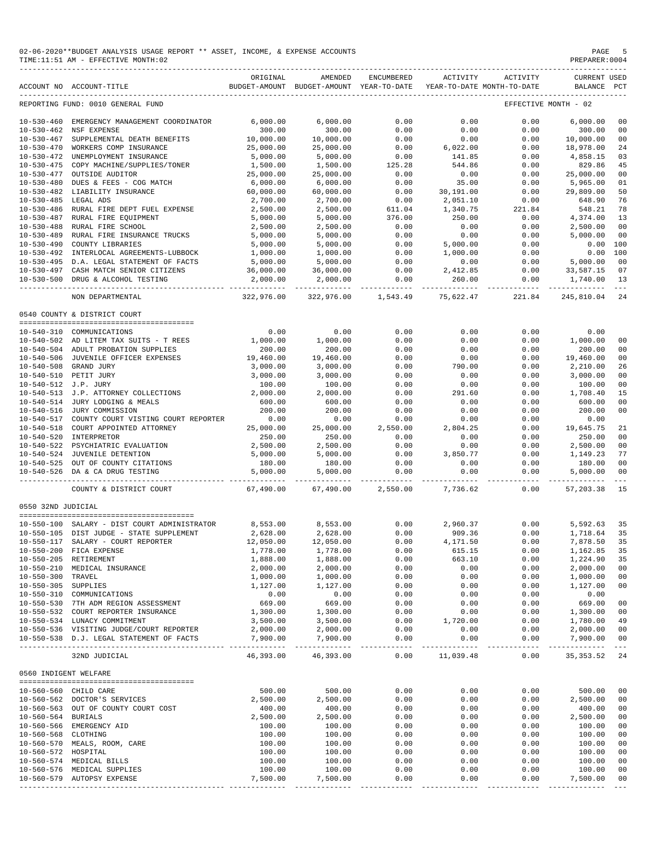| 02-06-2020**BUDGET ANALYSIS USAGE REPORT ** ASSET, INCOME, & EXPENSE ACCOUNTS | PAGE           |
|-------------------------------------------------------------------------------|----------------|
| TIME:11:51 AM - EFFECTIVE MONTH:02                                            | PREPARER: 0004 |

|                       | ACCOUNT NO ACCOUNT-TITLE                                            | ORIGINAL              | AMENDED<br>BUDGET-AMOUNT BUDGET-AMOUNT YEAR-TO-DATE | ENCUMBERED | ACTIVITY  | ACTIVITY<br>YEAR-TO-DATE MONTH-TO-DATE | <b>CURRENT USED</b><br>BALANCE PCT |                |
|-----------------------|---------------------------------------------------------------------|-----------------------|-----------------------------------------------------|------------|-----------|----------------------------------------|------------------------------------|----------------|
|                       | REPORTING FUND: 0010 GENERAL FUND                                   |                       |                                                     |            |           |                                        | EFFECTIVE MONTH - 02               |                |
|                       | 10-530-460 EMERGENCY MANAGEMENT COORDINATOR                         | 6,000.00              | 6,000.00                                            | 0.00       | 0.00      | 0.00                                   | 6,000.00                           | 0 <sub>0</sub> |
|                       | 10-530-462 NSF EXPENSE                                              | 300.00                | 300.00                                              | 0.00       | 0.00      | 0.00                                   | 300.00                             | 0 <sup>0</sup> |
| $10 - 530 - 467$      | SUPPLEMENTAL DEATH BENEFITS                                         | 10,000.00             | 10,000.00                                           | 0.00       | 0.00      | 0.00                                   | 10,000.00                          | 00             |
|                       | 10-530-470 WORKERS COMP INSURANCE                                   | 25,000.00             | 25,000.00                                           | 0.00       | 6,022.00  | 0.00                                   | 18,978.00                          | 24             |
|                       | 10-530-472 UNEMPLOYMENT INSURANCE                                   | 5,000.00              | 5,000.00                                            | 0.00       | 141.85    | 0.00                                   | 4,858.15                           | 03             |
|                       | 10-530-475 COPY MACHINE/SUPPLIES/TONER                              | 1,500.00              | 1,500.00                                            | 125.28     | 544.86    | 0.00                                   | 829.86                             | 45             |
|                       | 10-530-477 OUTSIDE AUDITOR                                          | 25,000.00             | 25,000.00                                           | 0.00       | 0.00      | 0.00                                   |                                    | 0 <sub>0</sub> |
|                       |                                                                     |                       |                                                     |            |           |                                        | 25,000.00                          | 01             |
|                       | 10-530-480 DUES & FEES - COG MATCH                                  | 6,000.00<br>60,000.00 | 6,000.00                                            | 0.00       | 35.00     | 0.00<br>0.00                           | 5,965.00                           | 50             |
| 10-530-485 LEGAL ADS  | 10-530-482 LIABILITY INSURANCE                                      |                       | 60,000.00                                           | 0.00       | 30,191.00 |                                        | 29,809.00                          |                |
|                       |                                                                     | 2,700.00              | 2,700.00                                            | 0.00       | 2,051.10  | 0.00                                   | 648.90                             | 76             |
|                       | 10-530-486 RURAL FIRE DEPT FUEL EXPENSE                             | 2,500.00              | 2,500.00                                            | 611.04     | 1,340.75  | 221.84                                 | 548.21                             | 78             |
|                       | 10-530-487 RURAL FIRE EQUIPMENT                                     | 5,000.00              | 5,000.00                                            | 376.00     | 250.00    | 0.00                                   | 4,374.00                           | 13             |
| 10-530-488            | RURAL FIRE SCHOOL                                                   | 2,500.00              | 2,500.00                                            | 0.00       | 0.00      | 0.00                                   | 2,500.00                           | 00             |
|                       | 10-530-489 RURAL FIRE INSURANCE TRUCKS                              | 5,000.00              | 5,000.00                                            | 0.00       | 0.00      | 0.00                                   | 5,000.00                           | 0 <sub>0</sub> |
|                       | 10-530-490 COUNTY LIBRARIES                                         | 5,000.00              | 5,000.00                                            | 0.00       | 5,000.00  | 0.00                                   | $0.00$ 100                         |                |
|                       | 10-530-492 INTERLOCAL AGREEMENTS-LUBBOCK                            | 1,000.00              | 1,000.00                                            | 0.00       | 1,000.00  | 0.00                                   | $0.00$ 100                         |                |
|                       | 10-530-495 D.A. LEGAL STATEMENT OF FACTS                            | 5,000.00              | 5,000.00                                            | 0.00       | 0.00      | 0.00                                   | 5,000.00                           | 0 <sup>0</sup> |
|                       | 10-530-497 CASH MATCH SENIOR CITIZENS                               | 36,000.00             | 36,000.00                                           | 0.00       | 2,412.85  | 0.00                                   | 33,587.15                          | 07             |
|                       | 10-530-500 DRUG & ALCOHOL TESTING                                   | 2,000.00              | 2,000.00<br>------                                  | 0.00<br>.  | 260.00    | 0.00                                   | 1,740.00<br>------                 | 13             |
|                       | NON DEPARTMENTAL                                                    | 322,976.00            | 322,976.00                                          | 1,543.49   | 75,622.47 | 221.84                                 | 245,810.04                         | 24             |
|                       | 0540 COUNTY & DISTRICT COURT                                        |                       |                                                     |            |           |                                        |                                    |                |
|                       |                                                                     |                       |                                                     |            |           |                                        |                                    |                |
|                       | 10-540-310 COMMUNICATIONS                                           | 0.00                  | 0.00                                                | 0.00       | 0.00      | 0.00                                   | 0.00                               |                |
|                       | 10-540-502 AD LITEM TAX SUITS - T REES                              | 1,000.00              | 1,000.00                                            | 0.00       | 0.00      | 0.00                                   | 1,000.00                           | 00             |
|                       | 10-540-504 ADULT PROBATION SUPPLIES                                 | 200.00                | 200.00                                              | 0.00       | 0.00      | 0.00                                   | 200.00                             | 00             |
|                       | 10-540-506 JUVENILE OFFICER EXPENSES                                | 19,460.00             | 19,460.00                                           | 0.00       | 0.00      | 0.00                                   | 19,460.00                          | 0 <sub>0</sub> |
|                       | 10-540-508 GRAND JURY                                               | 3,000.00              | 3,000.00                                            | 0.00       | 790.00    | 0.00                                   | 2,210.00                           | 26             |
|                       | 10-540-510 PETIT JURY                                               | 3,000.00              | 3,000.00                                            | 0.00       | 0.00      | 0.00                                   | 3,000.00                           | 0 <sub>0</sub> |
| 10-540-512 J.P. JURY  |                                                                     | 100.00                | 100.00                                              | 0.00       | 0.00      | 0.00                                   | 100.00                             | 0 <sub>0</sub> |
|                       | 10-540-513 J.P. ATTORNEY COLLECTIONS                                | 2,000.00              | 2,000.00                                            | 0.00       | 291.60    | 0.00                                   | 1,708.40                           | 15             |
|                       | 10-540-514 JURY LODGING & MEALS                                     | 600.00                | 600.00                                              | 0.00       | 0.00      | 0.00                                   | 600.00                             | 00             |
|                       | 10-540-516 JURY COMMISSION                                          | 200.00                | 200.00                                              | 0.00       | 0.00      | 0.00                                   | 200.00                             | 0 <sub>0</sub> |
|                       | 10-540-517 COUNTY COURT VISTING COURT REPORTER                      | 0.00                  | 0.00                                                | 0.00       | 0.00      | 0.00                                   | 0.00                               |                |
|                       | 10-540-518 COURT APPOINTED ATTORNEY                                 | 25,000.00             | 25,000.00                                           | 2,550.00   | 2,804.25  | 0.00                                   | 19,645.75                          | 21             |
|                       | 10-540-520 INTERPRETOR                                              | 250.00                | 250.00                                              | 0.00       | 0.00      | 0.00                                   | 250.00                             | 0 <sub>0</sub> |
|                       | 10-540-522 PSYCHIATRIC EVALUATION                                   | 2,500.00              | 2,500.00                                            | 0.00       | 0.00      | 0.00                                   | 2,500.00                           | 00             |
|                       |                                                                     | 5,000.00              | 5,000.00                                            | 0.00       | 3,850.77  | 0.00                                   | 1,149.23                           | 77             |
|                       | 10-540-524 JUVENILE DETENTION<br>10-540-525 OUT OF COUNTY CITATIONS | 180.00                | 180.00                                              | 0.00       | 0.00      | 0.00                                   | 180.00                             | 00             |
|                       | 10-540-526 DA & CA DRUG TESTING                                     | 5,000.00              | 5,000.00<br>. _ _ _ _ _ _ _ _ _ _ _                 | 0.00       | 0.00      | 0.00                                   | 5,000.00                           | 0 <sub>0</sub> |
|                       | COUNTY & DISTRICT COURT                                             | 67,490.00             | 67,490.00                                           | 2,550.00   | 7,736.62  | 0.00                                   | .<br>57,203.38                     | 15             |
| 0550 32ND JUDICIAL    |                                                                     |                       |                                                     |            |           |                                        |                                    |                |
|                       |                                                                     |                       |                                                     |            |           |                                        |                                    |                |
|                       | 10-550-100 SALARY - DIST COURT ADMINISTRATOR                        | 8,553.00              | 8,553.00                                            | 0.00       | 2,960.37  | 0.00                                   | 5,592.63                           | 35             |
|                       | 10-550-105 DIST JUDGE - STATE SUPPLEMENT                            | 2,628.00              | 2,628.00                                            | 0.00       | 909.36    | 0.00                                   | 1,718.64                           | 35             |
|                       | 10-550-117 SALARY - COURT REPORTER                                  | 12,050.00             | 12,050.00                                           | 0.00       | 4,171.50  | 0.00                                   | 7,878.50                           | 35             |
|                       | 10-550-200 FICA EXPENSE                                             | 1,778.00              | 1,778.00                                            | 0.00       | 615.15    | 0.00                                   | 1,162.85                           | 35             |
|                       | 10-550-205 RETIREMENT                                               | 1,888.00              | 1,888.00                                            | 0.00       | 663.10    | 0.00                                   | 1,224.90                           | 35             |
|                       | 10-550-210 MEDICAL INSURANCE                                        | 2,000.00              | 2,000.00                                            | 0.00       | 0.00      | 0.00                                   | 2,000.00                           | 0 <sub>0</sub> |
| 10-550-300 TRAVEL     |                                                                     | 1,000.00              | 1,000.00                                            | 0.00       | 0.00      | 0.00                                   | 1,000.00                           | 0 <sub>0</sub> |
| 10-550-305 SUPPLIES   |                                                                     | 1,127.00              | 1,127.00                                            | 0.00       | 0.00      | 0.00                                   | 1,127.00                           | 0 <sub>0</sub> |
|                       | 10-550-310 COMMUNICATIONS                                           | 0.00                  | 0.00                                                | 0.00       | 0.00      | 0.00                                   | 0.00                               |                |
|                       | 10-550-530 7TH ADM REGION ASSESSMENT                                | 669.00                | 669.00                                              | 0.00       | 0.00      | 0.00                                   | 669.00                             | 0 <sub>0</sub> |
|                       | 10-550-532 COURT REPORTER INSURANCE                                 | 1,300.00              | 1,300.00                                            | 0.00       | 0.00      | 0.00                                   | 1,300.00                           | 0 <sub>0</sub> |
|                       | 10-550-534 LUNACY COMMITMENT                                        | 3,500.00              | 3,500.00                                            | 0.00       | 1,720.00  | 0.00                                   | 1,780.00                           | 49             |
|                       | 10-550-536 VISITING JUDGE/COURT REPORTER                            | 2,000.00              | 2,000.00                                            | 0.00       | 0.00      | 0.00                                   | 2,000.00                           | 0 <sub>0</sub> |
|                       | 10-550-538 D.J. LEGAL STATEMENT OF FACTS                            | 7,900.00              | 7,900.00                                            | 0.00       | 0.00      | 0.00                                   | 7,900.00                           | 0 <sub>0</sub> |
|                       |                                                                     | ---------             |                                                     |            |           |                                        |                                    |                |
|                       | 32ND JUDICIAL                                                       | 46,393.00             | 46,393.00                                           | 0.00       | 11,039.48 | 0.00                                   | 35, 353.52                         | 24             |
| 0560 INDIGENT WELFARE |                                                                     |                       |                                                     |            |           |                                        |                                    |                |
|                       | 10-560-560 CHILD CARE                                               | 500.00                | 500.00                                              | 0.00       | 0.00      | 0.00                                   | 500.00                             | 0 <sub>0</sub> |
|                       | 10-560-562 DOCTOR'S SERVICES                                        | 2,500.00              | 2,500.00                                            | 0.00       | 0.00      | 0.00                                   | 2,500.00                           | 0 <sub>0</sub> |
|                       |                                                                     |                       |                                                     |            |           |                                        |                                    |                |
|                       | 10-560-563 OUT OF COUNTY COURT COST                                 | 400.00                | 400.00                                              | 0.00       | 0.00      | 0.00                                   | 400.00                             | 0 <sub>0</sub> |
| 10-560-564 BURIALS    |                                                                     | 2,500.00              | 2,500.00                                            | 0.00       | 0.00      | 0.00                                   | 2,500.00                           | 0 <sub>0</sub> |
|                       | 10-560-566 EMERGENCY AID                                            | 100.00                | 100.00                                              | 0.00       | 0.00      | 0.00                                   | 100.00                             | 0 <sub>0</sub> |
| 10-560-568 CLOTHING   |                                                                     | 100.00                | 100.00                                              | 0.00       | 0.00      | 0.00                                   | 100.00                             | 0 <sub>0</sub> |
|                       | 10-560-570 MEALS, ROOM, CARE                                        | 100.00                | 100.00                                              | 0.00       | 0.00      | 0.00                                   | 100.00                             | 0 <sub>0</sub> |
| 10-560-572 HOSPITAL   |                                                                     | 100.00                | 100.00                                              | 0.00       | 0.00      | 0.00                                   | 100.00                             | 0 <sub>0</sub> |
|                       | 10-560-574 MEDICAL BILLS                                            | 100.00                | 100.00                                              | 0.00       | 0.00      | 0.00                                   | 100.00                             | 0 <sub>0</sub> |
|                       | 10-560-576 MEDICAL SUPPLIES                                         | 100.00                | 100.00                                              | 0.00       | 0.00      | 0.00                                   | 100.00                             | 0 <sub>0</sub> |
|                       | 10-560-579 AUTOPSY EXPENSE                                          | 7,500.00              | 7,500.00                                            | 0.00       | 0.00      | 0.00                                   | 7,500.00                           | 0 <sub>0</sub> |

----------------------------------------------- ------------- ------------- ------------ ------------- ------------ ------------- ---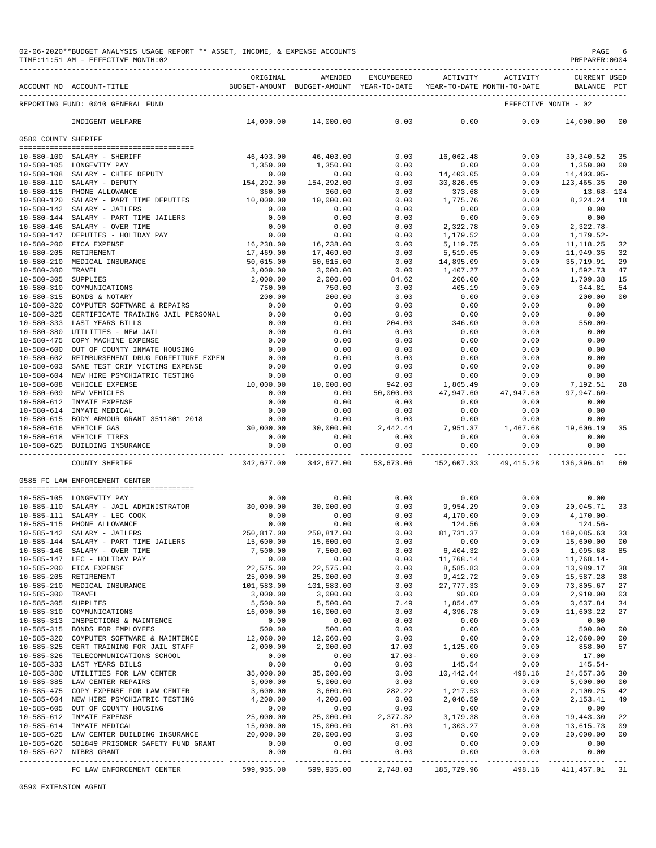|                     | TIME:11:51 AM - EFFECTIVE MONTH:02                                                                                                                                                                                                   |                            |                                        |                                                                     |                       |                              | PREPARER:0004            |                      |
|---------------------|--------------------------------------------------------------------------------------------------------------------------------------------------------------------------------------------------------------------------------------|----------------------------|----------------------------------------|---------------------------------------------------------------------|-----------------------|------------------------------|--------------------------|----------------------|
|                     | URLIGENT DESIGNABLE PRODUCED BETWEEN PRODUCED BETWEEN PRODUCED ACTIVITY ACTIVITY ACTIVITY CORRENT OSED<br>BUDGET-AMOUNT BUDGET-MOUNT BUDGET-AMOURE YEAR TO-DATE YEAR-TO-DATE MONTH-TO-DATE MONTH-TO-DATE PRODUCE PCT.<br>----------- | ORIGINAL                   | AMENDED                                |                                                                     |                       | ENCUMBERED ACTIVITY ACTIVITY | <b>CURRENT USED</b>      |                      |
|                     | REPORTING FUND: 0010 GENERAL FUND                                                                                                                                                                                                    |                            |                                        |                                                                     |                       |                              | EFFECTIVE MONTH - 02     |                      |
|                     | INDIGENT WELFARE                                                                                                                                                                                                                     |                            | $14,000.00$ $14,000.00$ 0.00 0.00 0.00 |                                                                     |                       | 0.00                         | 14,000.00                | $_{00}$              |
| 0580 COUNTY SHERIFF |                                                                                                                                                                                                                                      |                            |                                        |                                                                     |                       |                              |                          |                      |
|                     | --------------------------------------<br>10-580-100 SALARY - SHERIFF                                                                                                                                                                | 46,403.00                  | 46,403.00                              | 0.00                                                                | 16,062.48             | 0.00                         | 30,340.52                | 35                   |
|                     | 10-580-105 LONGEVITY PAY                                                                                                                                                                                                             | 1,350.00                   | 1,350.00                               | 0.00                                                                | 0.00                  | 0.00                         | 1,350.00                 | 0 <sub>0</sub>       |
|                     |                                                                                                                                                                                                                                      |                            | 0.00                                   | 0.00                                                                | 14,403.05             | 0.00                         | 14,403.05-               |                      |
|                     | $10-580-108$ $10-580-110$ $10-580-110$ $10-580-115$ $292.00$ $10-580-115$ $292.00$ $360.00$ $360.00$                                                                                                                                 |                            | 154,292.00                             | 0.00                                                                | 30,826.65             | 0.00                         | 123,465.35               | 20                   |
|                     |                                                                                                                                                                                                                                      |                            | 360.00                                 | 0.00                                                                | 373.68                | 0.00                         | 13.68-104                |                      |
|                     | 10-580-120 SALARY - PART TIME DEPUTIES $10,000.00$<br>10-580-120 SADARY - JAILERS<br>10-580-142 SALARY - JAILERS<br>10-580-144 SALARY - PART TIME JAILERS<br>10-580-146 SALARY - OVER TIME                                           |                            | 10,000.00                              | 0.00                                                                | 1,775.76              | 0.00                         | 8,224.24                 | 18                   |
|                     |                                                                                                                                                                                                                                      | 0.00                       | 0.00                                   | 0.00                                                                | 0.00                  | 0.00                         | 0.00                     |                      |
|                     |                                                                                                                                                                                                                                      | 0.00                       | 0.00                                   | 0.00                                                                | 0.00                  | 0.00                         | 0.00                     |                      |
|                     |                                                                                                                                                                                                                                      | 0.00<br>0.00               | 0.00<br>0.00                           | 0.00<br>0.00                                                        | 2,322.78<br>1,179.52  | 0.00<br>0.00                 | $2,322.78-$<br>1,179.52- |                      |
|                     | 10-580-200 FICA EXPENSE                                                                                                                                                                                                              | 16,238.00                  | 16,238.00                              | 0.00                                                                | 5,119.75              | 0.00                         | 11,118.25                | 32                   |
|                     | 10-580-205 RETIREMENT                                                                                                                                                                                                                | 17,469.00                  | 17,469.00                              | 0.00                                                                | 5,519.65              | 0.00                         | 11,949.35                | 32                   |
|                     | 10-580-205 REITREMENT<br>10-580-210 MEDICAL INSURANCE                                                                                                                                                                                | 50,615.00                  | 50,615.00                              | 0.00                                                                | 14,895.09             | 0.00                         | 35,719.91                | 29                   |
| 10-580-300 TRAVEL   |                                                                                                                                                                                                                                      | 3,000.00                   | 3,000.00                               | 0.00                                                                | 1,407.27              | 0.00                         | 1,592.73                 | 47                   |
| 10-580-305 SUPPLIES |                                                                                                                                                                                                                                      | 2,000.00                   | 2,000.00                               | 84.62                                                               | 206.00                | 0.00                         | 1,709.38                 | 15                   |
|                     | 10-580-310 COMMUNICATIONS                                                                                                                                                                                                            | 750.00                     | 750.00                                 | 0.00                                                                | 405.19                | 0.00                         | 344.81                   | 54                   |
|                     | 10-580-315 BONDS & NOTARY<br>10-580-320 COMPUTER SOFTWARE & REPAIRS                                                                                                                                                                  | 200.00                     | 200.00                                 | 0.00                                                                | 0.00                  | 0.00                         | 200.00                   | 0 <sub>0</sub>       |
|                     |                                                                                                                                                                                                                                      | $0.00$<br>$0.00$           | 0.00                                   | 0.00                                                                | 0.00                  | 0.00                         | 0.00                     |                      |
|                     | 10-580-325 CERTIFICATE TRAINING JAIL PERSONAL<br>10-580-333 LAST YEARS BILLS                                                                                                                                                         | 0.00                       | 0.00<br>0.00                           | 0.00<br>204.00                                                      | 0.00<br>346.00        | 0.00<br>0.00                 | 0.00<br>$550.00 -$       |                      |
|                     | 10-580-380 UTILITIES - NEW JAIL                                                                                                                                                                                                      |                            | 0.00                                   | 0.00                                                                | 0.00                  | 0.00                         | 0.00                     |                      |
|                     | 10-580-475 COPY MACHINE EXPENSE                                                                                                                                                                                                      | $0.00$<br>$0.00$<br>$0.00$ | 0.00                                   | 0.00                                                                | 0.00                  | 0.00                         | 0.00                     |                      |
|                     | 10-580-600 OUT OF COUNTY INMATE HOUSING                                                                                                                                                                                              |                            | 0.00                                   | 0.00                                                                | 0.00                  | 0.00                         | 0.00                     |                      |
|                     | 10-580-602 REIMBURSEMENT DRUG FORFEITURE EXPEN                                                                                                                                                                                       | 0.00                       | 0.00                                   | 0.00                                                                | 0.00                  | 0.00                         | 0.00                     |                      |
|                     | 10-580-603 SANE TEST CRIM VICTIMS EXPENSE                                                                                                                                                                                            | 0.00                       | 0.00                                   | 0.00                                                                | 0.00                  | 0.00                         | 0.00                     |                      |
|                     | 10-580-604 NEW HIRE PSYCHIATRIC TESTING                                                                                                                                                                                              | 0.00                       | 0.00                                   | 0.00                                                                | 0.00                  | 0.00                         | 0.00                     |                      |
|                     | 10-580-608 VEHICLE EXPENSE                                                                                                                                                                                                           | 10,000.00                  | 10,000.00                              | 942.00                                                              | 1,865.49              | 0.00                         | 7,192.51                 | 28                   |
|                     | 10-580-609 NEW VEHICLES                                                                                                                                                                                                              | 0.00                       | 0.00                                   | 50,000.00                                                           | 47,947.60             | 47,947.60                    | $97, 947.60 -$           |                      |
|                     | 10-580-612 INMATE EXPENSE<br>10-580-614 INMATE MEDICAL                                                                                                                                                                               | 0.00<br>0.00               | 0.00<br>0.00                           | 0.00<br>0.00                                                        | 0.00<br>0.00          | 0.00<br>0.00                 | 0.00<br>0.00             |                      |
|                     |                                                                                                                                                                                                                                      |                            | 0.00                                   |                                                                     | 0.00                  | 0.00                         | 0.00                     |                      |
|                     |                                                                                                                                                                                                                                      |                            | 30,000.00                              | $\begin{array}{c} 0\,.\,0\,0 \\ 2\,,\,4\,4\,2\,.\,4\,4 \end{array}$ | 7,951.37              |                              | $1,467.68$ $19,606.19$   | 35                   |
|                     | 10-580-615 BODY ARMOUR GRANT 3511801 2018<br>10-580-616 VEHICLE GAS 30,000.00<br>10-580-618 VEHICLE TIRES 0.00                                                                                                                       |                            | 0.00                                   | 0.00                                                                | 0.00                  | 0.00                         | 0.00                     |                      |
|                     | 10-580-625 BUILDING INSURANCE                                                                                                                                                                                                        | 0.00                       | 0.00                                   | 0.00                                                                | 0.00                  | 0.00                         | 0.00                     |                      |
|                     | 342,677.00<br>COUNTY SHERIFF                                                                                                                                                                                                         |                            | 342,677.00                             | 53,673.06                                                           | 152,607.33            | 49,415.28                    | 136,396.61               | -60                  |
|                     | 0585 FC LAW ENFORCEMENT CENTER                                                                                                                                                                                                       |                            |                                        |                                                                     |                       |                              |                          |                      |
|                     | 10-585-105 LONGEVITY PAY                                                                                                                                                                                                             | 0.00                       | 0.00                                   | 0.00                                                                | 0.00                  | 0.00                         | 0.00                     |                      |
|                     | 10-585-110 SALARY - JAIL ADMINISTRATOR 30,000.00                                                                                                                                                                                     |                            | 30,000.00                              | 0.00                                                                | 9,954.29              | 0.00                         | 20,045.71                | 33                   |
|                     | 10-585-111 SALARY - LEC COOK                                                                                                                                                                                                         | 0.00                       | 0.00                                   | 0.00                                                                | 4,170.00              | 0.00                         | $4,170.00 -$             |                      |
|                     | 10-585-115 PHONE ALLOWANCE                                                                                                                                                                                                           | 0.00                       | 0.00                                   | 0.00                                                                | 124.56                | 0.00                         | $124.56-$                |                      |
|                     | 10-585-142 SALARY - JAILERS                                                                                                                                                                                                          | 250,817.00                 | 250,817.00                             | 0.00                                                                | 81,731.37             | 0.00                         | 169,085.63               | 33                   |
|                     | 10-585-144 SALARY - PART TIME JAILERS                                                                                                                                                                                                | 15,600.00                  | 15,600.00                              | 0.00                                                                | 0.00                  | 0.00                         | 15,600.00                | 00                   |
|                     | 10-585-146 SALARY - OVER TIME<br>10-585-147 LEC - HOLIDAY PAY                                                                                                                                                                        | 7,500.00<br>0.00           | 7,500.00<br>0.00                       | 0.00                                                                | 6,404.32<br>11,768.14 | 0.00<br>0.00                 | 1,095.68<br>$11,768.14-$ | 85                   |
|                     | 10-585-200 FICA EXPENSE                                                                                                                                                                                                              | 22,575.00                  | 22,575.00                              | 0.00<br>0.00                                                        | 8,585.83              | 0.00                         | 13,989.17                | 38                   |
|                     | 10-585-205 RETIREMENT                                                                                                                                                                                                                | 25,000.00                  | 25,000.00                              | 0.00                                                                | 9,412.72              | 0.00                         | 15,587.28                | 38                   |
|                     | 10-585-210 MEDICAL INSURANCE                                                                                                                                                                                                         | 101,583.00                 | 101,583.00                             | 0.00                                                                | 27, 777.33            | 0.00                         | 73,805.67                | 27                   |
| 10-585-300 TRAVEL   |                                                                                                                                                                                                                                      | 3,000.00                   | 3,000.00                               | 0.00                                                                | 90.00                 | 0.00                         | 2,910.00                 | 03                   |
| 10-585-305 SUPPLIES |                                                                                                                                                                                                                                      | 5,500.00                   | 5,500.00                               | 7.49                                                                | 1,854.67              | 0.00                         | 3,637.84                 | 34                   |
|                     | 10-585-310 COMMUNICATIONS                                                                                                                                                                                                            | 16,000.00                  | 16,000.00                              | 0.00                                                                | 4,396.78              | 0.00                         | 11,603.22                | 27                   |
|                     | 10-585-313 INSPECTIONS & MAINTENCE                                                                                                                                                                                                   | 0.00                       | 0.00                                   | 0.00                                                                | 0.00                  | 0.00                         | 0.00                     |                      |
|                     | 10-585-315 BONDS FOR EMPLOYEES                                                                                                                                                                                                       | 500.00                     | 500.00                                 | 0.00                                                                | 0.00                  | 0.00                         | 500.00                   | 0 <sub>0</sub>       |
|                     | 10-585-320 COMPUTER SOFTWARE & MAINTENCE 12,060.00<br>10-585-325 CERT TRAINING FOR JAIL STAFF                                                                                                                                        | 2,000.00                   | 12,060.00<br>2,000.00                  | 0.00<br>17.00                                                       | 0.00<br>1,125.00      | 0.00<br>0.00                 | 12,060.00<br>858.00      | 0 <sub>0</sub><br>57 |
|                     | 10-585-326 TELECOMMUNICATIONS SCHOOL                                                                                                                                                                                                 | 0.00                       | 0.00                                   | $17.00 -$                                                           | 0.00                  | 0.00                         | 17.00                    |                      |
|                     | 10-585-333 LAST YEARS BILLS                                                                                                                                                                                                          | 0.00                       | 0.00                                   | 0.00                                                                | 145.54                | 0.00                         | $145.54-$                |                      |
|                     | 10-585-380 UTILITIES FOR LAW CENTER                                                                                                                                                                                                  | 35,000.00                  | 35,000.00                              | 0.00                                                                | 10,442.64             | 498.16                       | 24,557.36                | 30                   |
|                     |                                                                                                                                                                                                                                      | 5,000.00                   | 5,000.00                               | 0.00                                                                | 0.00                  | 0.00                         | 5,000.00                 | 0 <sub>0</sub>       |
|                     |                                                                                                                                                                                                                                      | 3,600.00                   | 3,600.00                               | 282.22                                                              | 1,217.53              | 0.00                         | 2,100.25                 | 42                   |
|                     | 10-585-604 NEW HIRE PSYCHIATRIC TESTING                                                                                                                                                                                              | 4,200.00                   | 4,200.00                               | 0.00                                                                | 2,046.59              | 0.00                         | 2,153.41                 | 49                   |
|                     | 10-585-605 OUT OF COUNTY HOUSING                                                                                                                                                                                                     | 0.00                       | 0.00                                   | 0.00                                                                | 0.00                  | 0.00                         | 0.00                     |                      |
|                     | 10-585-612 INMATE EXPENSE                                                                                                                                                                                                            | 25,000.00                  | 25,000.00                              | 2,377.32                                                            | 3,179.38              | 0.00                         | 19,443.30                | 22<br>09             |
|                     | 10-585-614 INMATE MEDICAL<br>10-585-625 LAW CENTER BUILDING INSURANCE 20,000.00                                                                                                                                                      | 15,000.00                  | 15,000.00<br>20,000.00                 | 81.00<br>0.00                                                       | 1,303.27<br>0.00      | 0.00<br>0.00                 | 13,615.73<br>20,000.00   | 0 <sub>0</sub>       |
|                     | 10-585-626 SB1849 PRISONER SAFETY FUND GRANT                                                                                                                                                                                         | 0.00                       | 0.00                                   | 0.00                                                                | 0.00                  | 0.00                         | 0.00                     |                      |
|                     | 10-585-627 NIBRS GRANT                                                                                                                                                                                                               | 0.00                       | 0.00                                   | 0.00                                                                | 0.00                  | 0.00                         | 0.00                     |                      |
|                     |                                                                                                                                                                                                                                      |                            |                                        |                                                                     |                       |                              |                          |                      |
|                     | FC LAW ENFORCEMENT CENTER 599,935.00 599,935.00 2,748.03 185,729.96 498.16 411,457.01 31                                                                                                                                             |                            |                                        |                                                                     |                       |                              |                          |                      |

02-06-2020\*\*BUDGET ANALYSIS USAGE REPORT \*\* ASSET, INCOME, & EXPENSE ACCOUNTS PAGE 6

0590 EXTENSION AGENT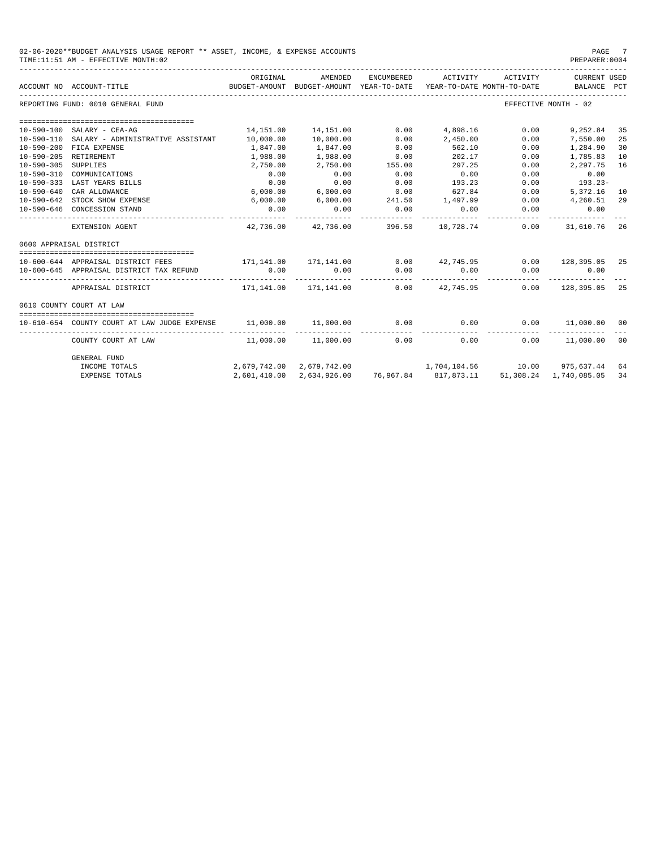|                  | 02-06-2020**BUDGET ANALYSIS USAGE REPORT ** ASSET, INCOME, & EXPENSE ACCOUNTS<br>PAGE<br>PREPARER: 0004<br>TIME:11:51 AM - EFFECTIVE MONTH:02 |                        |                                                                                |            |                       |          |                             |    |  |  |
|------------------|-----------------------------------------------------------------------------------------------------------------------------------------------|------------------------|--------------------------------------------------------------------------------|------------|-----------------------|----------|-----------------------------|----|--|--|
|                  | ACCOUNT NO ACCOUNT-TITLE                                                                                                                      | ORIGINAL               | AMENDED<br>BUDGET-AMOUNT BUDGET-AMOUNT YEAR-TO-DATE YEAR-TO-DATE MONTH-TO-DATE | ENCUMBERED | ACTIVITY              | ACTIVITY | CURRENT USED<br>BALANCE PCT |    |  |  |
|                  | REPORTING FUND: 0010 GENERAL FUND                                                                                                             |                        |                                                                                |            |                       |          | EFFECTIVE MONTH - 02        |    |  |  |
|                  |                                                                                                                                               |                        |                                                                                |            |                       |          |                             |    |  |  |
| 10-590-100       | SALARY - CEA-AG                                                                                                                               | 14,151.00              | 14,151.00                                                                      | 0.00       | 4,898.16              | 0.00     | 9,252.84                    | 35 |  |  |
| $10 - 590 - 110$ | SALARY - ADMINISTRATIVE ASSISTANT                                                                                                             | 10,000.00              | 10,000.00                                                                      | 0.00       | 2,450.00              | 0.00     | 7,550.00                    | 25 |  |  |
| $10 - 590 - 200$ | FICA EXPENSE                                                                                                                                  | 1,847.00               | 1,847.00                                                                       | 0.00       | 562.10                | 0.00     | 1,284.90                    | 30 |  |  |
| $10 - 590 - 205$ | RETIREMENT                                                                                                                                    | 1,988.00               | 1,988.00                                                                       | 0.00       | 202.17                | 0.00     | 1,785.83                    | 10 |  |  |
| $10 - 590 - 305$ | SUPPLIES                                                                                                                                      | 2,750.00               | 2,750.00                                                                       | 155.00     | 297.25                | 0.00     | 2,297.75                    | 16 |  |  |
| $10 - 590 - 310$ | COMMUNICATIONS                                                                                                                                | 0.00                   | 0.00                                                                           | 0.00       | 0.00                  | 0.00     | 0.00                        |    |  |  |
| $10 - 590 - 333$ | LAST YEARS BILLS                                                                                                                              | 0.00                   | 0.00                                                                           | 0.00       | 193.23                | 0.00     | $193.23-$                   |    |  |  |
| $10 - 590 - 640$ | CAR ALLOWANCE                                                                                                                                 | 6,000.00               | 6,000.00                                                                       | 0.00       | 627.84                | 0.00     | 5,372.16                    | 10 |  |  |
| $10 - 590 - 642$ | STOCK SHOW EXPENSE                                                                                                                            | 6,000.00               | 6,000.00                                                                       | 241.50     | 1,497.99              | 0.00     | 4,260.51                    | 29 |  |  |
| $10 - 590 - 646$ | CONCESSION STAND                                                                                                                              | 0.00<br>______________ | 0.00<br>------------                                                           | 0.00       | 0.00<br>------------- | 0.00     | 0.00<br>-----------         |    |  |  |
|                  | EXTENSION AGENT                                                                                                                               |                        | 42,736.00 42,736.00 396.50                                                     |            | 10,728.74             | 0.00     | 31,610.76                   | 26 |  |  |
|                  | 0600 APPRAISAL DISTRICT                                                                                                                       |                        |                                                                                |            |                       |          |                             |    |  |  |
|                  |                                                                                                                                               |                        |                                                                                |            |                       |          |                             |    |  |  |
|                  | 10-600-644 APPRAISAL DISTRICT FEES                                                                                                            |                        | 171,141.00 171,141.00                                                          |            | $0.00$ $42,745.95$    |          | $0.00$ 128,395.05 25        |    |  |  |
|                  | 10-600-645 APPRAISAL DISTRICT TAX REFUND                                                                                                      | 0.00                   | 0.00                                                                           | 0.00       | 0.00<br>------------- | 0.00     | 0.00<br>.                   |    |  |  |
|                  | APPRAISAL DISTRICT                                                                                                                            |                        | 171,141.00    171,141.00                                                       |            | $0.00$ $42,745.95$    | 0.00     | 128,395.05                  | 25 |  |  |
|                  | 0610 COUNTY COURT AT LAW                                                                                                                      |                        |                                                                                |            |                       |          |                             |    |  |  |
|                  | 10-610-654 COUNTY COURT AT LAW JUDGE EXPENSE                                                                                                  | 11,000.00              | 11,000.00                                                                      | 0.00       | 0.00                  |          | $0.00$ 11,000.00 00         |    |  |  |
|                  | _______________________<br>COUNTY COURT AT LAW                                                                                                |                        | 11,000.00    11,000.00                                                         |            | 0.00                  | 0.00     | $0.00$ 11,000.00 00         |    |  |  |
|                  | GENERAL FUND                                                                                                                                  |                        |                                                                                |            |                       |          |                             |    |  |  |
|                  | INCOME TOTALS                                                                                                                                 |                        | 2,679,742.00 2,679,742.00 1,704,104.56 10.00 975,637.44 64                     |            |                       |          |                             |    |  |  |
|                  | <b>EXPENSE TOTALS</b>                                                                                                                         |                        | 2,601,410.00 2,634,926.00 76,967.84 817,873.11 51,308.24 1,740,085.05          |            |                       |          |                             | 34 |  |  |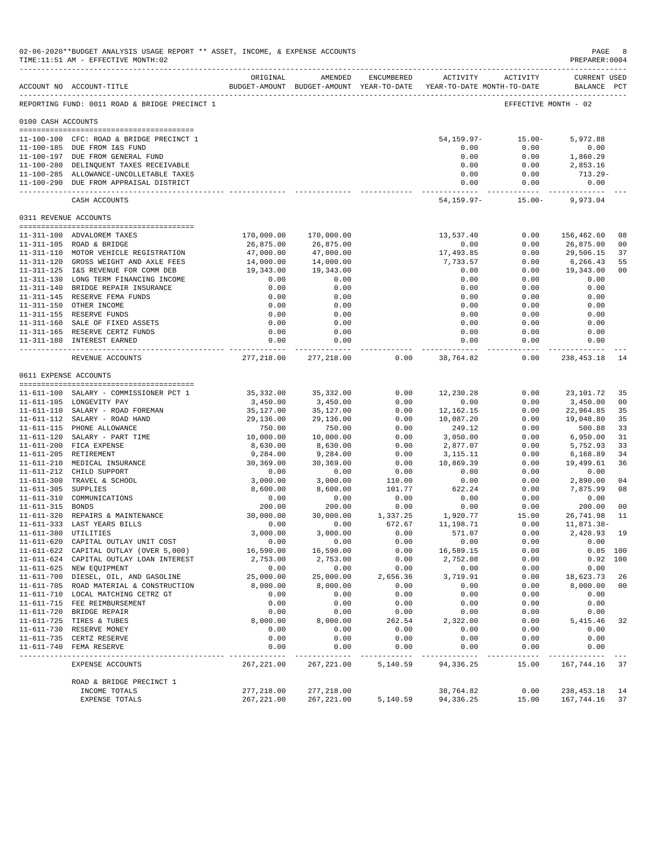|                       | 02-06-2020**BUDGET ANALYSIS USAGE REPORT ** ASSET, INCOME, & EXPENSE ACCOUNTS<br>TIME:11:51 AM - EFFECTIVE MONTH:02         |                         |                            |                |                                                                     |                                     | PAGE<br>PREPARER: 0004             | 8              |
|-----------------------|-----------------------------------------------------------------------------------------------------------------------------|-------------------------|----------------------------|----------------|---------------------------------------------------------------------|-------------------------------------|------------------------------------|----------------|
|                       | ACCOUNT NO ACCOUNT-TITLE                                                                                                    | ORIGINAL                | AMENDED                    | ENCUMBERED     | BUDGET-AMOUNT BUDGET-AMOUNT YEAR-TO-DATE YEAR-TO-DATE MONTH-TO-DATE | ACTIVITY ACTIVITY                   | <b>CURRENT USED</b><br>BALANCE PCT |                |
|                       | REPORTING FUND: 0011 ROAD & BRIDGE PRECINCT 1                                                                               |                         |                            |                |                                                                     | EFFECTIVE MONTH - 02                |                                    |                |
| 0100 CASH ACCOUNTS    |                                                                                                                             |                         |                            |                |                                                                     |                                     |                                    |                |
|                       | 11-100-100 CFC: ROAD & BRIDGE PRECINCT 1<br>11-100-185 DUE FROM I&S FUND<br>11-100-197 DUE FROM GENERAL FUND                |                         |                            |                | 54,159.97-<br>0.00<br>0.00                                          | $15.00 -$<br>0.00<br>0.00           | 5,972.88<br>0.00<br>1,860.29       |                |
|                       | 11-100-280 DELINQUENT TAXES RECEIVABLE<br>11-100-285 ALLOWANCE-UNCOLLETABLE TAXES<br>11-100-290 DUE FROM APPRAISAL DISTRICT |                         |                            |                | 0.00<br>0.00<br>0.00<br>. <b>.</b>                                  | 0.00<br>0.00<br>0.00<br>----------- | 2,853.16<br>$713.29-$<br>0.00      |                |
|                       | CASH ACCOUNTS                                                                                                               |                         |                            |                | 54,159.97-                                                          | 15.00-                              | 9,973.04                           |                |
| 0311 REVENUE ACCOUNTS |                                                                                                                             |                         |                            |                |                                                                     |                                     |                                    |                |
|                       |                                                                                                                             |                         |                            |                |                                                                     |                                     |                                    |                |
|                       | 11-311-100 ADVALOREM TAXES<br>11-311-105 ROAD & BRIDGE                                                                      | 170,000.00<br>26,875.00 | 170,000.00<br>26,875.00    |                | 13,537.40<br>0.00                                                   | 0.00<br>0.00                        | 156,462.60<br>26,875.00            | 08<br>00       |
|                       | 11-311-110 MOTOR VEHICLE REGISTRATION                                                                                       | 47,000.00               | 47,000.00                  |                | 17,493.85                                                           | 0.00                                | 29,506.15                          | 37             |
|                       | 11-311-120 GROSS WEIGHT AND AXLE FEES                                                                                       | 14,000.00               | 14,000.00                  |                | 7,733.57                                                            | 0.00                                | 6,266.43                           | 55             |
|                       | 11-311-125 I&S REVENUE FOR COMM DEB                                                                                         | 19,343.00               | 19,343.00                  |                | 0.00                                                                | 0.00                                | 19,343.00                          | 0 <sub>0</sub> |
|                       | 11-311-130 LONG TERM FINANCING INCOME                                                                                       | 0.00                    | 0.00                       |                | 0.00                                                                | 0.00                                | 0.00                               |                |
|                       | 11-311-140 BRIDGE REPAIR INSURANCE                                                                                          | 0.00                    | 0.00                       |                | 0.00                                                                | 0.00                                | 0.00                               |                |
|                       | 11-311-145 RESERVE FEMA FUNDS                                                                                               | 0.00                    | 0.00                       |                | 0.00                                                                | 0.00                                | 0.00                               |                |
|                       | 11-311-150 OTHER INCOME<br>11-311-155 RESERVE FUNDS                                                                         | 0.00<br>0.00            | 0.00<br>0.00               |                | 0.00<br>0.00                                                        | 0.00<br>0.00                        | 0.00<br>0.00                       |                |
|                       | 11-311-160 SALE OF FIXED ASSETS                                                                                             | 0.00                    | 0.00                       |                | 0.00                                                                | 0.00                                | 0.00                               |                |
|                       | 11-311-165 RESERVE CERTZ FUNDS                                                                                              | 0.00                    | 0.00                       |                | 0.00                                                                | 0.00                                | 0.00                               |                |
|                       | 11-311-180 INTEREST EARNED                                                                                                  | 0.00                    | 0.00                       |                | 0.00                                                                | 0.00                                | 0.00                               |                |
|                       | REVENUE ACCOUNTS                                                                                                            | 277,218.00              | ------------<br>277,218.00 | 0.00           | . _ _ _ _ _ _ _ _ _ _ _<br>38,764.82                                | ----------<br>0.00                  | -----------<br>238,453.18          | 14             |
| 0611 EXPENSE ACCOUNTS |                                                                                                                             |                         |                            |                |                                                                     |                                     |                                    |                |
|                       |                                                                                                                             |                         |                            |                |                                                                     |                                     |                                    |                |
|                       | 11-611-100 SALARY - COMMISSIONER PCT 1                                                                                      | 35,332.00               | 35,332.00                  | 0.00           | 12,230.28                                                           | 0.00                                | 23,101.72                          | 35             |
|                       | 11-611-105 LONGEVITY PAY                                                                                                    | 3,450.00                | 3,450.00                   | 0.00           | 0.00                                                                | 0.00                                | 3,450.00                           | 0 <sub>0</sub> |
|                       | 11-611-110 SALARY - ROAD FOREMAN                                                                                            | 35,127.00               | 35,127.00                  | 0.00           | 12,162.15                                                           | 0.00                                | 22,964.85                          | 35<br>35       |
|                       | 11-611-112 SALARY - ROAD HAND<br>11-611-115 PHONE ALLOWANCE                                                                 | 29,136.00<br>750.00     | 29,136.00<br>750.00        | 0.00<br>0.00   | 10,087.20<br>249.12                                                 | 0.00<br>0.00                        | 19,048.80<br>500.88                | 33             |
|                       | 11-611-120 SALARY - PART TIME                                                                                               | 10,000.00               | 10,000.00                  | 0.00           | 3,050.00                                                            | 0.00                                | 6,950.00                           | 31             |
|                       | 11-611-200 FICA EXPENSE                                                                                                     | 8,630.00                | 8,630.00                   | 0.00           | 2,877.07                                                            | 0.00                                | 5,752.93                           | 33             |
|                       | 11-611-205 RETIREMENT                                                                                                       | 9,284.00                | 9,284.00                   | 0.00           | 3,115.11                                                            | 0.00                                | 6,168.89                           | 34             |
|                       | 11-611-210 MEDICAL INSURANCE                                                                                                | 30,369.00               | 30,369.00                  | 0.00           | 10,869.39                                                           | 0.00                                | 19,499.61                          | 36             |
|                       | 11-611-212 CHILD SUPPORT                                                                                                    | 0.00                    | 0.00                       | 0.00           | 0.00                                                                | 0.00                                | 0.00                               |                |
|                       | 11-611-300 TRAVEL & SCHOOL                                                                                                  | 3,000.00                | 3,000.00                   | 110.00         | 0.00                                                                | 0.00                                | 2,890.00                           | 04             |
| 11-611-305 SUPPLIES   | 11-611-310 COMMUNICATIONS                                                                                                   | 8,600.00                | 8,600.00                   | 101.77<br>0.00 | 622.24                                                              | 0.00<br>0.00                        | 7,875.99                           | 08             |
| 11-611-315 BONDS      |                                                                                                                             | 0.00<br>200.00          | 0.00<br>200.00             | 0.00           | 0.00<br>0.00                                                        | 0.00                                | 0.00<br>200.00                     | 0 <sub>0</sub> |
|                       | 11-611-320 REPAIRS & MAINTENANCE                                                                                            | 30,000.00               | 30,000.00                  | 1,337.25       | 1,920.77                                                            | 15.00                               | 26,741.98                          | 11             |
|                       | 11-611-333 LAST YEARS BILLS                                                                                                 | 0.00                    | 0.00                       | 672.67         | 11,198.71                                                           | 0.00                                | 11,871.38-                         |                |
|                       | 11-611-380 UTILITIES                                                                                                        | 3,000.00                | 3,000.00                   | 0.00           | 571.07                                                              | 0.00                                | 2,428.93                           | 19             |
|                       | 11-611-620 CAPITAL OUTLAY UNIT COST                                                                                         | 0.00                    | 0.00                       | 0.00           | 0.00                                                                | 0.00                                | 0.00                               |                |
|                       | 11-611-622 CAPITAL OUTLAY (OVER 5,000)                                                                                      | 16,590.00               | 16,590.00                  | 0.00           | 16,589.15                                                           | 0.00                                |                                    | $0.85$ 100     |
|                       | 11-611-624 CAPITAL OUTLAY LOAN INTEREST<br>11-611-625 NEW EQUIPMENT                                                         | 2,753.00<br>0.00        | 2,753.00<br>0.00           | 0.00<br>0.00   | 2,752.08<br>0.00                                                    | 0.00<br>0.00                        | 0.00                               | 0.92 100       |
|                       | 11-611-700 DIESEL, OIL, AND GASOLINE                                                                                        | 25,000.00               | 25,000.00                  | 2,656.36       | 3,719.91                                                            | 0.00                                | 18,623.73                          | 26             |
|                       | 11-611-705 ROAD MATERIAL & CONSTRUCTION                                                                                     | 8,000.00                | 8,000.00                   | 0.00           | 0.00                                                                | 0.00                                | 8,000.00                           | 0 <sub>0</sub> |
|                       | 11-611-710 LOCAL MATCHING CETRZ GT                                                                                          | 0.00                    | 0.00                       | 0.00           | 0.00                                                                | 0.00                                | 0.00                               |                |
|                       | 11-611-715 FEE REIMBURSEMENT                                                                                                | 0.00                    | 0.00                       | 0.00           | 0.00                                                                | 0.00                                | 0.00                               |                |
|                       | 11-611-720 BRIDGE REPAIR                                                                                                    | 0.00                    | 0.00                       | 0.00           | 0.00                                                                | 0.00                                | 0.00                               |                |
|                       | 11-611-725 TIRES & TUBES                                                                                                    | 8,000.00                | 8,000.00                   | 262.54         | 2,322.00                                                            | 0.00                                | 5,415.46                           | 32             |
|                       | 11-611-730 RESERVE MONEY<br>11-611-735 CERTZ RESERVE                                                                        | 0.00<br>0.00            | 0.00<br>0.00               | 0.00<br>0.00   | 0.00<br>0.00                                                        | 0.00<br>0.00                        | 0.00<br>0.00                       |                |
|                       | 11-611-740 FEMA RESERVE                                                                                                     | 0.00                    | 0.00                       | 0.00           | 0.00                                                                | 0.00                                | 0.00                               |                |
|                       | EXPENSE ACCOUNTS                                                                                                            | 267, 221.00             | 267,221.00                 | 5,140.59       | 94,336.25                                                           | -----<br>15.00                      | ------<br>167,744.16               | 37             |
|                       |                                                                                                                             |                         |                            |                |                                                                     |                                     |                                    |                |
|                       | ROAD & BRIDGE PRECINCT 1<br>INCOME TOTALS                                                                                   | 277,218.00              | 277,218.00                 |                | 38,764.82                                                           | 0.00                                | 238,453.18                         | 14             |
|                       | EXPENSE TOTALS                                                                                                              | 267, 221.00             | 267, 221.00                | 5,140.59       | 94, 336.25                                                          | 15.00                               | 167,744.16                         | 37             |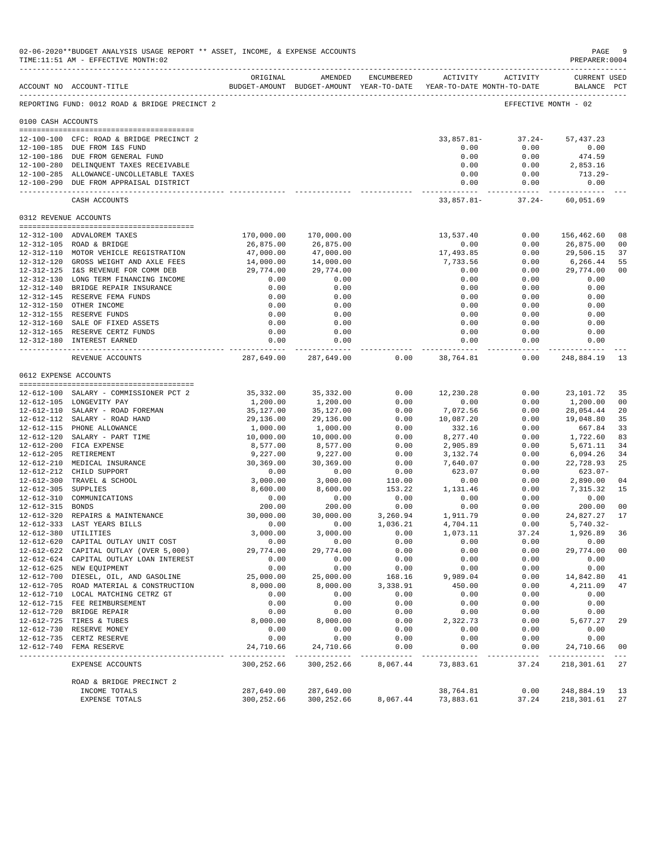| 02-06-2020**BUDGET ANALYSIS USAGE REPORT ** ASSET, INCOME, & EXPENSE ACCOUNTS<br>TIME: 11:51 AM - EFFECTIVE MONTH: 02 |                                                                     |                            |                            |                |                                                                                        |                      |                                    | PAGE<br>-9<br>PREPARER: 0004 |
|-----------------------------------------------------------------------------------------------------------------------|---------------------------------------------------------------------|----------------------------|----------------------------|----------------|----------------------------------------------------------------------------------------|----------------------|------------------------------------|------------------------------|
|                                                                                                                       | ACCOUNT NO ACCOUNT-TITLE                                            | ORIGINAL                   | AMENDED                    | ENCUMBERED     | <b>ACTIVITY</b><br>BUDGET-AMOUNT BUDGET-AMOUNT YEAR-TO-DATE YEAR-TO-DATE MONTH-TO-DATE | ACTIVITY             | <b>CURRENT USED</b><br>BALANCE PCT |                              |
|                                                                                                                       | REPORTING FUND: 0012 ROAD & BRIDGE PRECINCT 2                       |                            |                            |                |                                                                                        | EFFECTIVE MONTH - 02 |                                    |                              |
| 0100 CASH ACCOUNTS                                                                                                    |                                                                     |                            |                            |                |                                                                                        |                      |                                    |                              |
|                                                                                                                       | 12-100-100 CFC: ROAD & BRIDGE PRECINCT 2                            |                            |                            |                | 33,857.81-                                                                             | $37.24-$             | 57, 437.23                         |                              |
|                                                                                                                       | 12-100-185 DUE FROM I&S FUND                                        |                            |                            |                | 0.00                                                                                   | 0.00                 | 0.00                               |                              |
|                                                                                                                       | 12-100-186 DUE FROM GENERAL FUND                                    |                            |                            |                | 0.00                                                                                   | 0.00                 | 474.59                             |                              |
|                                                                                                                       | 12-100-280 DELINQUENT TAXES RECEIVABLE                              |                            |                            |                | 0.00                                                                                   | 0.00                 | 2,853.16                           |                              |
|                                                                                                                       | 12-100-285 ALLOWANCE-UNCOLLETABLE TAXES                             |                            |                            |                | 0.00                                                                                   | 0.00                 | 713.29-                            |                              |
|                                                                                                                       | 12-100-290 DUE FROM APPRAISAL DISTRICT                              |                            |                            |                | 0.00<br>------------                                                                   | 0.00<br>------------ | 0.00                               |                              |
|                                                                                                                       | CASH ACCOUNTS                                                       |                            |                            |                | $33,857.81-$                                                                           | $37.24-$             | 60,051.69                          |                              |
| 0312 REVENUE ACCOUNTS                                                                                                 |                                                                     |                            |                            |                |                                                                                        |                      |                                    |                              |
|                                                                                                                       | 12-312-100 ADVALOREM TAXES                                          | 170,000.00                 | 170,000.00                 |                | 13,537.40                                                                              | 0.00                 | 156,462.60                         | 08                           |
|                                                                                                                       | 12-312-105 ROAD & BRIDGE                                            | 26,875.00                  | 26,875.00                  |                | 0.00                                                                                   | 0.00                 | 26,875.00                          | 0 <sub>0</sub>               |
|                                                                                                                       | 12-312-110 MOTOR VEHICLE REGISTRATION                               | 47,000.00                  | 47,000.00                  |                | 17,493.85                                                                              | 0.00                 | 29,506.15                          | 37                           |
|                                                                                                                       | 12-312-120 GROSS WEIGHT AND AXLE FEES                               | 14,000.00                  | 14,000.00                  |                | 7,733.56                                                                               | 0.00                 | 6,266.44                           | 55                           |
|                                                                                                                       | 12-312-125 I&S REVENUE FOR COMM DEB                                 | 29,774.00                  | 29,774.00                  |                | 0.00                                                                                   | 0.00                 | 29,774.00                          | 00                           |
|                                                                                                                       | 12-312-130 LONG TERM FINANCING INCOME                               | 0.00                       | 0.00                       |                | 0.00                                                                                   | 0.00                 | 0.00                               |                              |
|                                                                                                                       | 12-312-140 BRIDGE REPAIR INSURANCE                                  | 0.00                       | 0.00                       |                | 0.00                                                                                   | 0.00                 | 0.00                               |                              |
|                                                                                                                       | 12-312-145 RESERVE FEMA FUNDS                                       | 0.00                       | 0.00                       |                | 0.00                                                                                   | 0.00                 | 0.00                               |                              |
|                                                                                                                       | 12-312-150 OTHER INCOME<br>12-312-155 RESERVE FUNDS                 | 0.00<br>0.00               | 0.00<br>0.00               |                | 0.00<br>0.00                                                                           | 0.00<br>0.00         | 0.00<br>0.00                       |                              |
|                                                                                                                       | 12-312-160 SALE OF FIXED ASSETS                                     | 0.00                       | 0.00                       |                | 0.00                                                                                   | 0.00                 | 0.00                               |                              |
|                                                                                                                       | 12-312-165 RESERVE CERTZ FUNDS                                      | 0.00                       | 0.00                       |                | 0.00                                                                                   | 0.00                 | 0.00                               |                              |
|                                                                                                                       | 12-312-180 INTEREST EARNED                                          | 0.00                       | 0.00                       |                | 0.00                                                                                   | 0.00                 | 0.00                               |                              |
|                                                                                                                       | REVENUE ACCOUNTS                                                    | ---------                  | 287,649.00 287,649.00      | 0.00           | 38,764.81                                                                              | 0.00                 | 248,884.19                         | -13                          |
| 0612 EXPENSE ACCOUNTS                                                                                                 |                                                                     |                            |                            |                |                                                                                        |                      |                                    |                              |
|                                                                                                                       | 12-612-100 SALARY - COMMISSIONER PCT 2                              | 35,332.00                  | 35,332.00                  | 0.00           | 12,230.28                                                                              | 0.00                 | 23,101.72                          | 35                           |
|                                                                                                                       | 12-612-105 LONGEVITY PAY                                            | 1,200.00                   | 1,200.00                   | 0.00           | 0.00                                                                                   | 0.00                 | 1,200.00                           | 0 <sub>0</sub>               |
|                                                                                                                       | 12-612-110 SALARY - ROAD FOREMAN                                    | 35,127.00                  | 35,127.00                  | 0.00           | 7,072.56                                                                               | 0.00                 | 28,054.44                          | 20                           |
|                                                                                                                       | 12-612-112 SALARY - ROAD HAND                                       | 29,136.00                  | 29,136.00                  | 0.00           | 10,087.20                                                                              | 0.00                 | 19,048.80                          | 35                           |
|                                                                                                                       | 12-612-115 PHONE ALLOWANCE                                          | 1,000.00                   | 1,000.00                   | 0.00           | 332.16                                                                                 | 0.00                 | 667.84                             | 33                           |
|                                                                                                                       | 12-612-120 SALARY - PART TIME                                       | 10,000.00                  | 10,000.00                  | 0.00           | 8,277.40                                                                               | 0.00                 | 1,722.60                           | 83                           |
|                                                                                                                       | 12-612-200 FICA EXPENSE                                             | 8,577.00                   | 8,577.00                   | 0.00           | 2,905.89                                                                               | 0.00                 | 5,671.11                           | 34                           |
|                                                                                                                       | 12-612-205 RETIREMENT                                               | 9,227.00                   | 9,227.00                   | 0.00           | 3,132.74                                                                               | 0.00                 | 6,094.26                           | 34                           |
|                                                                                                                       | 12-612-210 MEDICAL INSURANCE                                        | 30,369.00                  | 30,369.00                  | 0.00           | 7,640.07                                                                               | 0.00                 | 22,728.93                          | 25                           |
|                                                                                                                       | 12-612-212 CHILD SUPPORT<br>12-612-300 TRAVEL & SCHOOL              | 0.00<br>3,000.00           | 0.00<br>3,000.00           | 0.00<br>110.00 | 623.07<br>0.00                                                                         | 0.00<br>0.00         | $623.07 -$<br>2,890.00             | 04                           |
| 12-612-305 SUPPLIES                                                                                                   |                                                                     | 8,600.00                   | 8,600.00                   | 153.22         | 1,131.46                                                                               | 0.00                 | 7,315.32                           | 15                           |
|                                                                                                                       | 12-612-310 COMMUNICATIONS                                           | 0.00                       | 0.00                       | 0.00           | 0.00                                                                                   | 0.00                 | 0.00                               |                              |
| 12-612-315 BONDS                                                                                                      |                                                                     | 200.00                     | 200.00                     | 0.00           | 0.00                                                                                   | 0.00                 | 200.00                             | 0 <sub>0</sub>               |
|                                                                                                                       | 12-612-320 REPAIRS & MAINTENANCE                                    | 30,000.00                  | 30,000.00                  | 3,260.94       | 1,911.79                                                                               | 0.00                 | 24,827.27                          | 17                           |
|                                                                                                                       | 12-612-333 LAST YEARS BILLS                                         | 0.00                       | 0.00                       | 1,036.21       | 4,704.11                                                                               | 0.00                 | 5,740.32-                          |                              |
| 12-612-380 UTILITIES                                                                                                  |                                                                     | 3,000.00                   | 3,000.00                   | 0.00           | 1,073.11                                                                               | 37.24                | 1,926.89                           | 36                           |
|                                                                                                                       | 12-612-620 CAPITAL OUTLAY UNIT COST                                 | 0.00                       | 0.00                       | 0.00           | 0.00                                                                                   | 0.00                 | 0.00                               |                              |
|                                                                                                                       | 12-612-622 CAPITAL OUTLAY (OVER 5,000)                              | 29,774.00                  | 29,774.00                  | 0.00           | 0.00                                                                                   | 0.00                 | 29,774.00                          | 0 <sub>0</sub>               |
|                                                                                                                       | 12-612-624 CAPITAL OUTLAY LOAN INTEREST<br>12-612-625 NEW EQUIPMENT | 0.00<br>0.00               | 0.00<br>0.00               | 0.00<br>0.00   | 0.00<br>0.00                                                                           | 0.00<br>0.00         | 0.00<br>0.00                       |                              |
|                                                                                                                       | 12-612-700 DIESEL, OIL, AND GASOLINE                                | 25,000.00                  | 25,000.00                  | 168.16         | 9,989.04                                                                               | 0.00                 | 14,842.80                          | 41                           |
|                                                                                                                       | 12-612-705 ROAD MATERIAL & CONSTRUCTION                             | 8,000.00                   | 8,000.00                   | 3,338.91       | 450.00                                                                                 | 0.00                 | 4,211.09                           | 47                           |
|                                                                                                                       | 12-612-710 LOCAL MATCHING CETRZ GT                                  | 0.00                       | 0.00                       | 0.00           | 0.00                                                                                   | 0.00                 | 0.00                               |                              |
|                                                                                                                       | 12-612-715 FEE REIMBURSEMENT                                        | 0.00                       | 0.00                       | 0.00           | 0.00                                                                                   | 0.00                 | 0.00                               |                              |
|                                                                                                                       | 12-612-720 BRIDGE REPAIR                                            | 0.00                       | 0.00                       | 0.00           | 0.00                                                                                   | 0.00                 | 0.00                               |                              |
|                                                                                                                       | 12-612-725 TIRES & TUBES                                            | 8,000.00                   | 8,000.00                   | 0.00           | 2,322.73                                                                               | 0.00                 | 5,677.27                           | 29                           |
|                                                                                                                       | 12-612-730 RESERVE MONEY                                            | 0.00                       | 0.00                       | 0.00           | 0.00                                                                                   | 0.00                 | 0.00                               |                              |
|                                                                                                                       | 12-612-735 CERTZ RESERVE                                            | 0.00                       | 0.00                       | 0.00           | 0.00                                                                                   | 0.00                 | 0.00                               |                              |
|                                                                                                                       | 12-612-740 FEMA RESERVE                                             | 24,710.66<br>------------- | 24,710.66<br>------------- | 0.00<br>.      | 0.00<br>.                                                                              | 0.00<br>.            | 24,710.66<br>--------------        | 0 <sub>0</sub>               |
|                                                                                                                       | EXPENSE ACCOUNTS                                                    | 300,252.66                 | 300,252.66                 | 8,067.44       | 73,883.61                                                                              | 37.24                | 218,301.61                         | 27                           |
|                                                                                                                       | ROAD & BRIDGE PRECINCT 2                                            |                            |                            |                |                                                                                        |                      |                                    |                              |
|                                                                                                                       | INCOME TOTALS<br>EXPENSE TOTALS                                     | 287,649.00<br>300,252.66   | 287,649.00<br>300,252.66   | 8,067.44       | 38,764.81<br>73,883.61                                                                 | 0.00<br>37.24        | 248,884.19<br>218,301.61           | 13<br>27                     |
|                                                                                                                       |                                                                     |                            |                            |                |                                                                                        |                      |                                    |                              |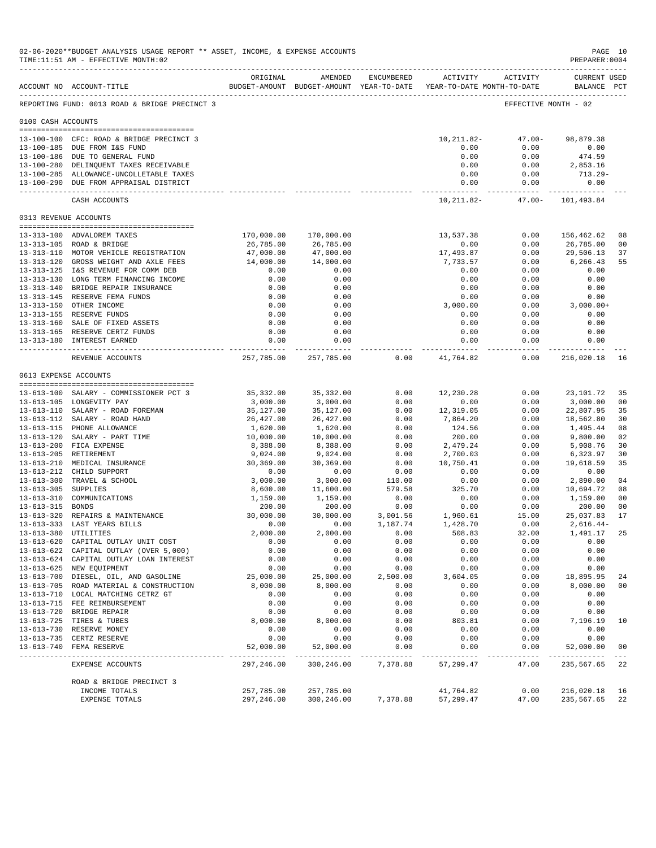|                       | 02-06-2020**BUDGET ANALYSIS USAGE REPORT ** ASSET, INCOME, & EXPENSE ACCOUNTS<br>TIME:11:51 AM - EFFECTIVE MONTH:02<br>________________________________ |                         |                         |              |                                                                     |                     | PAGE 10<br>PREPARER: 0004   |                      |
|-----------------------|---------------------------------------------------------------------------------------------------------------------------------------------------------|-------------------------|-------------------------|--------------|---------------------------------------------------------------------|---------------------|-----------------------------|----------------------|
|                       | ACCOUNT NO ACCOUNT-TITLE                                                                                                                                | ORIGINAL                | AMENDED                 | ENCUMBERED   | BUDGET-AMOUNT BUDGET-AMOUNT YEAR-TO-DATE YEAR-TO-DATE MONTH-TO-DATE | ACTIVITY ACTIVITY   | CURRENT USED<br>BALANCE PCT |                      |
|                       | REPORTING FUND: 0013 ROAD & BRIDGE PRECINCT 3                                                                                                           |                         |                         |              |                                                                     |                     | EFFECTIVE MONTH - 02        |                      |
| 0100 CASH ACCOUNTS    |                                                                                                                                                         |                         |                         |              |                                                                     |                     |                             |                      |
|                       |                                                                                                                                                         |                         |                         |              |                                                                     |                     |                             |                      |
|                       | 13-100-100 CFC: ROAD & BRIDGE PRECINCT 3                                                                                                                |                         |                         |              | 10,211.82-                                                          | $47.00 -$           | 98,879.38                   |                      |
|                       | 13-100-185 DUE FROM I&S FUND<br>13-100-186 DUE TO GENERAL FUND                                                                                          |                         |                         |              | 0.00<br>0.00                                                        | 0.00                | 0.00                        |                      |
|                       | 13-100-280 DELINQUENT TAXES RECEIVABLE                                                                                                                  |                         |                         |              | 0.00                                                                | 0.00<br>0.00        | 474.59<br>2,853.16          |                      |
|                       | 13-100-285 ALLOWANCE-UNCOLLETABLE TAXES                                                                                                                 |                         |                         |              | 0.00                                                                | 0.00                | 713.29-                     |                      |
|                       | 13-100-290 DUE FROM APPRAISAL DISTRICT                                                                                                                  |                         |                         |              | 0.00                                                                | 0.00                | 0.00                        |                      |
|                       | CASH ACCOUNTS                                                                                                                                           |                         |                         |              | ------------<br>10,211.82-                                          | .<br>$47.00 -$      | 101,493.84                  |                      |
| 0313 REVENUE ACCOUNTS |                                                                                                                                                         |                         |                         |              |                                                                     |                     |                             |                      |
|                       |                                                                                                                                                         |                         |                         |              |                                                                     |                     |                             |                      |
|                       | 13-313-100 ADVALOREM TAXES<br>13-313-105 ROAD & BRIDGE                                                                                                  | 170,000.00<br>26,785.00 | 170,000.00<br>26,785.00 |              | 13,537.38<br>0.00                                                   | 0.00<br>0.00        | 156,462.62<br>26,785.00     | 08<br>00             |
|                       | 13-313-110 MOTOR VEHICLE REGISTRATION                                                                                                                   | 47,000.00               | 47,000.00               |              | 17,493.87                                                           | 0.00                | 29,506.13                   | 37                   |
|                       | 13-313-120 GROSS WEIGHT AND AXLE FEES                                                                                                                   | 14,000.00               | 14,000.00               |              | 7,733.57                                                            | 0.00                | 6,266.43                    | 55                   |
|                       | 13-313-125 I&S REVENUE FOR COMM DEB                                                                                                                     | 0.00                    | 0.00                    |              | 0.00                                                                | 0.00                | 0.00                        |                      |
|                       | 13-313-130 LONG TERM FINANCING INCOME                                                                                                                   | 0.00                    | 0.00                    |              | 0.00                                                                | 0.00                | 0.00                        |                      |
|                       | 13-313-140 BRIDGE REPAIR INSURANCE                                                                                                                      | 0.00                    | 0.00                    |              | 0.00                                                                | 0.00                | 0.00                        |                      |
|                       | 13-313-145 RESERVE FEMA FUNDS                                                                                                                           | 0.00                    | 0.00                    |              | 0.00                                                                | 0.00                | 0.00                        |                      |
|                       | 13-313-150 OTHER INCOME                                                                                                                                 | 0.00                    | 0.00                    |              | 3,000.00                                                            | 0.00                | $3,000.00+$                 |                      |
|                       | 13-313-155 RESERVE FUNDS                                                                                                                                | 0.00                    | 0.00                    |              | 0.00                                                                | 0.00                | 0.00                        |                      |
|                       | 13-313-160 SALE OF FIXED ASSETS                                                                                                                         | 0.00                    | 0.00                    |              | 0.00                                                                | 0.00                | 0.00                        |                      |
|                       | 13-313-165 RESERVE CERTZ FUNDS                                                                                                                          | 0.00                    | 0.00                    |              | 0.00                                                                | 0.00                | 0.00                        |                      |
|                       | 13-313-180 INTEREST EARNED                                                                                                                              | 0.00                    | 0.00<br>-------------   |              | 0.00<br>. <u>.</u>                                                  | 0.00<br>----------- | 0.00<br>-----------         |                      |
|                       | REVENUE ACCOUNTS                                                                                                                                        | 257,785.00              | 257,785.00              | 0.00         | 41,764.82                                                           | 0.00                | 216,020.18                  | 16                   |
|                       | 0613 EXPENSE ACCOUNTS                                                                                                                                   |                         |                         |              |                                                                     |                     |                             |                      |
|                       |                                                                                                                                                         |                         |                         |              |                                                                     |                     |                             |                      |
|                       | 13-613-100 SALARY - COMMISSIONER PCT 3                                                                                                                  | 35,332.00               | 35,332.00               | 0.00         | 12,230.28                                                           | 0.00                | 23,101.72                   | 35                   |
|                       | 13-613-105 LONGEVITY PAY<br>13-613-110 SALARY - ROAD FOREMAN                                                                                            | 3,000.00<br>35,127.00   | 3,000.00<br>35,127.00   | 0.00<br>0.00 | 0.00<br>12,319.05                                                   | 0.00<br>0.00        | 3,000.00<br>22,807.95       | 0 <sup>0</sup><br>35 |
|                       | 13-613-112 SALARY - ROAD HAND                                                                                                                           | 26,427.00               | 26,427.00               | 0.00         | 7,864.20                                                            | 0.00                | 18,562.80                   | 30                   |
|                       | 13-613-115 PHONE ALLOWANCE                                                                                                                              | 1,620.00                | 1,620.00                | 0.00         | 124.56                                                              | 0.00                | 1,495.44                    | 08                   |
|                       | 13-613-120 SALARY - PART TIME                                                                                                                           | 10,000.00               | 10,000.00               | 0.00         | 200.00                                                              | 0.00                | 9,800.00                    | 02                   |
|                       | 13-613-200 FICA EXPENSE                                                                                                                                 | 8,388.00                | 8,388.00                | 0.00         | 2,479.24                                                            | 0.00                | 5,908.76                    | 30                   |
|                       | 13-613-205 RETIREMENT                                                                                                                                   | 9,024.00                | 9,024.00                | 0.00         | 2,700.03                                                            | 0.00                | 6,323.97                    | 30                   |
|                       | 13-613-210 MEDICAL INSURANCE                                                                                                                            | 30,369.00               | 30,369.00               | 0.00         | 10,750.41                                                           | 0.00                | 19,618.59                   | 35                   |
|                       | 13-613-212 CHILD SUPPORT                                                                                                                                | 0.00                    | 0.00                    | 0.00         | 0.00                                                                | 0.00                | 0.00                        |                      |
|                       | 13-613-300 TRAVEL & SCHOOL                                                                                                                              | 3,000.00                | 3,000.00                | 110.00       | 0.00                                                                | 0.00                | 2,890.00                    | 04                   |
| 13-613-305 SUPPLIES   |                                                                                                                                                         | 8,600.00                | 11,600.00               | 579.58       | 325.70                                                              | 0.00                | 10,694.72                   | 08                   |
|                       | 13-613-310 COMMUNICATIONS                                                                                                                               | 1,159.00                | 1,159.00                | 0.00         | 0.00                                                                | 0.00                | 1,159.00                    | 0 <sup>0</sup>       |
| 13-613-315 BONDS      |                                                                                                                                                         | 200.00                  | 200.00                  | 0.00         | 0.00                                                                | 0.00                | 200.00                      | 0 <sub>0</sub>       |
|                       | 13-613-320 REPAIRS & MAINTENANCE                                                                                                                        | 30,000.00<br>0.00       | 30,000.00               | 3,001.56     | 1,960.61                                                            | 15.00<br>0.00       | 25,037.83                   | 17                   |
|                       | 13-613-333 LAST YEARS BILLS                                                                                                                             |                         | 0.00                    | 1,187.74     | 1,428.70                                                            |                     | $2,616.44-$                 |                      |
|                       | 13-613-380 UTILITIES<br>13-613-620 CAPITAL OUTLAY UNIT COST                                                                                             | 2,000.00<br>0.00        | 2,000.00<br>0.00        | 0.00<br>0.00 | 508.83<br>0.00                                                      | 32.00<br>0.00       | 1,491.17<br>0.00            | 25                   |
|                       | 13-613-622 CAPITAL OUTLAY (OVER 5,000)                                                                                                                  | 0.00                    | 0.00                    | 0.00         | 0.00                                                                | 0.00                | 0.00                        |                      |
|                       | 13-613-624 CAPITAL OUTLAY LOAN INTEREST                                                                                                                 | 0.00                    | 0.00                    | 0.00         | 0.00                                                                | 0.00                | 0.00                        |                      |
|                       | 13-613-625 NEW EQUIPMENT                                                                                                                                | 0.00                    | 0.00                    | 0.00         | 0.00                                                                | 0.00                | 0.00                        |                      |
|                       | 13-613-700 DIESEL, OIL, AND GASOLINE                                                                                                                    | 25,000.00               | 25,000.00               | 2,500.00     | 3,604.05                                                            | 0.00                | 18,895.95                   | 24                   |
|                       | 13-613-705 ROAD MATERIAL & CONSTRUCTION                                                                                                                 | 8,000.00                | 8,000.00                | 0.00         | 0.00                                                                | 0.00                | 8,000.00                    | 0 <sub>0</sub>       |
|                       | 13-613-710 LOCAL MATCHING CETRZ GT                                                                                                                      | 0.00                    | 0.00                    | 0.00         | 0.00                                                                | 0.00                | 0.00                        |                      |
|                       | 13-613-715 FEE REIMBURSEMENT                                                                                                                            | 0.00                    | 0.00                    | 0.00         | 0.00                                                                | 0.00                | 0.00                        |                      |
|                       | 13-613-720 BRIDGE REPAIR                                                                                                                                | 0.00                    | 0.00                    | 0.00         | 0.00                                                                | 0.00                | 0.00                        |                      |
|                       | 13-613-725 TIRES & TUBES                                                                                                                                | 8,000.00                | 8,000.00                | 0.00         | 803.81                                                              | 0.00                | 7,196.19                    | 10                   |
|                       | 13-613-730 RESERVE MONEY                                                                                                                                | 0.00                    | 0.00                    | 0.00         | 0.00                                                                | 0.00                | 0.00                        |                      |
|                       | 13-613-735 CERTZ RESERVE                                                                                                                                | 0.00                    | 0.00                    | 0.00         | 0.00                                                                | 0.00                | 0.00                        |                      |
| $13 - 613 - 740$      | FEMA RESERVE                                                                                                                                            | 52,000.00               | 52,000.00               | 0.00         | 0.00                                                                | 0.00                | 52,000.00                   | 0 <sub>0</sub>       |
|                       | <b>EXPENSE ACCOUNTS</b>                                                                                                                                 | 297,246.00              | 300,246.00              | 7,378.88     | 57,299.47                                                           | 47.00               | 235,567.65                  | 22                   |
|                       | ROAD & BRIDGE PRECINCT 3                                                                                                                                |                         |                         |              |                                                                     |                     |                             |                      |
|                       | INCOME TOTALS                                                                                                                                           | 257,785.00              | 257,785.00              |              | 41,764.82                                                           | 0.00                | 216,020.18                  | 16                   |
|                       | EXPENSE TOTALS                                                                                                                                          | 297,246.00              | 300,246.00              | 7,378.88     | 57,299.47                                                           | 47.00               | 235,567.65                  | 22                   |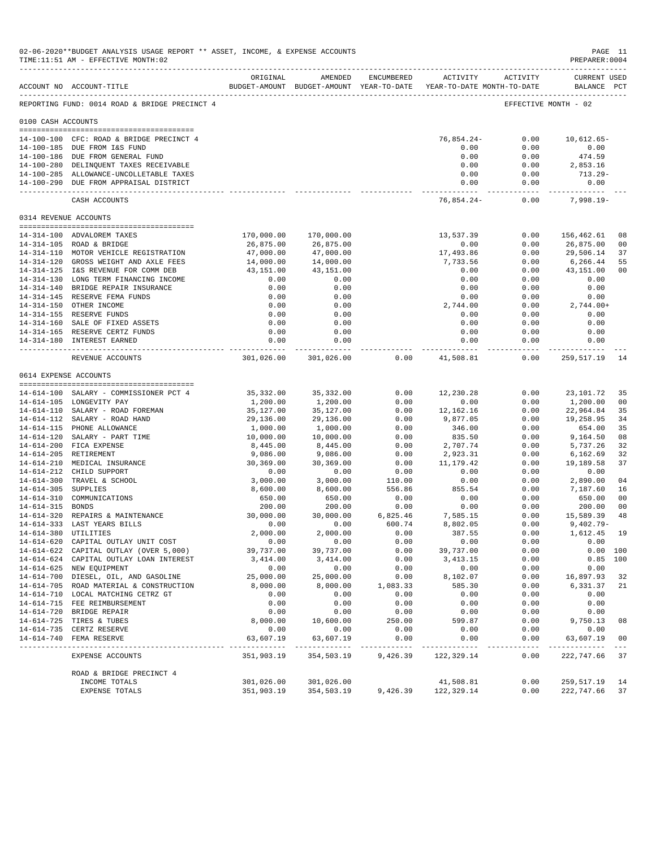|                       | 02-06-2020**BUDGET ANALYSIS USAGE REPORT ** ASSET, INCOME, & EXPENSE ACCOUNTS<br>TIME:11:51 AM - EFFECTIVE MONTH:02 |                           |                                                                                |                     |                              |                      | PAGE 11<br>PREPARER: 0004          |            |
|-----------------------|---------------------------------------------------------------------------------------------------------------------|---------------------------|--------------------------------------------------------------------------------|---------------------|------------------------------|----------------------|------------------------------------|------------|
|                       | ACCOUNT NO ACCOUNT-TITLE                                                                                            | ORIGINAL                  | AMENDED<br>BUDGET-AMOUNT BUDGET-AMOUNT YEAR-TO-DATE YEAR-TO-DATE MONTH-TO-DATE | ENCUMBERED          |                              | ACTIVITY ACTIVITY    | <b>CURRENT USED</b><br>BALANCE PCT |            |
|                       | REPORTING FUND: 0014 ROAD & BRIDGE PRECINCT 4                                                                       |                           |                                                                                |                     |                              |                      | EFFECTIVE MONTH - 02               |            |
| 0100 CASH ACCOUNTS    |                                                                                                                     |                           |                                                                                |                     |                              |                      |                                    |            |
|                       | 14-100-100 CFC: ROAD & BRIDGE PRECINCT 4                                                                            |                           |                                                                                |                     | 76,854.24-                   | 0.00                 | $10,612.65-$                       |            |
|                       | 14-100-185 DUE FROM I&S FUND                                                                                        |                           |                                                                                |                     | 0.00                         | 0.00                 | 0.00                               |            |
|                       | 14-100-186 DUE FROM GENERAL FUND                                                                                    |                           |                                                                                |                     | 0.00                         | 0.00                 | 474.59                             |            |
|                       | 14-100-280 DELINQUENT TAXES RECEIVABLE                                                                              |                           |                                                                                |                     | 0.00                         | 0.00                 | 2,853.16                           |            |
|                       | 14-100-285 ALLOWANCE-UNCOLLETABLE TAXES<br>14-100-290 DUE FROM APPRAISAL DISTRICT                                   |                           |                                                                                |                     | 0.00<br>0.00                 | 0.00<br>0.00         | 713.29-<br>0.00                    |            |
|                       | CASH ACCOUNTS                                                                                                       |                           |                                                                                |                     | --------------<br>76,854.24- | ------------<br>0.00 | -----------<br>$7,998.19-$         |            |
| 0314 REVENUE ACCOUNTS |                                                                                                                     |                           |                                                                                |                     |                              |                      |                                    |            |
|                       | 14-314-100 ADVALOREM TAXES                                                                                          | 170,000.00                | 170,000.00                                                                     |                     | 13,537.39                    | 0.00                 | 156,462.61                         | 08         |
|                       | 14-314-105 ROAD & BRIDGE                                                                                            | 26,875.00                 | 26,875.00                                                                      |                     | 0.00                         | 0.00                 | 26,875.00                          | 00         |
|                       | 14-314-110 MOTOR VEHICLE REGISTRATION                                                                               | 47,000.00                 | 47,000.00                                                                      |                     | 17,493.86                    | 0.00                 | 29,506.14                          | 37         |
|                       | 14-314-120 GROSS WEIGHT AND AXLE FEES                                                                               | 14,000.00                 | 14,000.00                                                                      |                     | 7,733.56                     | 0.00                 | 6,266.44                           | 55         |
|                       | 14-314-125 I&S REVENUE FOR COMM DEB<br>14-314-130 LONG TERM FINANCING INCOME                                        | 43,151.00<br>0.00         | 43,151.00<br>0.00                                                              |                     | 0.00<br>0.00                 | 0.00<br>0.00         | 43,151.00<br>0.00                  | 00         |
|                       | 14-314-140 BRIDGE REPAIR INSURANCE                                                                                  | 0.00                      | 0.00                                                                           |                     | 0.00                         | 0.00                 | 0.00                               |            |
|                       | 14-314-145 RESERVE FEMA FUNDS                                                                                       | 0.00                      | 0.00                                                                           |                     | 0.00                         | 0.00                 | 0.00                               |            |
|                       | 14-314-150 OTHER INCOME                                                                                             | 0.00                      | 0.00                                                                           |                     | 2,744.00                     | 0.00                 | $2,744.00+$                        |            |
|                       | 14-314-155 RESERVE FUNDS                                                                                            | 0.00                      | 0.00                                                                           |                     | 0.00                         | 0.00                 | 0.00                               |            |
|                       | 14-314-160 SALE OF FIXED ASSETS                                                                                     | 0.00                      | 0.00                                                                           |                     | 0.00                         | 0.00                 | 0.00                               |            |
|                       | 14-314-165 RESERVE CERTZ FUNDS<br>14-314-180 INTEREST EARNED                                                        | 0.00<br>0.00              | 0.00<br>0.00                                                                   |                     | 0.00<br>0.00                 | 0.00<br>0.00         | 0.00<br>0.00                       |            |
|                       | REVENUE ACCOUNTS                                                                                                    | 301,026.00                | ------------<br>301,026.00                                                     | 0.00                | ------------<br>41,508.81    | ----------<br>0.00   | -----------<br>259,517.19          | 14         |
| 0614 EXPENSE ACCOUNTS |                                                                                                                     |                           |                                                                                |                     |                              |                      |                                    |            |
|                       |                                                                                                                     |                           |                                                                                |                     |                              |                      |                                    |            |
|                       | 14-614-100 SALARY - COMMISSIONER PCT 4<br>14-614-105 LONGEVITY PAY                                                  | 35,332.00<br>1,200.00     | 35,332.00                                                                      | 0.00<br>0.00        | 12,230.28<br>0.00            | 0.00<br>0.00         | 23, 101.72                         | 35<br>00   |
|                       | 14-614-110 SALARY - ROAD FOREMAN                                                                                    | 35,127.00                 | 1,200.00<br>35,127.00                                                          | 0.00                | 12,162.16                    | 0.00                 | 1,200.00<br>22,964.84              | 35         |
|                       | 14-614-112 SALARY - ROAD HAND                                                                                       | 29,136.00                 | 29,136.00                                                                      | 0.00                | 9,877.05                     | 0.00                 | 19,258.95                          | 34         |
|                       | 14-614-115 PHONE ALLOWANCE                                                                                          | 1,000.00                  | 1,000.00                                                                       | 0.00                | 346.00                       | 0.00                 | 654.00                             | 35         |
|                       | 14-614-120 SALARY - PART TIME                                                                                       | 10,000.00                 | 10,000.00                                                                      | 0.00                | 835.50                       | 0.00                 | 9,164.50                           | 08         |
|                       | 14-614-200 FICA EXPENSE                                                                                             | 8,445.00                  | 8,445.00                                                                       | 0.00                | 2,707.74                     | 0.00                 | 5,737.26                           | 32         |
|                       | 14-614-205 RETIREMENT<br>14-614-210 MEDICAL INSURANCE                                                               | 9,086.00<br>30,369.00     | 9,086.00<br>30,369.00                                                          | 0.00<br>0.00        | 2,923.31<br>11,179.42        | 0.00<br>0.00         | 6,162.69<br>19,189.58              | 32<br>37   |
|                       | 14-614-212 CHILD SUPPORT                                                                                            | 0.00                      | 0.00                                                                           | 0.00                | 0.00                         | 0.00                 | 0.00                               |            |
|                       | 14-614-300 TRAVEL & SCHOOL                                                                                          | 3,000.00                  | 3,000.00                                                                       | 110.00              | 0.00                         | 0.00                 | 2,890.00                           | 04         |
| 14-614-305 SUPPLIES   |                                                                                                                     | 8,600.00                  | 8,600.00                                                                       | 556.86              | 855.54                       | 0.00                 | 7,187.60                           | 16         |
| $14 - 614 - 310$      | COMMUNICATIONS                                                                                                      | 650.00                    | 650.00                                                                         | 0.00                | 0.00                         | 0.00                 | 650.00                             | 00         |
| 14-614-315 BONDS      |                                                                                                                     | 200.00                    | 200.00                                                                         | 0.00                | 0.00                         | 0.00                 | 200.00                             | 00         |
|                       | 14-614-320 REPAIRS & MAINTENANCE                                                                                    | 30,000.00                 | 30,000.00                                                                      | 6,825.46            | 7,585.15                     | 0.00                 | 15,589.39                          | 48         |
| 14-614-380 UTILITIES  | 14-614-333 LAST YEARS BILLS                                                                                         | 0.00<br>2,000.00          | 0.00<br>2,000.00                                                               | 600.74<br>0.00      | 8,802.05<br>387.55           | 0.00<br>0.00         | $9,402.79 -$<br>1,612.45 19        |            |
|                       | 14-614-620 CAPITAL OUTLAY UNIT COST                                                                                 | 0.00                      | 0.00                                                                           | 0.00                | 0.00                         | 0.00                 | 0.00                               |            |
|                       | 14-614-622 CAPITAL OUTLAY (OVER 5,000)                                                                              | 39,737.00                 | 39,737.00                                                                      | 0.00                | 39,737.00                    | 0.00                 |                                    | 0.00 100   |
|                       | 14-614-624 CAPITAL OUTLAY LOAN INTEREST                                                                             | 3,414.00                  | 3,414.00                                                                       | 0.00                | 3, 413.15                    | 0.00                 |                                    | $0.85$ 100 |
|                       | 14-614-625 NEW EQUIPMENT                                                                                            | 0.00                      | 0.00                                                                           | 0.00                | 0.00                         | 0.00                 | 0.00                               |            |
|                       | 14-614-700 DIESEL, OIL, AND GASOLINE                                                                                | 25,000.00                 | 25,000.00                                                                      | 0.00                | 8,102.07                     | 0.00                 | 16,897.93                          | 32         |
|                       | 14-614-705 ROAD MATERIAL & CONSTRUCTION                                                                             | 8,000.00                  | 8,000.00                                                                       | 1,083.33            | 585.30                       | 0.00                 | 6, 331.37 21                       |            |
|                       | 14-614-710 LOCAL MATCHING CETRZ GT<br>14-614-715 FEE REIMBURSEMENT                                                  | 0.00<br>0.00              | 0.00<br>0.00                                                                   | 0.00<br>0.00        | 0.00<br>0.00                 | 0.00<br>0.00         | 0.00<br>0.00                       |            |
|                       | 14-614-720 BRIDGE REPAIR                                                                                            | 0.00                      | 0.00                                                                           | 0.00                | 0.00                         | 0.00                 | 0.00                               |            |
|                       | 14-614-725 TIRES & TUBES                                                                                            | 8,000.00                  | 10,600.00                                                                      | 250.00              | 599.87                       | 0.00                 | 9,750.13                           | 08         |
|                       | 14-614-735 CERTZ RESERVE                                                                                            | 0.00                      | 0.00                                                                           | 0.00                | 0.00                         | 0.00                 | 0.00                               |            |
|                       | 14-614-740 FEMA RESERVE                                                                                             | 63,607.19<br>------------ | 63,607.19<br>-------------                                                     | 0.00<br>----------- | 0.00                         | 0.00<br>----------   | 63,607.19<br>.                     | 00         |
|                       | EXPENSE ACCOUNTS                                                                                                    | 351,903.19                | 354,503.19                                                                     | 9,426.39            | 122,329.14                   | 0.00                 | 222, 747.66 37                     |            |
|                       | ROAD & BRIDGE PRECINCT 4                                                                                            |                           |                                                                                |                     |                              |                      |                                    |            |
|                       | INCOME TOTALS<br>EXPENSE TOTALS                                                                                     | 301,026.00<br>351,903.19  | 301,026.00<br>354,503.19                                                       | 9,426.39            | 41,508.81<br>122,329.14      | 0.00<br>0.00         | 259,517.19<br>222,747.66           | 14<br>37   |
|                       |                                                                                                                     |                           |                                                                                |                     |                              |                      |                                    |            |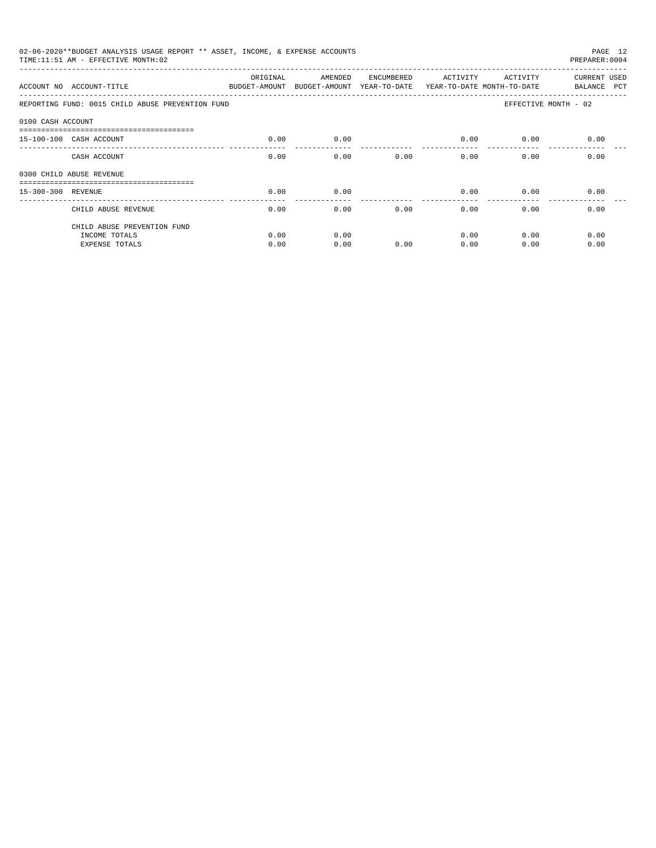|                    | 02-06-2020**BUDGET ANALYSIS USAGE REPORT ** ASSET, INCOME, & EXPENSE ACCOUNTS<br>PAGE 12<br>TIME: 11:51 AM - EFFECTIVE MONTH: 02<br>PREPARER: 0004 |          |                                                                                |            |          |                           |                             |  |  |  |  |
|--------------------|----------------------------------------------------------------------------------------------------------------------------------------------------|----------|--------------------------------------------------------------------------------|------------|----------|---------------------------|-----------------------------|--|--|--|--|
|                    | ACCOUNT NO ACCOUNT-TITLE                                                                                                                           | ORIGINAL | AMENDED<br>BUDGET-AMOUNT BUDGET-AMOUNT YEAR-TO-DATE YEAR-TO-DATE MONTH-TO-DATE | ENCUMBERED | ACTIVITY | ACTIVITY                  | CURRENT USED<br>BALANCE PCT |  |  |  |  |
|                    | REPORTING FUND: 0015 CHILD ABUSE PREVENTION FUND                                                                                                   |          |                                                                                |            |          |                           | EFFECTIVE MONTH - 02        |  |  |  |  |
| 0100 CASH ACCOUNT  |                                                                                                                                                    |          |                                                                                |            |          |                           |                             |  |  |  |  |
|                    | -----------------------------------<br>15-100-100 CASH ACCOUNT                                                                                     | 0.00     | 0.00                                                                           |            | 0.00     | 0.00                      | 0.00                        |  |  |  |  |
|                    | CASH ACCOUNT                                                                                                                                       | 0.00     | 0.00                                                                           | 0.00       |          | $0.00$ and $0.00$<br>0.00 | 0.00                        |  |  |  |  |
|                    | 0300 CHILD ABUSE REVENUE                                                                                                                           |          |                                                                                |            |          |                           |                             |  |  |  |  |
| 15-300-300 REVENUE |                                                                                                                                                    | 0.00     | 0.00                                                                           |            | 0.00     | 0.00                      | 0.00                        |  |  |  |  |
|                    | CHILD ABUSE REVENUE                                                                                                                                | 0.00     | 0.00                                                                           | 0.00       | 0.00     | 0.00                      | 0.00                        |  |  |  |  |
|                    | CHILD ABUSE PREVENTION FUND                                                                                                                        |          |                                                                                |            |          |                           |                             |  |  |  |  |
|                    | INCOME TOTALS                                                                                                                                      | 0.00     | 0.00                                                                           |            | 0.00     | 0.00                      | 0.00                        |  |  |  |  |
|                    | <b>EXPENSE TOTALS</b>                                                                                                                              | 0.00     | 0.00                                                                           | 0.00       | 0.00     | 0.00                      | 0.00                        |  |  |  |  |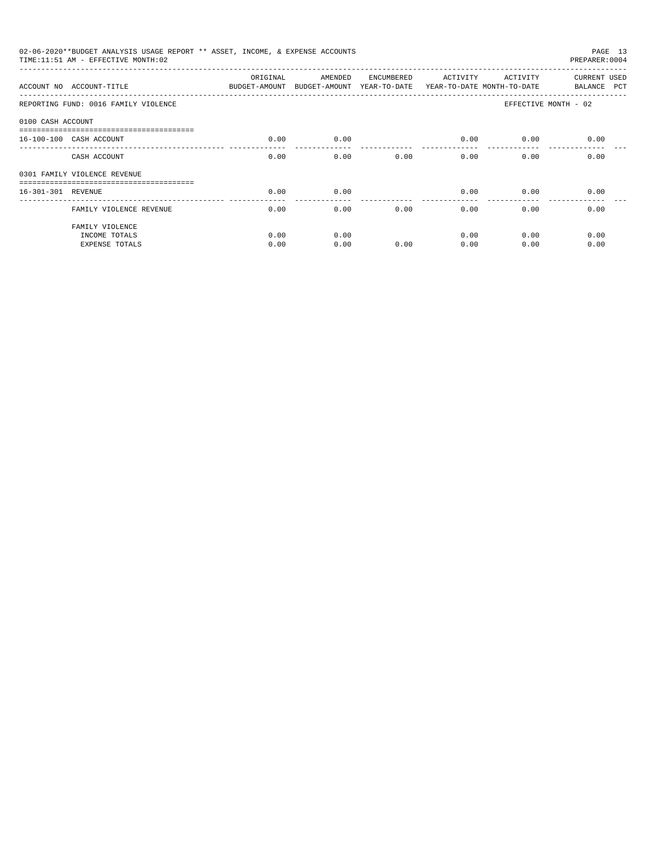|                    | 02-06-2020**BUDGET ANALYSIS USAGE REPORT ** ASSET, INCOME, & EXPENSE ACCOUNTS<br>TIME: 11:51 AM - EFFECTIVE MONTH: 02 |                                                                                 |              |            |                 |              | PAGE 13<br>PREPARER: 0004   |
|--------------------|-----------------------------------------------------------------------------------------------------------------------|---------------------------------------------------------------------------------|--------------|------------|-----------------|--------------|-----------------------------|
|                    | ACCOUNT NO ACCOUNT-TITLE                                                                                              | ORIGINAL<br>BUDGET-AMOUNT BUDGET-AMOUNT YEAR-TO-DATE YEAR-TO-DATE MONTH-TO-DATE | AMENDED      | ENCUMBERED | ACTIVITY        | ACTIVITY     | CURRENT USED<br>BALANCE PCT |
|                    | REPORTING FUND: 0016 FAMILY VIOLENCE                                                                                  |                                                                                 |              |            |                 |              | EFFECTIVE MONTH - 02        |
| 0100 CASH ACCOUNT  |                                                                                                                       |                                                                                 |              |            |                 |              |                             |
|                    | 16-100-100 CASH ACCOUNT                                                                                               | 0.00                                                                            | 0.00         |            | 0.00            | 0.00         | 0.00                        |
|                    | CASH ACCOUNT                                                                                                          | 0.00                                                                            | 0.00         | 0.00       | 0.00            | 0.00         | 0.00                        |
|                    | 0301 FAMILY VIOLENCE REVENUE                                                                                          |                                                                                 |              |            |                 |              |                             |
| 16-301-301 REVENUE |                                                                                                                       | 0.00                                                                            | 0.00         |            | 0.00            | 0.00         | 0.00                        |
|                    | FAMILY VIOLENCE REVENUE                                                                                               | 0.00                                                                            | 0.00         | 0.00       | -------<br>0.00 | 0.00         | 0.00                        |
|                    | FAMILY VIOLENCE<br>INCOME TOTALS<br><b>EXPENSE TOTALS</b>                                                             | 0.00<br>0.00                                                                    | 0.00<br>0.00 | 0.00       | 0.00<br>0.00    | 0.00<br>0.00 | 0.00<br>0.00                |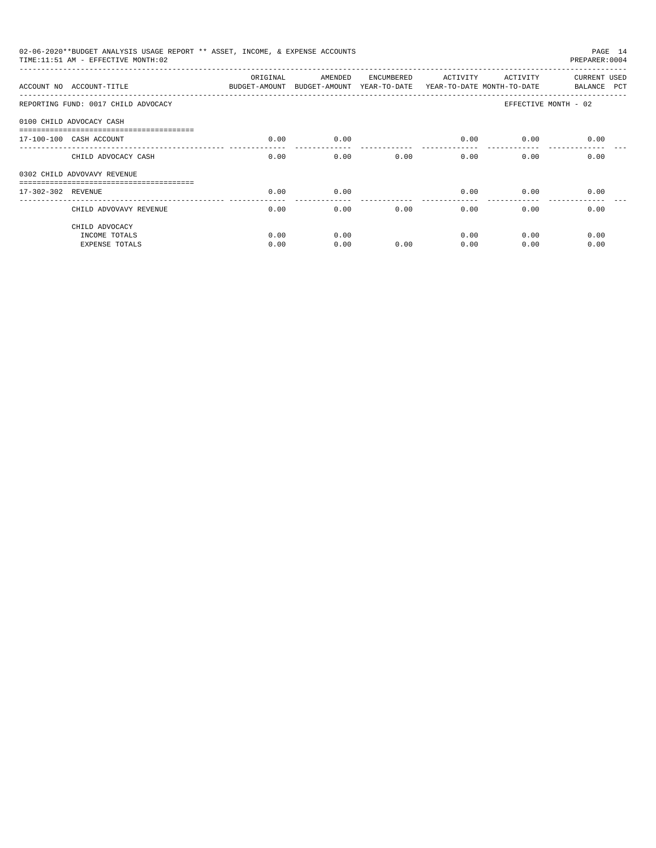| 02-06-2020**BUDGET ANALYSIS USAGE REPORT ** ASSET, INCOME, & EXPENSE ACCOUNTS<br>PAGE 14<br>TIME: 11:51 AM - EFFECTIVE MONTH: 02<br>PREPARER: 0004 |          |         |            |                       |                           |                             |  |  |  |
|----------------------------------------------------------------------------------------------------------------------------------------------------|----------|---------|------------|-----------------------|---------------------------|-----------------------------|--|--|--|
| ACCOUNT NO ACCOUNT-TITLE COMPUT ANOUNT BUDGET-AMOUNT BUDGET-AMOUNT YEAR-TO-DATE YEAR-TO-DATE MONTH-TO-DATE                                         | ORIGINAL | AMENDED | ENCUMBERED | ACTIVITY              | ACTIVITY                  | CURRENT USED<br>BALANCE PCT |  |  |  |
| REPORTING FUND: 0017 CHILD ADVOCACY                                                                                                                |          |         |            |                       |                           | EFFECTIVE MONTH - 02        |  |  |  |
| 0100 CHILD ADVOCACY CASH                                                                                                                           |          |         |            |                       |                           |                             |  |  |  |
| 17-100-100 CASH ACCOUNT                                                                                                                            | 0.00     | 0.00    |            | 0.00                  | 0.00                      | 0.00                        |  |  |  |
| CHILD ADVOCACY CASH                                                                                                                                | 0.00     | 0.00    | 0.00       |                       | 0.00<br>$0.00$ and $0.00$ | 0.00                        |  |  |  |
| 0302 CHILD ADVOVAVY REVENUE                                                                                                                        |          |         |            |                       |                           |                             |  |  |  |
| 17-302-302 REVENUE                                                                                                                                 | 0.00     | 0.00    |            | 0.00                  | 0.00                      | 0.00                        |  |  |  |
| CHILD ADVOVAVY REVENUE                                                                                                                             | 0.00     | 0.00    | 0.00       | $- - - - - -$<br>0.00 | 0.00                      | 0.00                        |  |  |  |
| CHILD ADVOCACY<br>INCOME TOTALS                                                                                                                    | 0.00     | 0.00    |            | 0.00                  | 0.00                      | 0.00                        |  |  |  |
| <b>EXPENSE TOTALS</b>                                                                                                                              | 0.00     | 0.00    | 0.00       | 0.00                  | 0.00                      | 0.00                        |  |  |  |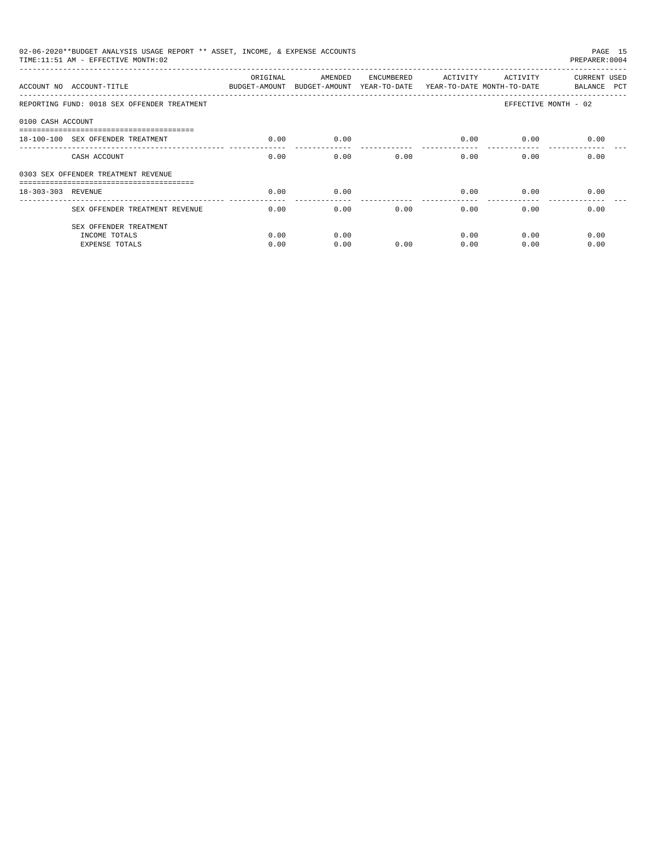| 02-06-2020**BUDGET ANALYSIS USAGE REPORT ** ASSET, INCOME, & EXPENSE ACCOUNTS<br>PAGE 15<br>TIME:11:51 AM - EFFECTIVE MONTH:02<br>PREPARER: 0004 |                                             |                                                                                 |         |            |          |          |                             |  |  |
|--------------------------------------------------------------------------------------------------------------------------------------------------|---------------------------------------------|---------------------------------------------------------------------------------|---------|------------|----------|----------|-----------------------------|--|--|
|                                                                                                                                                  | ACCOUNT NO ACCOUNT-TITLE                    | ORIGINAL<br>BUDGET-AMOUNT BUDGET-AMOUNT YEAR-TO-DATE YEAR-TO-DATE MONTH-TO-DATE | AMENDED | ENCUMBERED | ACTIVITY | ACTIVITY | CURRENT USED<br>BALANCE PCT |  |  |
|                                                                                                                                                  | REPORTING FUND: 0018 SEX OFFENDER TREATMENT |                                                                                 |         |            |          |          | EFFECTIVE MONTH - 02        |  |  |
| 0100 CASH ACCOUNT                                                                                                                                |                                             |                                                                                 |         |            |          |          |                             |  |  |
|                                                                                                                                                  | 18-100-100 SEX OFFENDER TREATMENT           | 0.00                                                                            | 0.00    |            | 0.00     | 0.00     | 0.00                        |  |  |
|                                                                                                                                                  | CASH ACCOUNT                                | 0.00                                                                            | 0.00    | 0.00       | 0.00     | 0.00     | 0.00                        |  |  |
|                                                                                                                                                  | 0303 SEX OFFENDER TREATMENT REVENUE         |                                                                                 |         |            |          |          |                             |  |  |
| 18-303-303 REVENUE                                                                                                                               |                                             | 0.00                                                                            | 0.00    |            | 0.00     | 0.00     | 0.00                        |  |  |
|                                                                                                                                                  | SEX OFFENDER TREATMENT REVENUE              | 0.00                                                                            | 0.00    | 0.00       | 0.00     | 0.00     | 0.00                        |  |  |
|                                                                                                                                                  | SEX OFFENDER TREATMENT                      |                                                                                 |         |            |          |          |                             |  |  |
|                                                                                                                                                  | INCOME TOTALS                               | 0.00                                                                            | 0.00    |            | 0.00     | 0.00     | 0.00                        |  |  |
|                                                                                                                                                  | <b>EXPENSE TOTALS</b>                       | 0.00                                                                            | 0.00    | 0.00       | 0.00     | 0.00     | 0.00                        |  |  |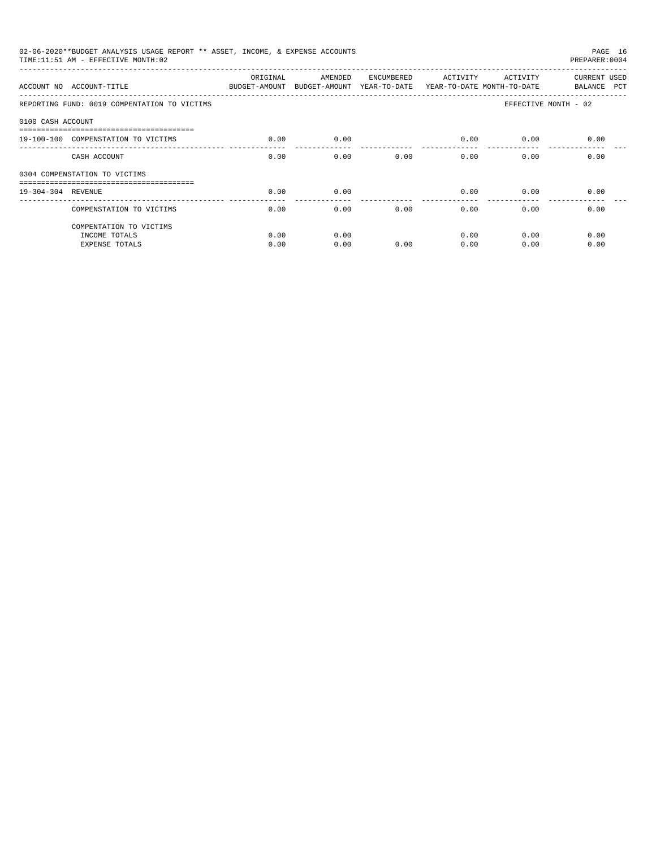| 02-06-2020**BUDGET ANALYSIS USAGE REPORT ** ASSET, INCOME, & EXPENSE ACCOUNTS<br>PAGE 16<br>TIME: 11:51 AM - EFFECTIVE MONTH: 02<br>PREPARER: 0004 |                                                                                                 |          |         |            |          |          |                             |  |  |
|----------------------------------------------------------------------------------------------------------------------------------------------------|-------------------------------------------------------------------------------------------------|----------|---------|------------|----------|----------|-----------------------------|--|--|
|                                                                                                                                                    | ACCOUNT NO ACCOUNT-TITLE<br>BUDGET-AMOUNT BUDGET-AMOUNT YEAR-TO-DATE YEAR-TO-DATE MONTH-TO-DATE | ORIGINAL | AMENDED | ENCUMBERED | ACTIVITY | ACTIVITY | CURRENT USED<br>BALANCE PCT |  |  |
|                                                                                                                                                    | REPORTING FUND: 0019 COMPENTATION TO VICTIMS                                                    |          |         |            |          |          | EFFECTIVE MONTH - 02        |  |  |
| 0100 CASH ACCOUNT                                                                                                                                  |                                                                                                 |          |         |            |          |          |                             |  |  |
|                                                                                                                                                    | 19-100-100 COMPENSTATION TO VICTIMS                                                             | 0.00     | 0.00    |            | 0.00     | 0.00     | 0.00                        |  |  |
|                                                                                                                                                    | CASH ACCOUNT                                                                                    | 0.00     | 0.00    | 0.00       | 0.00     | 0.00     | 0.00                        |  |  |
|                                                                                                                                                    | 0304 COMPENSTATION TO VICTIMS                                                                   |          |         |            |          |          |                             |  |  |
| 19-304-304 REVENUE                                                                                                                                 |                                                                                                 | 0.00     | 0.00    |            | 0.00     | 0.00     | 0.00                        |  |  |
|                                                                                                                                                    | COMPENSTATION TO VICTIMS                                                                        | 0.00     | 0.00    | 0.00       | 0.00     | 0.00     | 0.00                        |  |  |
|                                                                                                                                                    | COMPENTATION TO VICTIMS                                                                         |          |         |            |          |          |                             |  |  |
|                                                                                                                                                    | INCOME TOTALS                                                                                   | 0.00     | 0.00    |            | 0.00     | 0.00     | 0.00                        |  |  |
|                                                                                                                                                    | <b>EXPENSE TOTALS</b>                                                                           | 0.00     | 0.00    | 0.00       | 0.00     | 0.00     | 0.00                        |  |  |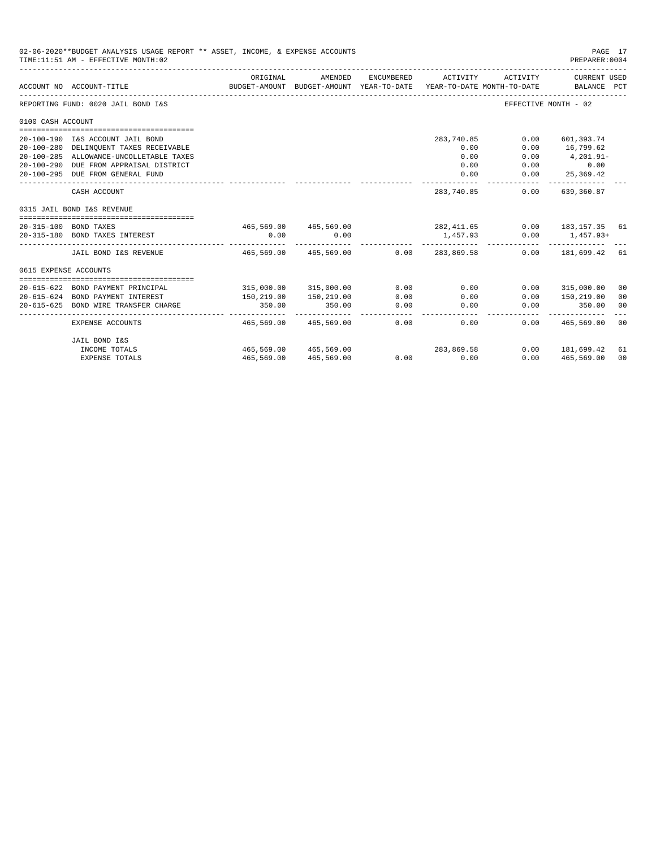|                       | 02-06-2020**BUDGET ANALYSIS USAGE REPORT ** ASSET, INCOME, & EXPENSE ACCOUNTS<br>TIME: 11:51 AM - EFFECTIVE MONTH: 02 |                         |                                                     |                |                                  |                                        | PAGE 17<br>PREPARER: 0004                           |    |
|-----------------------|-----------------------------------------------------------------------------------------------------------------------|-------------------------|-----------------------------------------------------|----------------|----------------------------------|----------------------------------------|-----------------------------------------------------|----|
|                       | ACCOUNT NO ACCOUNT-TITLE                                                                                              | ORIGINAL                | AMENDED<br>BUDGET-AMOUNT BUDGET-AMOUNT YEAR-TO-DATE | ENCUMBERED     | ACTIVITY                         | ACTIVITY<br>YEAR-TO-DATE MONTH-TO-DATE | CURRENT USED<br>BALANCE PCT                         |    |
|                       | REPORTING FUND: 0020 JAIL BOND I&S                                                                                    |                         |                                                     |                |                                  |                                        | EFFECTIVE MONTH - 02                                |    |
| 0100 CASH ACCOUNT     |                                                                                                                       |                         |                                                     |                |                                  |                                        |                                                     |    |
|                       |                                                                                                                       |                         |                                                     |                |                                  |                                        |                                                     |    |
|                       | 20-100-190 I&S ACCOUNT JAIL BOND                                                                                      |                         |                                                     |                | 283,740.85                       | 0.00                                   | 601,393.74                                          |    |
|                       | 20-100-280 DELINQUENT TAXES RECEIVABLE<br>20-100-285 ALLOWANCE-UNCOLLETABLE TAXES                                     |                         |                                                     |                | 0.00<br>0.00                     | 0.00<br>0.00                           | 16,799.62<br>$4, 201.91 -$                          |    |
|                       | 20-100-290 DUE FROM APPRAISAL DISTRICT                                                                                |                         |                                                     |                | 0.00                             |                                        | $0.00$ 0.00                                         |    |
|                       | 20-100-295 DUE FROM GENERAL FUND                                                                                      |                         |                                                     |                | 0.00                             |                                        | $0.00$ 25,369.42                                    |    |
|                       |                                                                                                                       |                         |                                                     |                |                                  |                                        | .                                                   |    |
|                       | CASH ACCOUNT                                                                                                          |                         |                                                     |                | 283,740.85                       | 0.00                                   | 639,360.87                                          |    |
|                       | 0315 JAIL BOND I&S REVENUE                                                                                            |                         |                                                     |                |                                  |                                        |                                                     |    |
|                       | 20-315-100 BOND TAXES                                                                                                 |                         |                                                     |                |                                  |                                        | 465,569.00 465,569.00 282,411.65 0.00 183,157.35 61 |    |
|                       | 20-315-180 BOND TAXES INTEREST                                                                                        | 0.00                    | 0.00                                                |                | 1,457.93<br>----------- <b>.</b> |                                        | $0.00$ 1,457.93+                                    |    |
|                       | JAIL BOND I&S REVENUE                                                                                                 | 465.569.00 465.569.00   |                                                     |                | 0.00 283.869.58                  |                                        | $0.00$ 181,699.42 61                                |    |
| 0615 EXPENSE ACCOUNTS |                                                                                                                       |                         |                                                     |                |                                  |                                        |                                                     |    |
|                       |                                                                                                                       |                         |                                                     |                |                                  |                                        |                                                     |    |
|                       | 20-615-622 BOND PAYMENT PRINCIPAL                                                                                     |                         | 315,000.00 315,000.00                               | 0.00           | 0.00                             | 0.00                                   | 315,000.00                                          | 00 |
|                       | 20-615-624 BOND PAYMENT INTEREST                                                                                      | 150,219.00              | 150,219.00                                          | 0.00           | 0.00                             | 0.00                                   | 150,219.00                                          | 00 |
| $20 - 615 - 625$      | BOND WIRE TRANSFER CHARGE                                                                                             | 350.00<br>------------- | 350.00                                              | 0.00<br>------ | 0.00                             | 0.00                                   | 350.00                                              | 00 |
|                       | EXPENSE ACCOUNTS                                                                                                      | 465,569.00              | 465,569.00                                          | 0.00           | 0.00                             | 0.00                                   | 465,569.00                                          | 00 |
|                       | JAIL BOND I&S                                                                                                         |                         |                                                     |                |                                  |                                        |                                                     |    |
|                       | INCOME TOTALS                                                                                                         | 465,569.00 465,569.00   |                                                     |                | 283,869.58                       |                                        | $0.00$ 181.699.42                                   | 61 |
|                       | <b>EXPENSE TOTALS</b>                                                                                                 |                         | 465,569.00 465,569.00                               |                | $0.00$ 0.00                      |                                        | $0.00$ 465,569.00                                   | 00 |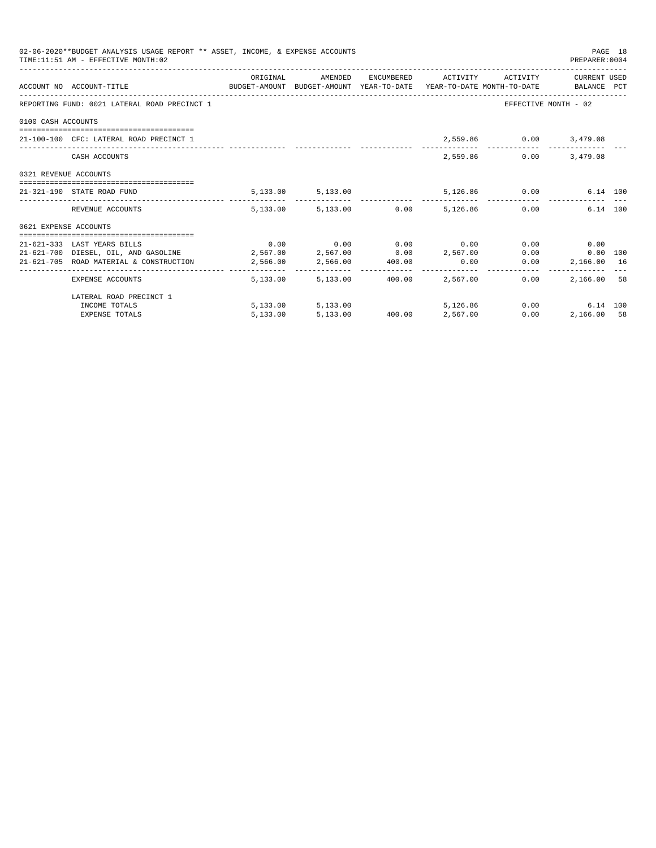|                       | 02-06-2020**BUDGET ANALYSIS USAGE REPORT ** ASSET, INCOME, & EXPENSE ACCOUNTS<br>TIME: 11:51 AM - EFFECTIVE MONTH: 02 |  |                                                                                                                                                  |               | PREPARER: 0004         | PAGE 18 |
|-----------------------|-----------------------------------------------------------------------------------------------------------------------|--|--------------------------------------------------------------------------------------------------------------------------------------------------|---------------|------------------------|---------|
|                       | ACCOUNT NO ACCOUNT-TITLE CONTROL BUDGET-AMOUNT BUDGET-AMOUNT YEAR-TO-DATE YEAR-TO-DATE MONTH-TO-DATE BALANCE PCT      |  | ORIGINAL AMENDED ENCUMBERED ACTIVITY ACTIVITY CURRENTUSED                                                                                        |               |                        |         |
|                       | REPORTING FUND: 0021 LATERAL ROAD PRECINCT 1                                                                          |  |                                                                                                                                                  |               | EFFECTIVE MONTH - 02   |         |
| 0100 CASH ACCOUNTS    |                                                                                                                       |  |                                                                                                                                                  |               |                        |         |
|                       | 21-100-100 CFC: LATERAL ROAD PRECINCT 1                                                                               |  |                                                                                                                                                  |               | 2,559.86 0.00 3,479.08 |         |
|                       | CASH ACCOUNTS                                                                                                         |  |                                                                                                                                                  | 2,559.86 0.00 | 3,479.08               |         |
| 0321 REVENUE ACCOUNTS |                                                                                                                       |  |                                                                                                                                                  |               |                        |         |
|                       | 21-321-190 STATE ROAD FUND                                                                                            |  | 5,133.00 5,133.00 5,126.86 0.00 6.14 100                                                                                                         |               |                        |         |
|                       | REVENUE ACCOUNTS                                                                                                      |  | 5.133.00 5.133.00 0.00 5.126.86 0.00                                                                                                             |               | 6.14 100               |         |
| 0621 EXPENSE ACCOUNTS |                                                                                                                       |  |                                                                                                                                                  |               |                        |         |
|                       |                                                                                                                       |  |                                                                                                                                                  |               |                        |         |
|                       | 21-621-333 LAST YEARS BILLS                                                                                           |  | $0.00$ $0.00$ $0.00$ $0.00$ $0.00$                                                                                                               |               | $0.00$ 0.00            |         |
|                       | $21-621-700$ DIESEL, OIL, AND GASOLINE $2,567.00$ $2,567.00$ $0.00$ $2,567.00$                                        |  |                                                                                                                                                  |               | 0.00<br>$0.00$ 100     |         |
|                       | 21-621-705 ROAD MATERIAL & CONSTRUCTION 2,566.00 2,566.00 400.00                                                      |  | 0.00                                                                                                                                             | 0.00          | 2,166.00 16            |         |
|                       | EXPENSE ACCOUNTS                                                                                                      |  | 5,133.00 5,133.00 400.00 2,567.00                                                                                                                | 0.00          | 2,166.00 58            |         |
|                       | LATERAL ROAD PRECINCT 1                                                                                               |  |                                                                                                                                                  |               |                        |         |
|                       | INCOME TOTALS                                                                                                         |  | $\begin{array}{cccccc} 5,13300 & & & & 5,13300 & & & & 5,126.86 \\ 5,13300 & & & & 5,13300 & & & 40000 & & & 2,56700 \\ \end{array}$<br>5,126,86 |               | 0.00<br>6.14 100       |         |
|                       | <b>EXPENSE TOTALS</b>                                                                                                 |  |                                                                                                                                                  |               | 0.00<br>2,166.00 58    |         |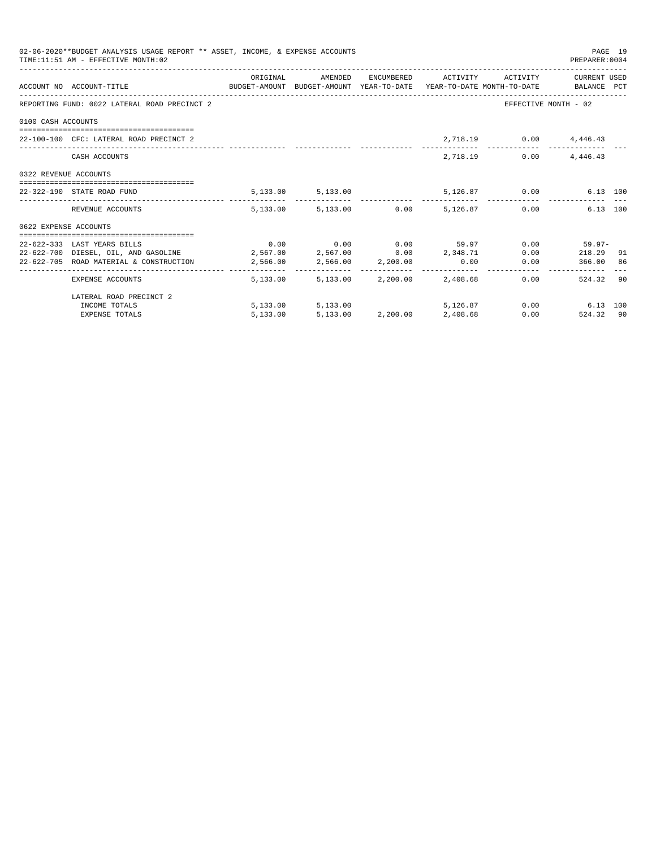|                       | 02-06-2020**BUDGET ANALYSIS USAGE REPORT ** ASSET, INCOME, & EXPENSE ACCOUNTS<br>TIME: 11:51 AM - EFFECTIVE MONTH: 02 |          |                   |                                                           |      | PREPARER:0004          | PAGE 19 |
|-----------------------|-----------------------------------------------------------------------------------------------------------------------|----------|-------------------|-----------------------------------------------------------|------|------------------------|---------|
|                       | ACCOUNT NO ACCOUNT-TITLE CONTROL PRODUCET-AMOUNT BUDGET-AMOUNT YEAR-TO-DATE YEAR-TO-DATE MONTH-TO-DATE BALANCE PCT    |          |                   | ORIGINAL AMENDED ENCUMBERED ACTIVITY ACTIVITY CURRENTUSED |      |                        |         |
|                       | REPORTING FUND: 0022 LATERAL ROAD PRECINCT 2                                                                          |          |                   |                                                           |      | EFFECTIVE MONTH - 02   |         |
| 0100 CASH ACCOUNTS    |                                                                                                                       |          |                   |                                                           |      |                        |         |
|                       | 22-100-100 CFC: LATERAL ROAD PRECINCT 2                                                                               |          |                   |                                                           |      | 2,718.19 0.00 4,446.43 |         |
|                       | CASH ACCOUNTS                                                                                                         |          |                   | 2,718.19                                                  | 0.00 | 4,446.43               |         |
| 0322 REVENUE ACCOUNTS |                                                                                                                       |          |                   |                                                           |      |                        |         |
|                       | 22-322-190 STATE ROAD FUND                                                                                            |          |                   | 5,133.00 5,133.00 5,126.87 0.00 6.13 100                  |      |                        |         |
|                       | REVENUE ACCOUNTS                                                                                                      |          |                   | $5.133.00$ $5.133.00$ $0.00$ $5.126.87$ $0.00$            |      | 6.13 100               |         |
| 0622 EXPENSE ACCOUNTS |                                                                                                                       |          |                   |                                                           |      |                        |         |
|                       |                                                                                                                       |          |                   |                                                           |      |                        |         |
|                       | 22-622-333 LAST YEARS BILLS                                                                                           |          |                   | $0.00$ $0.00$ $0.00$ $0.00$ $59.97$                       |      | $0.00$ 59.97-          |         |
|                       | 22-622-700 DIESEL, OIL, AND GASOLINE 2,567.00 2,567.00 0.00 2,348.71                                                  |          |                   |                                                           |      | $0.00$ 218.29 91       |         |
|                       | $22-622-705$ ROAD MATERIAL & CONSTRUCTION $2,566.00$ $2,566.00$ $2,200.00$ $0.00$                                     |          |                   |                                                           |      | 0.00 366.00 86         |         |
|                       | EXPENSE ACCOUNTS                                                                                                      |          |                   | 5,133,00 5,133,00 2,200,00 2,408,68                       |      | 0.00<br>524.32 90      |         |
|                       | LATERAL ROAD PRECINCT 2                                                                                               |          |                   |                                                           |      |                        |         |
|                       | INCOME TOTALS                                                                                                         |          | 5,133.00 5,133.00 | 5,126.87                                                  |      | $0.00$ 6.13 100        |         |
|                       | <b>EXPENSE TOTALS</b>                                                                                                 | 5,133.00 |                   | 5,133.00 2,200.00 2,408.68                                |      | 0.00<br>524.32 90      |         |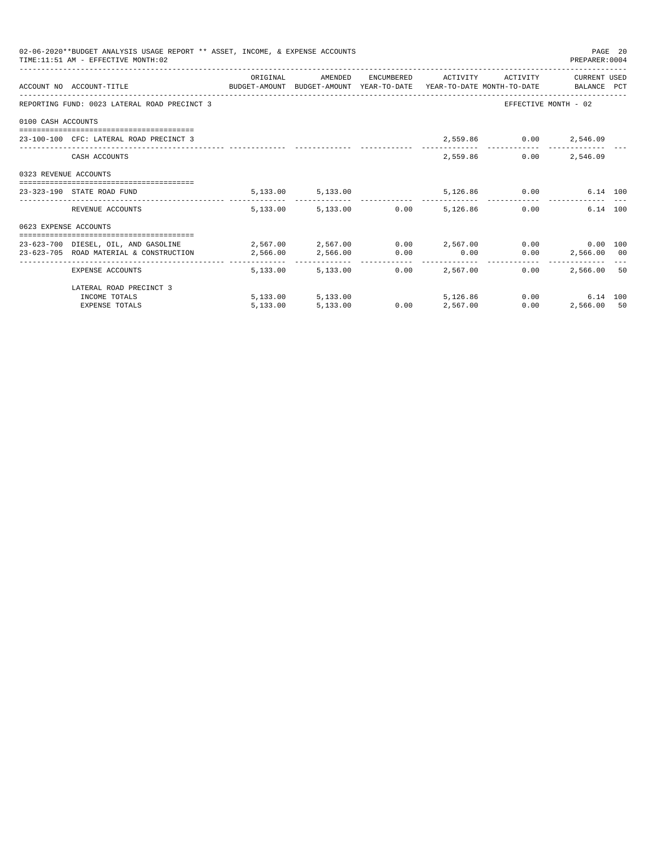|                       | 02-06-2020**BUDGET ANALYSIS USAGE REPORT ** ASSET, INCOME, & EXPENSE ACCOUNTS<br>TIME: 11:51 AM - EFFECTIVE MONTH: 02 |            |                        |      |                                 |                        | PREPARER: 0004       | PAGE 20 |
|-----------------------|-----------------------------------------------------------------------------------------------------------------------|------------|------------------------|------|---------------------------------|------------------------|----------------------|---------|
|                       |                                                                                                                       | ORIGINAL   | AMENDED                |      | ENCUMBERED ACTIVITY             | ACTIVITY               | CURRENT USED         |         |
|                       | ACCOUNT NO ACCOUNT-TITLE CONTROL SUDGET-AMOUNT BUDGET-AMOUNT YEAR-TO-DATE YEAR-TO-DATE MONTH-TO-DATE BALANCE PCT      |            |                        |      |                                 |                        |                      |         |
|                       | REPORTING FUND: 0023 LATERAL ROAD PRECINCT 3                                                                          |            |                        |      |                                 |                        | EFFECTIVE MONTH - 02 |         |
| 0100 CASH ACCOUNTS    |                                                                                                                       |            |                        |      |                                 |                        |                      |         |
|                       | 23-100-100 CFC: LATERAL ROAD PRECINCT 3                                                                               |            |                        |      |                                 | 2,559.86 0.00 2,546.09 |                      |         |
|                       | CASH ACCOUNTS                                                                                                         |            |                        |      |                                 | 2,559.86               | $0.00$ 2,546.09      |         |
| 0323 REVENUE ACCOUNTS |                                                                                                                       |            |                        |      |                                 |                        |                      |         |
|                       | 23-323-190 STATE ROAD FUND                                                                                            |            | 5, 133.00 5, 133.00    |      |                                 | 5,126.86 0.00          | 6.14 100             |         |
|                       | REVENUE ACCOUNTS                                                                                                      |            | 5,133.00 5,133.00 0.00 |      | 5,126.86                        |                        | 6.14 100<br>0.00     |         |
| 0623 EXPENSE ACCOUNTS |                                                                                                                       |            |                        |      |                                 |                        |                      |         |
|                       | 23-623-700 DIESEL, OIL, AND GASOLINE $2,567.00$ $2,567.00$ $0.00$ $2,567.00$ $0.00$ $0.00$ $0.00$ $0.00$              |            |                        |      |                                 |                        |                      |         |
|                       | 23-623-705 ROAD MATERIAL & CONSTRUCTION 2,566.00                                                                      |            | 2,566.00 0.00          |      | 0.00                            |                        | $0.00$ 2,566.00 00   |         |
|                       | EXPENSE ACCOUNTS                                                                                                      | -------- - | 5,133,00 5,133,00      |      | ------------<br>$0.00$ 2.567.00 | 0.00                   | 2,566,00 50          |         |
|                       | LATERAL ROAD PRECINCT 3                                                                                               |            |                        |      |                                 |                        |                      |         |
|                       | INCOME TOTALS                                                                                                         |            | 5,133.00 5,133.00      |      | 5,126,86                        |                        | 0.00<br>6.14 100     |         |
|                       | <b>EXPENSE TOTALS</b>                                                                                                 | 5.133.00   | 5,133.00               | 0.00 | 2,567.00                        | 0.00                   | 2,566.00 50          |         |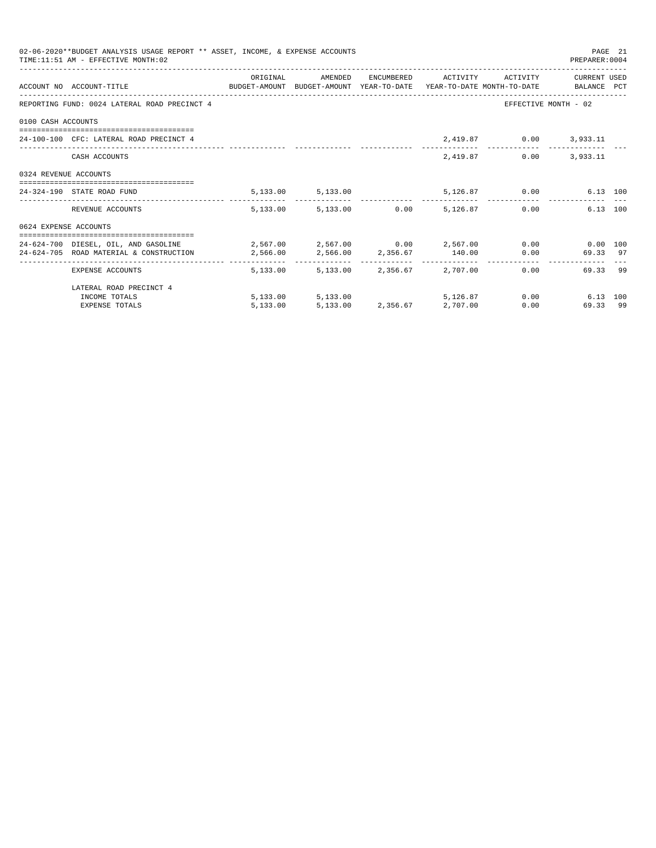|                       | 02-06-2020**BUDGET ANALYSIS USAGE REPORT ** ASSET, INCOME, & EXPENSE ACCOUNTS<br>TIME: 11:51 AM - EFFECTIVE MONTH: 02 |          |                                     |          |                              | PREPARER: 0004       | PAGE 21 |
|-----------------------|-----------------------------------------------------------------------------------------------------------------------|----------|-------------------------------------|----------|------------------------------|----------------------|---------|
|                       |                                                                                                                       | ORIGINAL | AMENDED                             |          | ENCUMBERED ACTIVITY ACTIVITY | CURRENT USED         |         |
|                       | ACCOUNT NO ACCOUNT-TITLE CONTROL SUDGET-AMOUNT BUDGET-AMOUNT YEAR-TO-DATE YEAR-TO-DATE MONTH-TO-DATE BALANCE PCT      |          |                                     |          |                              |                      |         |
|                       | REPORTING FUND: 0024 LATERAL ROAD PRECINCT 4                                                                          |          |                                     |          |                              | EFFECTIVE MONTH - 02 |         |
| 0100 CASH ACCOUNTS    |                                                                                                                       |          |                                     |          |                              |                      |         |
|                       | 24-100-100 CFC: LATERAL ROAD PRECINCT 4                                                                               |          |                                     |          | 2,419.87 0.00 3,933.11       |                      |         |
|                       | CASH ACCOUNTS                                                                                                         |          |                                     | 2,419.87 | 0.00                         | 3,933.11             |         |
| 0324 REVENUE ACCOUNTS |                                                                                                                       |          |                                     |          |                              |                      |         |
|                       | 24-324-190 STATE ROAD FUND                                                                                            |          | 5, 133.00 5, 133.00                 |          | 5,126.87 0.00                | 6.13 100             |         |
|                       | REVENUE ACCOUNTS                                                                                                      |          | 5,133.00 5,133.00 0.00 5,126.87     |          |                              | 6.13 100<br>0.00     |         |
| 0624 EXPENSE ACCOUNTS |                                                                                                                       |          |                                     |          |                              |                      |         |
|                       | 24-624-700 DIESEL, OIL, AND GASOLINE $2,567.00$ $2,567.00$ $0.00$ $2,567.00$ $0.00$ $0.00$ $0.00$ $0.00$              |          |                                     |          |                              |                      |         |
|                       | 24-624-705 ROAD MATERIAL & CONSTRUCTION $2,566.00$ $2,566.00$ $2,356.67$ $140.00$                                     |          |                                     |          |                              | 69.33 97<br>0.00     |         |
|                       | EXPENSE ACCOUNTS                                                                                                      |          | 5,133.00 5,133.00 2,356.67 2,707.00 |          |                              | 69.33 99<br>0.00     |         |
|                       | LATERAL ROAD PRECINCT 4                                                                                               |          |                                     |          |                              |                      |         |
|                       | INCOME TOTALS                                                                                                         |          | 5,133.00 5,133.00                   | 5,126,87 |                              | 0.00<br>6.13 100     |         |
|                       | <b>EXPENSE TOTALS</b>                                                                                                 | 5.133.00 | 5,133.00 2,356.67 2,707.00          |          | 0.00                         | 69.33 99             |         |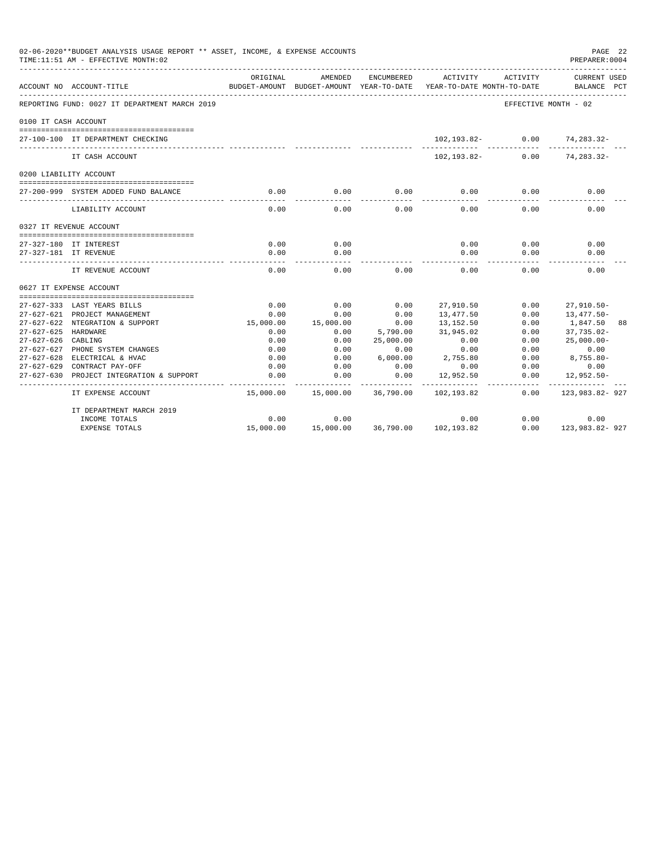| 02-06-2020**BUDGET ANALYSIS USAGE REPORT ** ASSET, INCOME, & EXPENSE ACCOUNTS<br>PREPARER: 0004<br>TIME:11:51 AM - EFFECTIVE MONTH:02 |                                               |           |                                                     |            |                                        |                      |                                    |  |
|---------------------------------------------------------------------------------------------------------------------------------------|-----------------------------------------------|-----------|-----------------------------------------------------|------------|----------------------------------------|----------------------|------------------------------------|--|
|                                                                                                                                       | ACCOUNT NO ACCOUNT-TITLE                      | ORIGINAL  | AMENDED<br>BUDGET-AMOUNT BUDGET-AMOUNT YEAR-TO-DATE | ENCUMBERED | ACTIVITY<br>YEAR-TO-DATE MONTH-TO-DATE | ACTIVITY             | <b>CURRENT USED</b><br>BALANCE PCT |  |
|                                                                                                                                       | REPORTING FUND: 0027 IT DEPARTMENT MARCH 2019 |           |                                                     |            |                                        | EFFECTIVE MONTH - 02 |                                    |  |
| 0100 IT CASH ACCOUNT                                                                                                                  |                                               |           |                                                     |            |                                        |                      |                                    |  |
|                                                                                                                                       | 27-100-100 IT DEPARTMENT CHECKING             |           |                                                     |            | 102,193.82-                            | 0.00                 | 74,283.32-                         |  |
|                                                                                                                                       | IT CASH ACCOUNT                               |           |                                                     |            | 102,193.82-                            | 0.00                 | 74, 283. 32-                       |  |
|                                                                                                                                       | 0200 LIABILITY ACCOUNT                        |           |                                                     |            |                                        |                      |                                    |  |
|                                                                                                                                       | 27-200-999 SYSTEM ADDED FUND BALANCE          | 0.00      | 0.00                                                | 0.00       | 0.00                                   | 0.00                 | 0.00                               |  |
|                                                                                                                                       | LIABILITY ACCOUNT                             | 0.00      | 0.00                                                | 0.00       | 0.00                                   | 0.00                 | 0.00                               |  |
|                                                                                                                                       | 0327 IT REVENUE ACCOUNT                       |           |                                                     |            |                                        |                      |                                    |  |
| 27-327-180 IT INTEREST                                                                                                                |                                               | 0.00      | 0.00                                                |            | 0.00                                   | 0.00                 | 0.00                               |  |
|                                                                                                                                       | 27-327-181 IT REVENUE                         | 0.00      | 0.00                                                |            | 0.00                                   | 0.00                 | 0.00                               |  |
|                                                                                                                                       | IT REVENUE ACCOUNT                            | 0.00      | 0.00                                                | 0.00       | 0.00                                   | 0.00                 | 0.00                               |  |
|                                                                                                                                       | 0627 IT EXPENSE ACCOUNT                       |           |                                                     |            |                                        |                      |                                    |  |
|                                                                                                                                       |                                               |           |                                                     |            |                                        |                      |                                    |  |
|                                                                                                                                       | 27-627-333 LAST YEARS BILLS                   | 0.00      | 0.00                                                | 0.00       | 27,910.50                              | 0.00                 | $27,910.50 -$                      |  |
|                                                                                                                                       | 27-627-621 PROJECT MANAGEMENT                 | 0.00      | 0.00                                                | 0.00       | 13,477.50                              | 0.00                 | 13,477.50-                         |  |
|                                                                                                                                       | 27-627-622 NTEGRATION & SUPPORT               | 15,000.00 | 15,000.00                                           | 0.00       | 13,152.50                              | 0.00                 | 1,847.50<br>88                     |  |
| $27 - 627 - 625$                                                                                                                      | HARDWARE                                      | 0.00      | 0.00                                                | 5,790.00   | 31,945.02                              | 0.00                 | $37,735.02 -$                      |  |
| $27 - 627 - 626$                                                                                                                      | CABLING                                       | 0.00      | 0.00                                                | 25,000.00  | 0.00                                   | 0.00                 | $25,000.00 -$                      |  |
| $27 - 627 - 627$                                                                                                                      | PHONE SYSTEM CHANGES                          | 0.00      | 0.00                                                | 0.00       | 0.00                                   | 0.00                 | 0.00                               |  |
|                                                                                                                                       | 27-627-628 ELECTRICAL & HVAC                  | 0.00      | 0.00                                                | 6,000.00   | 2,755.80                               | 0.00                 | $8,755.80 -$                       |  |
|                                                                                                                                       | 27-627-629 CONTRACT PAY-OFF                   | 0.00      | 0.00                                                | 0.00       | 0.00                                   | 0.00                 | 0.00                               |  |
| $27 - 627 - 630$                                                                                                                      | PROJECT INTEGRATION & SUPPORT                 | 0.00      | 0.00                                                | 0.00       | 12,952.50                              | 0.00                 | 12,952.50-<br>-----------          |  |
|                                                                                                                                       | IT EXPENSE ACCOUNT                            | 15,000.00 | 15,000.00                                           | 36,790.00  | 102,193.82                             | 0.00                 | 123,983.82-927                     |  |
|                                                                                                                                       | IT DEPARTMENT MARCH 2019                      |           |                                                     |            |                                        |                      |                                    |  |
|                                                                                                                                       | INCOME TOTALS                                 | 0.00      | 0.00                                                |            | 0.00                                   | 0.00                 | 0.00                               |  |
|                                                                                                                                       | <b>EXPENSE TOTALS</b>                         | 15,000.00 | 15,000.00                                           |            | 36,790.00 102,193.82                   | 0.00                 | 123,983.82-927                     |  |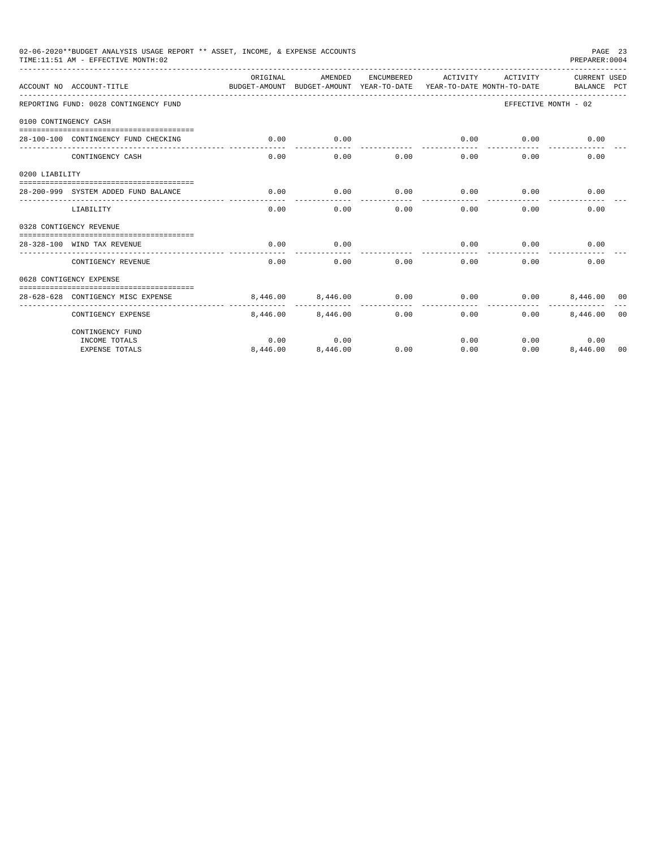|                       | 02-06-2020**BUDGET ANALYSIS USAGE REPORT ** ASSET, INCOME, & EXPENSE ACCOUNTS<br>TIME:11:51 AM - EFFECTIVE MONTH:02 |                                                                                 |          |            |                     |          | PREPARER: 0004              | PAGE 23        |
|-----------------------|---------------------------------------------------------------------------------------------------------------------|---------------------------------------------------------------------------------|----------|------------|---------------------|----------|-----------------------------|----------------|
|                       | ACCOUNT NO ACCOUNT-TITLE                                                                                            | ORTGINAL<br>BUDGET-AMOUNT BUDGET-AMOUNT YEAR-TO-DATE YEAR-TO-DATE MONTH-TO-DATE | AMENDED  | ENCUMBERED | ACTIVITY            | ACTIVITY | CURRENT USED<br>BALANCE PCT |                |
|                       | REPORTING FUND: 0028 CONTINGENCY FUND                                                                               |                                                                                 |          |            |                     |          | EFFECTIVE MONTH - 02        |                |
| 0100 CONTINGENCY CASH |                                                                                                                     |                                                                                 |          |            |                     |          |                             |                |
|                       | 28-100-100 CONTINGENCY FUND CHECKING                                                                                | 0.00                                                                            | 0.00     |            | 0.00<br>----------- | 0.00     | 0.00                        |                |
|                       | CONTINGENCY CASH                                                                                                    | 0.00                                                                            | 0.00     | 0.00       | 0.00                | 0.00     | 0.00                        |                |
| 0200 LIABILITY        |                                                                                                                     |                                                                                 |          |            |                     |          |                             |                |
|                       | 28-200-999 SYSTEM ADDED FUND BALANCE                                                                                | 0.00                                                                            | 0.00     | 0.00       | 0.00                | 0.00     | 0.00                        |                |
|                       | LIABILITY                                                                                                           | 0.00                                                                            | 0.00     | 0.00       | 0.00                | 0.00     | 0.00                        |                |
|                       | 0328 CONTIGENCY REVENUE                                                                                             |                                                                                 |          |            |                     |          |                             |                |
|                       | 28-328-100 WIND TAX REVENUE                                                                                         | 0.00                                                                            | 0.00     |            | 0.00                | 0.00     | 0.00                        |                |
|                       | CONTIGENCY REVENUE                                                                                                  | 0.00                                                                            | 0.00     | 0.00       | 0.00                | 0.00     | 0.00                        |                |
|                       | 0628 CONTIGENCY EXPENSE                                                                                             |                                                                                 |          |            |                     |          |                             |                |
|                       | 28-628-628 CONTIGENCY MISC EXPENSE                                                                                  | 8,446,00                                                                        | 8,446.00 | 0.00       | 0.00                | 0.00     | 8,446,00 00                 |                |
|                       | CONTIGENCY EXPENSE                                                                                                  | 8,446.00                                                                        | 8,446,00 | 0.00       | 0.00                | 0.00     | 8,446.00                    | 0 <sub>0</sub> |
|                       | CONTINGENCY FUND                                                                                                    |                                                                                 |          |            |                     |          |                             |                |
|                       | INCOME TOTALS                                                                                                       | 0.00                                                                            | 0.00     |            | 0.00                |          | 0.00<br>0.00                |                |
|                       | <b>EXPENSE TOTALS</b>                                                                                               | 8,446.00                                                                        | 8,446.00 | 0.00       | 0.00                | 0.00     | 8,446.00                    | 00             |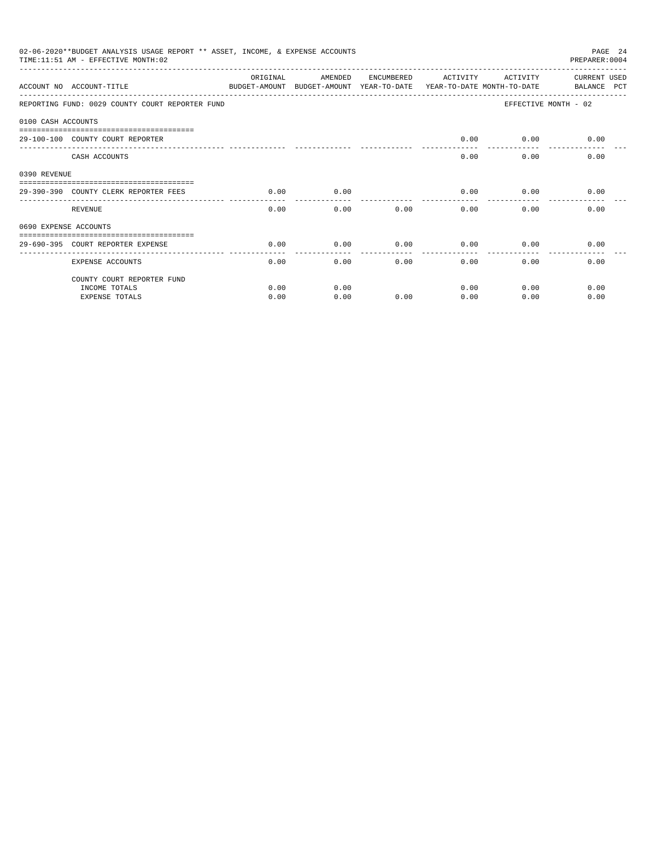|                       | 02-06-2020**BUDGET ANALYSIS USAGE REPORT ** ASSET, INCOME, & EXPENSE ACCOUNTS<br>TIME:11:51 AM - EFFECTIVE MONTH:02 |          |         |              |                                        |          | PAGE 24<br>PREPARER: 0004          |
|-----------------------|---------------------------------------------------------------------------------------------------------------------|----------|---------|--------------|----------------------------------------|----------|------------------------------------|
|                       | ACCOUNT NO ACCOUNT-TITLE<br>BUDGET-AMOUNT BUDGET-AMOUNT YEAR-TO-DATE                                                | ORIGINAL | AMENDED | ENCUMBERED   | ACTIVITY<br>YEAR-TO-DATE MONTH-TO-DATE | ACTIVITY | <b>CURRENT USED</b><br>BALANCE PCT |
|                       | REPORTING FUND: 0029 COUNTY COURT REPORTER FUND                                                                     |          |         |              |                                        |          | EFFECTIVE MONTH - 02               |
| 0100 CASH ACCOUNTS    |                                                                                                                     |          |         |              |                                        |          |                                    |
|                       | 29-100-100 COUNTY COURT REPORTER                                                                                    |          |         |              | 0.00                                   |          | $0.00$ 0.00                        |
|                       | CASH ACCOUNTS                                                                                                       |          |         |              | 0.00                                   | 0.00     | 0.00                               |
| 0390 REVENUE          |                                                                                                                     |          |         |              |                                        |          |                                    |
|                       | 29-390-390 COUNTY CLERK REPORTER FEES                                                                               | 0.00     | 0.00    |              | 0.00                                   | 0.00     | 0.00                               |
|                       | REVENUE                                                                                                             | 0.00     |         | 0.00<br>0.00 | 0.00                                   | 0.00     | 0.00                               |
| 0690 EXPENSE ACCOUNTS |                                                                                                                     |          |         |              |                                        |          |                                    |
|                       | 29-690-395 COURT REPORTER EXPENSE                                                                                   | 0.00     | 0.00    | 0.00         | 0.00                                   | 0.00     | 0.00                               |
|                       | <b>EXPENSE ACCOUNTS</b>                                                                                             | 0.00     | 0.00    | 0.00         | 0.00                                   | 0.00     | 0.00                               |
|                       | COUNTY COURT REPORTER FUND                                                                                          |          |         |              |                                        |          |                                    |
|                       | INCOME TOTALS                                                                                                       | 0.00     | 0.00    |              | 0.00                                   | 0.00     | 0.00                               |
|                       | <b>EXPENSE TOTALS</b>                                                                                               | 0.00     | 0.00    | 0.00         | 0.00                                   | 0.00     | 0.00                               |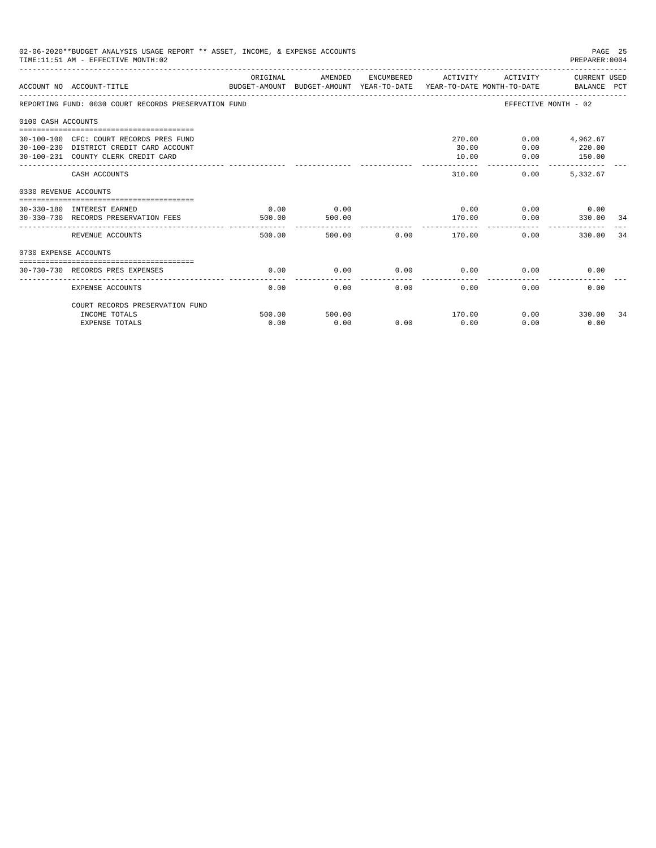|                       | 02-06-2020**BUDGET ANALYSIS USAGE REPORT ** ASSET, INCOME, & EXPENSE ACCOUNTS<br>TIME: 11:51 AM - EFFECTIVE MONTH: 02     |                |                |        |                          |                                     | PAGE 25<br>PREPARER: 0004           |    |
|-----------------------|---------------------------------------------------------------------------------------------------------------------------|----------------|----------------|--------|--------------------------|-------------------------------------|-------------------------------------|----|
|                       | BUDGET-AMOUNT BUDGET-AMOUNT YEAR-TO-DATE YEAR-TO-DATE MONTH-TO-DATE BALANCE PCT<br>ACCOUNT NO ACCOUNT-TITLE               | ORIGINAL       | AMENDED        |        | ENCUMBERED ACTIVITY      | ACTIVITY                            | CURRENT USED                        |    |
|                       | REPORTING FUND: 0030 COURT RECORDS PRESERVATION FUND                                                                      |                |                |        |                          | EFFECTIVE MONTH - 02                |                                     |    |
| 0100 CASH ACCOUNTS    |                                                                                                                           |                |                |        |                          |                                     |                                     |    |
|                       | 30-100-100 CFC: COURT RECORDS PRES FUND<br>30-100-230 DISTRICT CREDIT CARD ACCOUNT<br>30-100-231 COUNTY CLERK CREDIT CARD |                |                |        | 270.00<br>30.00<br>10.00 | 0.00<br>0.00                        | $0.00$ 4,962.67<br>220.00<br>150.00 |    |
|                       | CASH ACCOUNTS                                                                                                             |                |                |        | 310.00                   | 0.00                                | 5, 332, 67                          |    |
| 0330 REVENUE ACCOUNTS |                                                                                                                           |                |                |        |                          |                                     |                                     |    |
|                       | 30-330-180 INTEREST EARNED<br>30-330-730 RECORDS PRESERVATION FEES                                                        | 0.00<br>500.00 | 0.00<br>500.00 |        | 170.00                   | $0.00$ $0.00$ $0.00$ $0.00$<br>0.00 | 330.00 34                           |    |
|                       | REVENUE ACCOUNTS                                                                                                          | 500.00         |                | 500.00 | $0.00$ 170.00            | ___________________________<br>0.00 | 330.00                              | 34 |
| 0730 EXPENSE ACCOUNTS |                                                                                                                           |                |                |        |                          |                                     |                                     |    |
|                       | 30-730-730 RECORDS PRES EXPENSES                                                                                          | 0.00           | 0.00           | 0.00   | 0.00                     | 0.00                                | 0.00                                |    |
|                       | <b>EXPENSE ACCOUNTS</b>                                                                                                   | 0.00           | 0.00           | 0.00   | -------------<br>0.00    | 0.00                                | 0.00                                |    |
|                       | COURT RECORDS PRESERVATION FUND<br>INCOME TOTALS                                                                          | 500.00         | 500.00         |        | 170.00                   |                                     | $0.00$ 330.00                       | 34 |
|                       | <b>EXPENSE TOTALS</b>                                                                                                     | 0.00           | 0.00           | 0.00   | 0.00                     | 0.00                                | 0.00                                |    |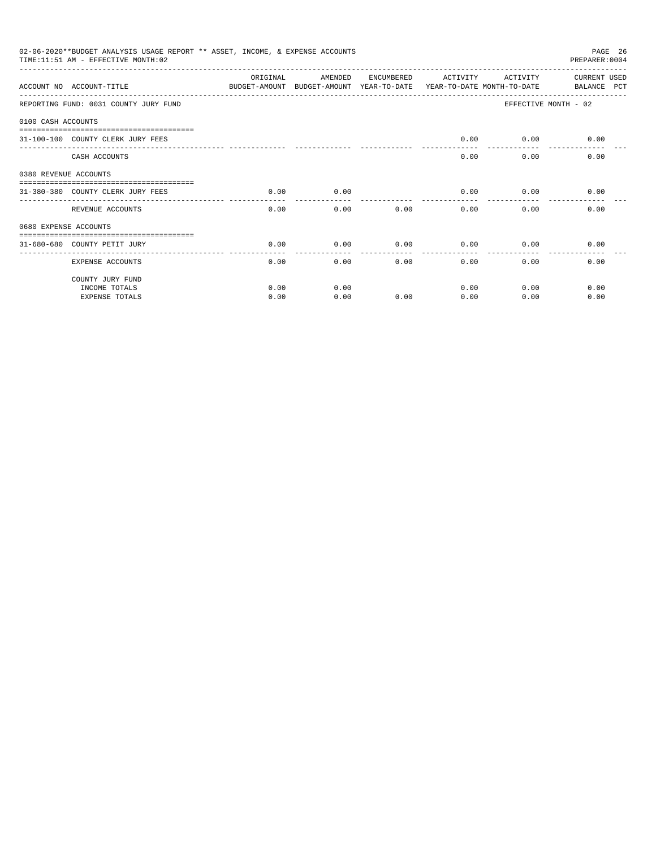|                       | 02-06-2020**BUDGET ANALYSIS USAGE REPORT ** ASSET, INCOME, & EXPENSE ACCOUNTS<br>TIME: 11:51 AM - EFFECTIVE MONTH: 02 |           |                                                     |            |          |                                        | PAGE 26<br>PREPARER: 0004          |
|-----------------------|-----------------------------------------------------------------------------------------------------------------------|-----------|-----------------------------------------------------|------------|----------|----------------------------------------|------------------------------------|
|                       | ACCOUNT NO ACCOUNT-TITLE                                                                                              | OR TGTNAL | AMENDED<br>BUDGET-AMOUNT BUDGET-AMOUNT YEAR-TO-DATE | ENCUMBERED | ACTIVITY | ACTIVITY<br>YEAR-TO-DATE MONTH-TO-DATE | <b>CURRENT USED</b><br>BALANCE PCT |
|                       | REPORTING FUND: 0031 COUNTY JURY FUND                                                                                 |           |                                                     |            |          |                                        | EFFECTIVE MONTH - 02               |
| 0100 CASH ACCOUNTS    |                                                                                                                       |           |                                                     |            |          |                                        |                                    |
|                       | 31-100-100 COUNTY CLERK JURY FEES                                                                                     |           |                                                     |            | 0.00     |                                        | $0.00$ 0.00                        |
|                       | CASH ACCOUNTS                                                                                                         |           |                                                     |            | 0.00     | 0.00                                   | 0.00                               |
| 0380 REVENUE ACCOUNTS |                                                                                                                       |           |                                                     |            |          |                                        |                                    |
|                       | 31-380-380 COUNTY CLERK JURY FEES                                                                                     | 0.00      | 0.00                                                |            | 0.00     | 0.00                                   | 0.00                               |
|                       | REVENUE ACCOUNTS                                                                                                      | 0.00      | 0.00                                                | 0.00       | 0.00     | 0.00                                   | 0.00                               |
| 0680 EXPENSE ACCOUNTS |                                                                                                                       |           |                                                     |            |          |                                        |                                    |
|                       | 31-680-680 COUNTY PETIT JURY                                                                                          | 0.00      | 0.00                                                | 0.00       | 0.00     | 0.00                                   | 0.00                               |
|                       | <b>EXPENSE ACCOUNTS</b>                                                                                               | 0.00      | 0.00                                                | 0.00       | 0.00     | 0.00                                   | 0.00                               |
|                       | COUNTY JURY FUND                                                                                                      |           |                                                     |            |          |                                        |                                    |
|                       | INCOME TOTALS                                                                                                         | 0.00      | 0.00                                                |            | 0.00     | 0.00                                   | 0.00                               |
|                       | <b>EXPENSE TOTALS</b>                                                                                                 | 0.00      | 0.00                                                | 0.00       | 0.00     | 0.00                                   | 0.00                               |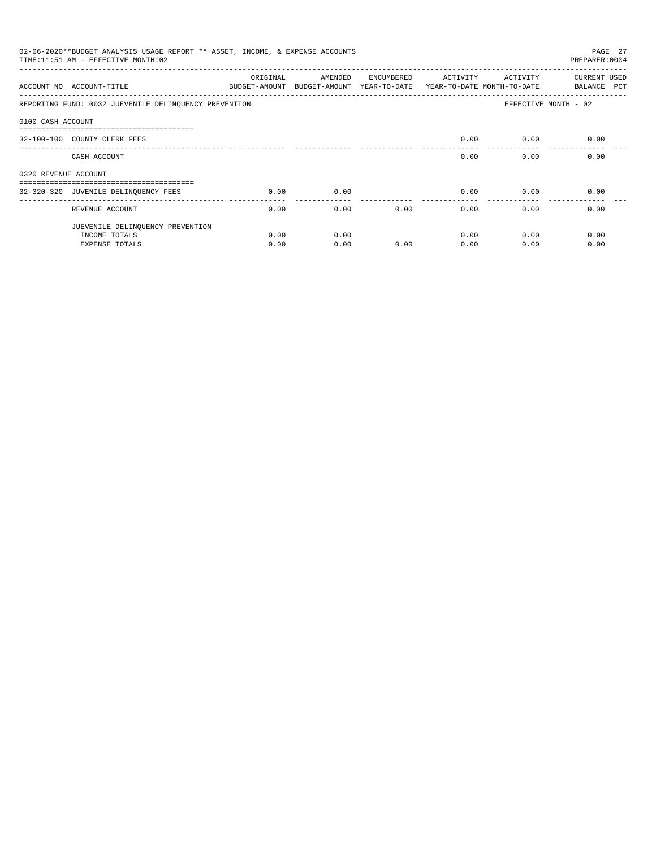|                      | 02-06-2020**BUDGET ANALYSIS USAGE REPORT ** ASSET, INCOME, & EXPENSE ACCOUNTS<br>TIME:11:51 AM - EFFECTIVE MONTH:02 |                           |                                                                  |            |              |                   | PAGE 27<br>PREPARER: 0004   |
|----------------------|---------------------------------------------------------------------------------------------------------------------|---------------------------|------------------------------------------------------------------|------------|--------------|-------------------|-----------------------------|
|                      | ACCOUNT NO ACCOUNT-TITLE                                                                                            | ORIGINAL<br>BUDGET-AMOUNT | AMENDED<br>BUDGET-AMOUNT YEAR-TO-DATE YEAR-TO-DATE MONTH-TO-DATE | ENCUMBERED |              | ACTIVITY ACTIVITY | CURRENT USED<br>BALANCE PCT |
|                      | REPORTING FUND: 0032 JUEVENILE DELINQUENCY PREVENTION                                                               |                           |                                                                  |            |              |                   | EFFECTIVE MONTH - 02        |
| 0100 CASH ACCOUNT    |                                                                                                                     |                           |                                                                  |            |              |                   |                             |
|                      | -------------------------------------<br>32-100-100 COUNTY CLERK FEES                                               |                           |                                                                  |            | 0.00         | 0.00              | 0.00                        |
|                      | CASH ACCOUNT                                                                                                        |                           |                                                                  |            | 0.00         |                   | 0.00<br>0.00                |
| 0320 REVENUE ACCOUNT |                                                                                                                     |                           |                                                                  |            |              |                   |                             |
|                      | ------------------------------------<br>32-320-320 JUVENILE DELINQUENCY FEES                                        | 0.00                      | 0.00                                                             |            | 0.00         | 0.00              | 0.00                        |
|                      | REVENUE ACCOUNT                                                                                                     | 0.00                      | 0.00                                                             |            | 0.00<br>0.00 | 0.00              | 0.00                        |
|                      | JUEVENILE DELINQUENCY PREVENTION                                                                                    |                           |                                                                  |            |              |                   |                             |
|                      | INCOME TOTALS                                                                                                       | 0.00                      | 0.00                                                             |            | 0.00         | 0.00              | 0.00                        |
|                      | <b>EXPENSE TOTALS</b>                                                                                               | 0.00                      | 0.00                                                             | 0.00       | 0.00         | 0.00              | 0.00                        |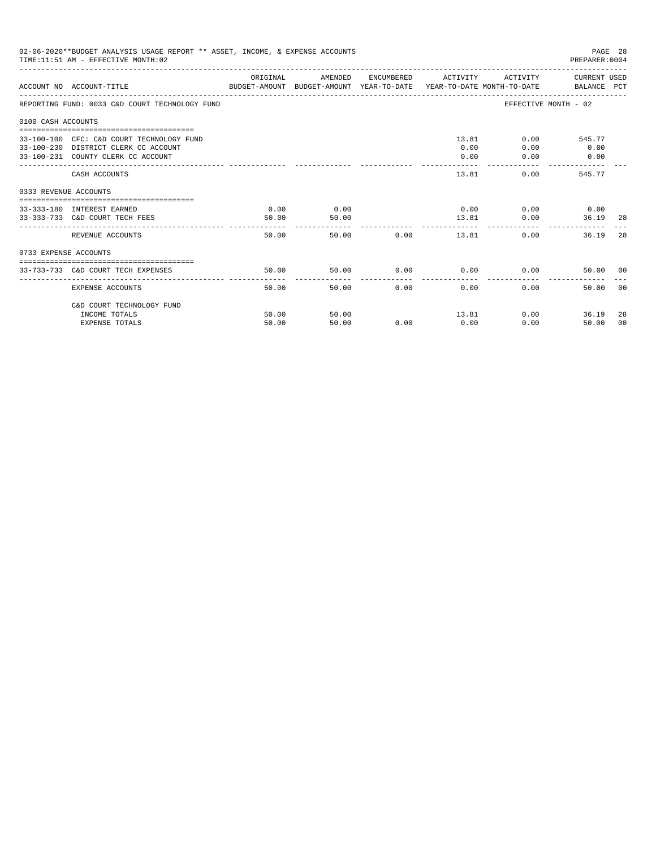|                       | 02-06-2020**BUDGET ANALYSIS USAGE REPORT ** ASSET, INCOME, & EXPENSE ACCOUNTS<br>TIME: 11:51 AM - EFFECTIVE MONTH: 02   |               |               |            |                     |                                      | PAGE 28<br>PREPARER: 0004            |     |
|-----------------------|-------------------------------------------------------------------------------------------------------------------------|---------------|---------------|------------|---------------------|--------------------------------------|--------------------------------------|-----|
|                       | BUDGET-AMOUNT BUDGET-AMOUNT YEAR-TO-DATE YEAR-TO-DATE MONTH-TO-DATE     BALANCE PCT<br>ACCOUNT NO ACCOUNT-TITLE         | ORIGINAL      | AMENDED       |            | ENCUMBERED ACTIVITY |                                      | ACTIVITY CURRENT USED                |     |
|                       | REPORTING FUND: 0033 C&D COURT TECHNOLOGY FUND                                                                          |               |               |            |                     |                                      | EFFECTIVE MONTH - 02                 |     |
| 0100 CASH ACCOUNTS    |                                                                                                                         |               |               |            |                     |                                      |                                      |     |
|                       | 33-100-100 CFC: C&D COURT TECHNOLOGY FUND<br>33-100-230 DISTRICT CLERK CC ACCOUNT<br>33-100-231 COUNTY CLERK CC ACCOUNT |               |               |            | 0.00<br>0.00        | 13.81<br>0.00                        | $0.00$ 545.77<br>$0.00$ 0.00<br>0.00 |     |
|                       | CASH ACCOUNTS                                                                                                           |               |               |            |                     | 13.81                                | 0.00<br>545.77                       |     |
| 0333 REVENUE ACCOUNTS |                                                                                                                         |               |               |            |                     |                                      |                                      |     |
|                       | 33-333-180 INTEREST EARNED<br>33-333-733 C&D COURT TECH FEES                                                            | 0.00<br>50.00 | 0.00<br>50.00 |            |                     | $0.00$ $0.00$ $0.00$ $0.00$<br>13.81 | 0.00<br>36.19                        | -28 |
|                       | REVENUE ACCOUNTS                                                                                                        | 50.00         |               | 50.00 0.00 |                     | 13.81                                | 0.00<br>36.19                        | 28  |
| 0733 EXPENSE ACCOUNTS |                                                                                                                         |               |               |            |                     |                                      |                                      |     |
|                       | 33-733-733 C&D COURT TECH EXPENSES                                                                                      | 50.00         | 50.00         |            |                     | $0.00$ $0.00$ $0.00$ $0.00$          | 50.00 00                             |     |
|                       | EXPENSE ACCOUNTS                                                                                                        | 50.00         |               | 50.00      | 0.00<br>0.00        |                                      | 0.00<br>50.00 00                     |     |
|                       | C&D COURT TECHNOLOGY FUND                                                                                               |               |               |            |                     |                                      |                                      |     |
|                       | INCOME TOTALS                                                                                                           | 50.00         | 50.00         |            |                     | 13.81                                | 0.00<br>36.19                        | -28 |
|                       | <b>EXPENSE TOTALS</b>                                                                                                   | 50.00         | 50.00         | 0.00       | 0.00                | 0.00                                 | 50.00                                | 00  |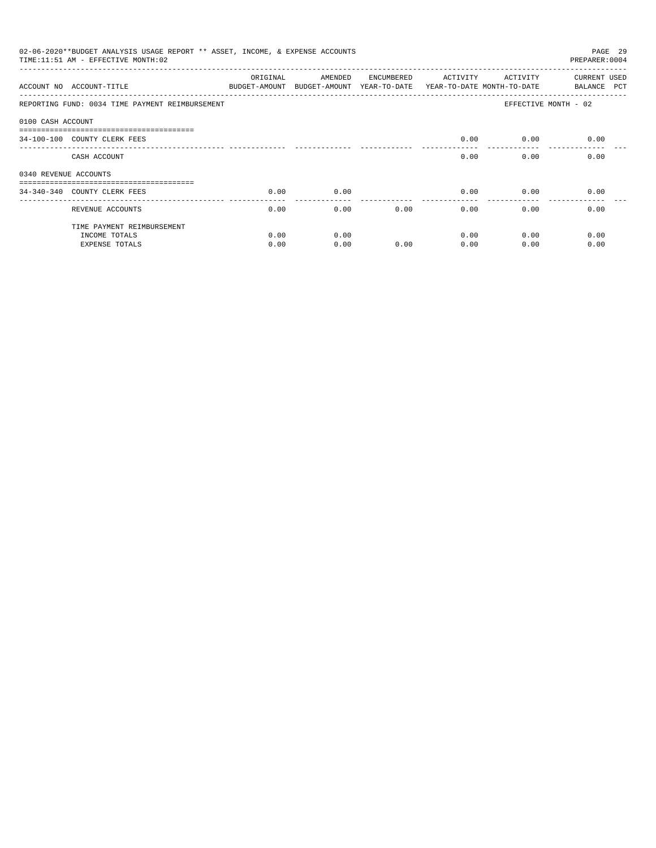|                       | 02-06-2020**BUDGET ANALYSIS USAGE REPORT ** ASSET, INCOME, & EXPENSE ACCOUNTS<br>TIME: 11:51 AM - EFFECTIVE MONTH: 02 |                           |                                       |            |                                        |                       | PAGE 29<br>PREPARER: 0004          |
|-----------------------|-----------------------------------------------------------------------------------------------------------------------|---------------------------|---------------------------------------|------------|----------------------------------------|-----------------------|------------------------------------|
|                       | ACCOUNT NO ACCOUNT-TITLE                                                                                              | ORIGINAL<br>BUDGET-AMOUNT | AMENDED<br>BUDGET-AMOUNT YEAR-TO-DATE | ENCUMBERED | ACTIVITY<br>YEAR-TO-DATE MONTH-TO-DATE | ACTIVITY              | <b>CURRENT USED</b><br>BALANCE PCT |
|                       | REPORTING FUND: 0034 TIME PAYMENT REIMBURSEMENT                                                                       |                           |                                       |            |                                        |                       | EFFECTIVE MONTH - 02               |
| 0100 CASH ACCOUNT     |                                                                                                                       |                           |                                       |            |                                        |                       |                                    |
|                       | ------------------------------<br>34-100-100 COUNTY CLERK FEES                                                        |                           |                                       |            | 0.00                                   | 0.00                  | 0.00                               |
|                       | CASH ACCOUNT                                                                                                          |                           |                                       |            | 0.00                                   | 0.00                  | 0.00                               |
| 0340 REVENUE ACCOUNTS |                                                                                                                       |                           |                                       |            |                                        |                       |                                    |
|                       | 34-340-340 COUNTY CLERK FEES                                                                                          | 0.00                      | 0.00                                  |            | 0.00                                   | 0.00                  | 0.00                               |
|                       | REVENUE ACCOUNTS                                                                                                      | 0.00                      | 0.00                                  | 0.00       | 0.00                                   | -------------<br>0.00 | 0.00                               |
|                       | TIME PAYMENT REIMBURSEMENT                                                                                            |                           |                                       |            |                                        |                       |                                    |
|                       | INCOME TOTALS                                                                                                         | 0.00                      | 0.00                                  |            | 0.00                                   | 0.00                  | 0.00                               |
|                       | <b>EXPENSE TOTALS</b>                                                                                                 | 0.00                      | 0.00                                  | 0.00       | 0.00                                   | 0.00                  | 0.00                               |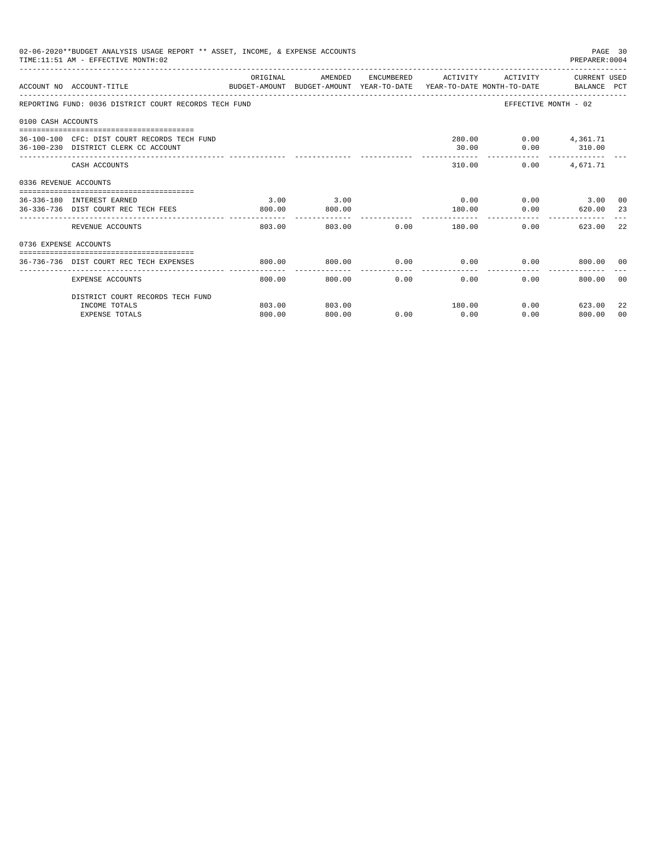|                       | 02-06-2020**BUDGET ANALYSIS USAGE REPORT ** ASSET, INCOME, & EXPENSE ACCOUNTS<br>TIME: 11:51 AM - EFFECTIVE MONTH: 02 |                    |                |      |                      |                | PAGE 30<br>PREPARER: 0004                 |                |
|-----------------------|-----------------------------------------------------------------------------------------------------------------------|--------------------|----------------|------|----------------------|----------------|-------------------------------------------|----------------|
|                       | ACCOUNT NO ACCOUNT-TITLE<br>BUDGET-AMOUNT BUDGET-AMOUNT YEAR-TO-DATE YEAR-TO-DATE MONTH-TO-DATE BALANCE PCT           | ORIGINAL           | AMENDED        |      |                      |                | ENCUMBERED ACTIVITY ACTIVITY CURRENT USED |                |
|                       | REPORTING FUND: 0036 DISTRICT COURT RECORDS TECH FUND                                                                 |                    |                |      |                      |                | EFFECTIVE MONTH - 02                      |                |
| 0100 CASH ACCOUNTS    |                                                                                                                       |                    |                |      |                      |                |                                           |                |
|                       | 36-100-100 CFC: DIST COURT RECORDS TECH FUND<br>36-100-230 DISTRICT CLERK CC ACCOUNT                                  |                    |                |      | 30.00                |                | 280.00   0.00   4,361.71<br>$0.00$ 310.00 |                |
|                       | CASH ACCOUNTS                                                                                                         |                    |                |      |                      | 310.00<br>0.00 | 4,671.71                                  |                |
| 0336 REVENUE ACCOUNTS |                                                                                                                       |                    |                |      |                      |                |                                           |                |
|                       | 36-336-180 INTEREST EARNED<br>36-336-736 DIST COURT REC TECH FEES                                                     | 3.00<br>800.00     | 3.00<br>800.00 |      | 0.00<br>180.00       |                | $0.00$ 3.00 00<br>$0.00$ 620.00 23        |                |
|                       | REVENUE ACCOUNTS                                                                                                      | --------<br>803.00 | 803.00         |      | 0.00                 | 180.00         | 623.00<br>0.00                            | -22            |
| 0736 EXPENSE ACCOUNTS |                                                                                                                       |                    |                |      |                      |                |                                           |                |
|                       | 36-736-736 DIST COURT REC TECH EXPENSES                                                                               | 800.00             | 800.00         | 0.00 |                      |                | $0.00$ $0.00$ $800.00$ 00                 |                |
|                       | EXPENSE ACCOUNTS                                                                                                      | 800.00             | 800.00         | 0.00 | ------------<br>0.00 | 0.00           | 800.00                                    | 00             |
|                       | DISTRICT COURT RECORDS TECH FUND                                                                                      |                    |                |      |                      |                |                                           |                |
|                       | INCOME TOTALS                                                                                                         | 803.00             | 803.00         |      | 180.00               |                | $0.00$ 623.00                             | 22             |
|                       | <b>EXPENSE TOTALS</b>                                                                                                 | 800.00             | 800.00         | 0.00 | 0.00                 | 0.00           | 800.00                                    | 0 <sub>0</sub> |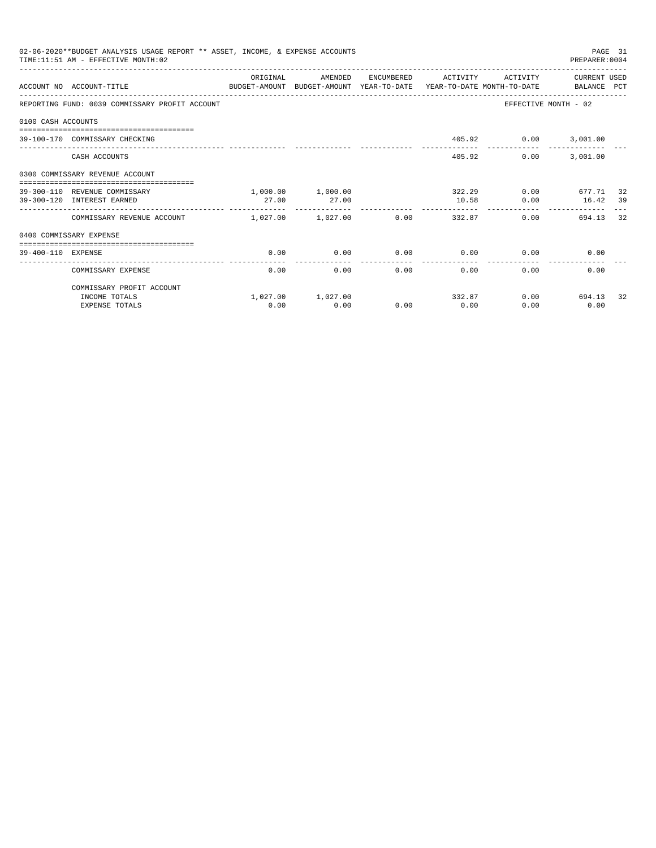|                    | 02-06-2020**BUDGET ANALYSIS USAGE REPORT ** ASSET, INCOME, & EXPENSE ACCOUNTS<br>TIME: 11:51 AM - EFFECTIVE MONTH: 02 |                       |                   |                      |                      |                      | PREPARER: 0004       | PAGE 31 |
|--------------------|-----------------------------------------------------------------------------------------------------------------------|-----------------------|-------------------|----------------------|----------------------|----------------------|----------------------|---------|
|                    | ACCOUNT NO ACCOUNT-TITLE THE BALANCE PUDGET-AMOUNT BUDGET-AMOUNT YEAR-TO-DATE YEAR-TO-DATE MONTH-TO-DATE BALANCE PCT  | OR TGTNAL             | AMENDED           |                      | ENCUMBERED ACTIVITY  | ACTIVITY             | CURRENT USED         |         |
|                    | REPORTING FUND: 0039 COMMISSARY PROFIT ACCOUNT                                                                        |                       |                   |                      |                      |                      | EFFECTIVE MONTH - 02 |         |
| 0100 CASH ACCOUNTS |                                                                                                                       |                       |                   |                      |                      |                      |                      |         |
|                    | 39-100-170 COMMISSARY CHECKING                                                                                        |                       |                   |                      |                      | 405.92 0.00 3,001.00 |                      |         |
|                    | CASH ACCOUNTS                                                                                                         |                       |                   |                      | 405.92               | 0.00                 | 3,001.00             |         |
|                    | 0300 COMMISSARY REVENUE ACCOUNT                                                                                       |                       |                   |                      |                      |                      |                      |         |
|                    | 39-300-110 REVENUE COMMISSARY                                                                                         |                       | 1,000.00 1,000.00 |                      |                      | 322.29               | $0.00$ 677.71        | 32      |
|                    | 39-300-120 INTEREST EARNED                                                                                            | 27.00                 | 27.00             |                      | 10.58                |                      | $0.00$ 16.42         | 39      |
|                    | COMMISSARY REVENUE ACCOUNT                                                                                            | $1,027,00$ $1,027,00$ |                   | 0.00                 |                      | $0.00 -$<br>332.87   | 694.13               | 32      |
|                    | 0400 COMMISSARY EXPENSE                                                                                               |                       |                   |                      |                      |                      |                      |         |
| 39-400-110 EXPENSE | --------------------------------------                                                                                | 0.00                  | 0.00              | 0.00                 | 0.00                 | 0.00                 | 0.00                 |         |
|                    | COMMISSARY EXPENSE                                                                                                    | 0.00                  | 0.00              | ------------<br>0.00 | ------------<br>0.00 | 0.00                 | 0.00                 |         |
|                    | COMMISSARY PROFIT ACCOUNT                                                                                             |                       |                   |                      |                      |                      |                      |         |
|                    | INCOME TOTALS                                                                                                         |                       | 1,027.00 1,027.00 |                      |                      | 332.87               | $0.00$ 694.13        | 32      |
|                    | <b>EXPENSE TOTALS</b>                                                                                                 | 0.00                  | 0.00              | 0.00                 | 0.00                 | 0.00                 | 0.00                 |         |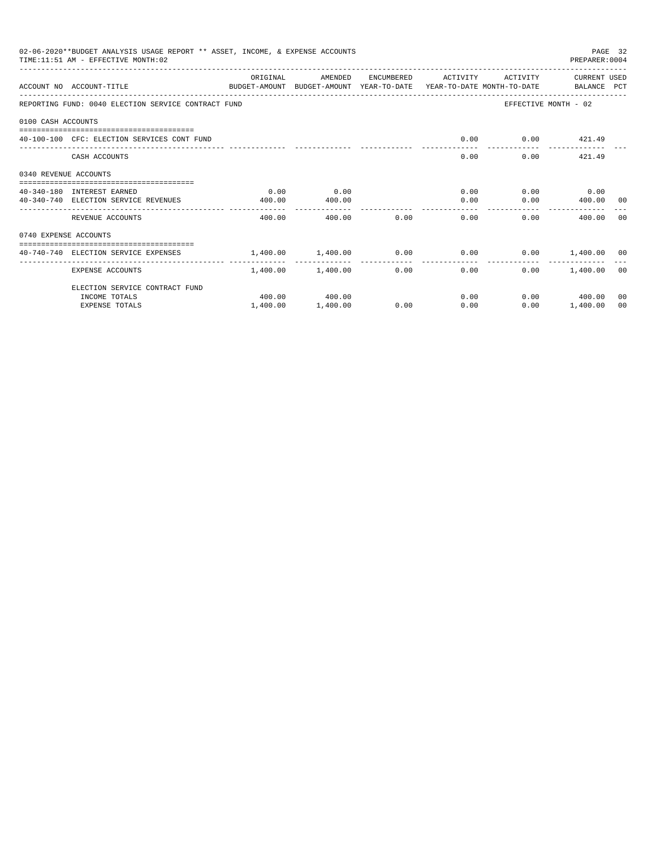|                       | 02-06-2020**BUDGET ANALYSIS USAGE REPORT ** ASSET, INCOME, & EXPENSE ACCOUNTS<br>TIME: 11:51 AM - EFFECTIVE MONTH: 02 |                                                                    |                   |      |                                      |                      | PREPARER: 0004       | PAGE 32 |
|-----------------------|-----------------------------------------------------------------------------------------------------------------------|--------------------------------------------------------------------|-------------------|------|--------------------------------------|----------------------|----------------------|---------|
|                       | ACCOUNT NO ACCOUNT-TITLE<br>BUDGET-AMOUNT BUDGET-AMOUNT YEAR-TO-DATE YEAR-TO-DATE MONTH-TO-DATE   BALANCE PCT         | ORIGINAL                                                           | AMENDED           |      | ENCUMBERED ACTIVITY                  | ACTIVITY             | CURRENT USED         |         |
|                       | REPORTING FUND: 0040 ELECTION SERVICE CONTRACT FUND                                                                   |                                                                    |                   |      |                                      |                      | EFFECTIVE MONTH - 02 |         |
| 0100 CASH ACCOUNTS    |                                                                                                                       |                                                                    |                   |      |                                      |                      |                      |         |
|                       | 40-100-100 CFC: ELECTION SERVICES CONT FUND                                                                           |                                                                    |                   |      | 0.00                                 |                      | $0.00$ $421.49$      |         |
|                       | CASH ACCOUNTS                                                                                                         |                                                                    |                   |      |                                      | 0.00                 | $0.00$ 421.49        |         |
| 0340 REVENUE ACCOUNTS |                                                                                                                       |                                                                    |                   |      |                                      |                      |                      |         |
|                       | 40-340-180 INTEREST EARNED                                                                                            | 0.00                                                               | 0.00              |      |                                      | $0.00$ $0.00$ $0.00$ |                      |         |
|                       | 40-340-740 ELECTION SERVICE REVENUES                                                                                  | 400.00                                                             | 400.00            |      | . <u>.</u>                           | 0.00                 | $0.00$ 400.00 00     |         |
|                       | REVENUE ACCOUNTS                                                                                                      | 400.00                                                             | 400.00            | 0.00 | 0.00                                 |                      | 0.00<br>400.00       | - 0.0   |
| 0740 EXPENSE ACCOUNTS |                                                                                                                       |                                                                    |                   |      |                                      |                      |                      |         |
|                       | 40-740-740 ELECTION SERVICE EXPENSES                                                                                  | $1.400.00$ $1.400.00$ $0.00$ $0.00$ $0.00$ $0.00$ $1.400.00$ $0.0$ |                   |      |                                      |                      |                      |         |
|                       | EXPENSE ACCOUNTS                                                                                                      |                                                                    | 1,400.00 1,400.00 |      | ---------------<br>$0.00$ and $0.00$ | 0.00                 | $0.00$ 1.400.00 00   |         |
|                       | ELECTION SERVICE CONTRACT FUND                                                                                        |                                                                    |                   |      |                                      |                      |                      |         |
|                       | INCOME TOTALS                                                                                                         |                                                                    | 400.00 400.00     |      |                                      | 0.00                 | $0.00$ 400.00        | 00      |
|                       | <b>EXPENSE TOTALS</b>                                                                                                 | 1,400.00                                                           | 1,400.00          | 0.00 | 0.00                                 | 0.00                 | 1,400.00             | 00      |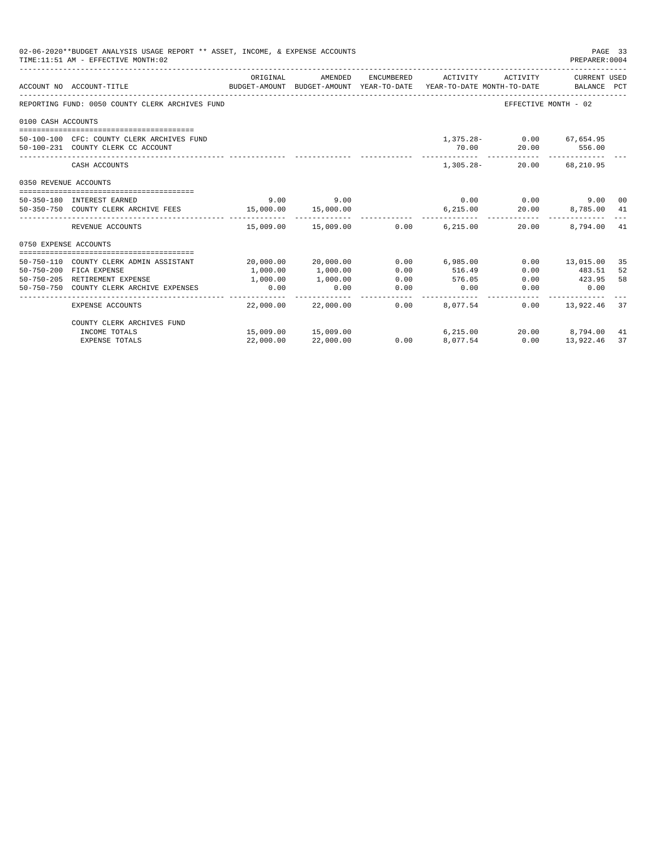|                       | 02-06-2020**BUDGET ANALYSIS USAGE REPORT ** ASSET, INCOME, & EXPENSE ACCOUNTS<br>TIME: 11:51 AM - EFFECTIVE MONTH: 02 |           |                     |                       |                                             |                           | PAGE 33<br>PREPARER: 0004        |    |
|-----------------------|-----------------------------------------------------------------------------------------------------------------------|-----------|---------------------|-----------------------|---------------------------------------------|---------------------------|----------------------------------|----|
|                       | ACCOUNT NO ACCOUNT-TITLE<br>BUDGET-AMOUNT BUDGET-AMOUNT YEAR-TO-DATE YEAR-TO-DATE MONTH-TO-DATE BALANCE PCT           | ORIGINAL  | AMENDED             | ENCUMBERED            | ACTIVITY                                    | ACTIVITY                  | CURRENT USED                     |    |
|                       |                                                                                                                       |           |                     |                       |                                             |                           |                                  |    |
|                       | REPORTING FUND: 0050 COUNTY CLERK ARCHIVES FUND                                                                       |           |                     |                       |                                             | EFFECTIVE MONTH - 02      |                                  |    |
| 0100 CASH ACCOUNTS    |                                                                                                                       |           |                     |                       |                                             |                           |                                  |    |
|                       | 50-100-100 CFC: COUNTY CLERK ARCHIVES FUND                                                                            |           |                     |                       |                                             | 1,375.28 - 0.00 67,654.95 |                                  |    |
|                       | 50-100-231 COUNTY CLERK CC ACCOUNT                                                                                    |           |                     |                       | 70.00                                       | 20.00                     | 556.00                           |    |
|                       | CASH ACCOUNTS                                                                                                         |           |                     |                       | -------------- -------------<br>$1,305.28-$ |                           | -------------<br>20.00 68.210.95 |    |
| 0350 REVENUE ACCOUNTS |                                                                                                                       |           |                     |                       |                                             |                           |                                  |    |
|                       | 50-350-180 INTEREST EARNED                                                                                            | 9.00      | 9.00                |                       |                                             | $0.00$ 0.00               | 9.00 00                          |    |
|                       | 50-350-750 COUNTY CLERK ARCHIVE FEES 15,000.00                                                                        |           | 15,000.00           |                       | 6.215.00                                    | 20.00                     | 8,785.00 41                      |    |
|                       |                                                                                                                       |           |                     |                       |                                             |                           |                                  |    |
|                       | REVENUE ACCOUNTS                                                                                                      |           | 15,009.00 15,009.00 | 0.00                  | 6,215.00                                    | 20.00                     | 8,794.00 41                      |    |
| 0750 EXPENSE ACCOUNTS |                                                                                                                       |           |                     |                       |                                             |                           |                                  |    |
|                       | 50-750-110 COUNTY CLERK ADMIN ASSISTANT                                                                               |           | 20,000.00 20,000.00 |                       | $0.00$ 6,985.00                             |                           | $0.00$ 13,015.00                 | 35 |
|                       | 50-750-200 FICA EXPENSE                                                                                               | 1,000.00  | 1,000.00            | 0.00                  | 516.49                                      | 0.00                      | 483.51                           | 52 |
|                       | 50-750-205 RETIREMENT EXPENSE                                                                                         | 1,000.00  | 1,000.00            | 0.00                  | 576.05                                      | 0.00                      | 423.95                           | 58 |
|                       | 50-750-750 COUNTY CLERK ARCHIVE EXPENSES                                                                              | 0.00      | 0.00                | 0.00                  | 0.00                                        | 0.00                      | 0.00                             |    |
|                       | <b>EXPENSE ACCOUNTS</b>                                                                                               |           | 22,000.00 22,000.00 | -------------<br>0.00 | 8,077.54                                    |                           | $0.00$ 13,922.46                 | 37 |
|                       | COUNTY CLERK ARCHIVES FUND                                                                                            |           |                     |                       |                                             |                           |                                  |    |
|                       | INCOME TOTALS                                                                                                         |           | 15,009.00 15,009.00 |                       | 6, 215.00                                   |                           | 20.00 8,794.00 41                |    |
|                       | <b>EXPENSE TOTALS</b>                                                                                                 | 22,000.00 | 22,000.00           | 0.00                  | 8,077.54                                    | 0.00                      | 13,922.46                        | 37 |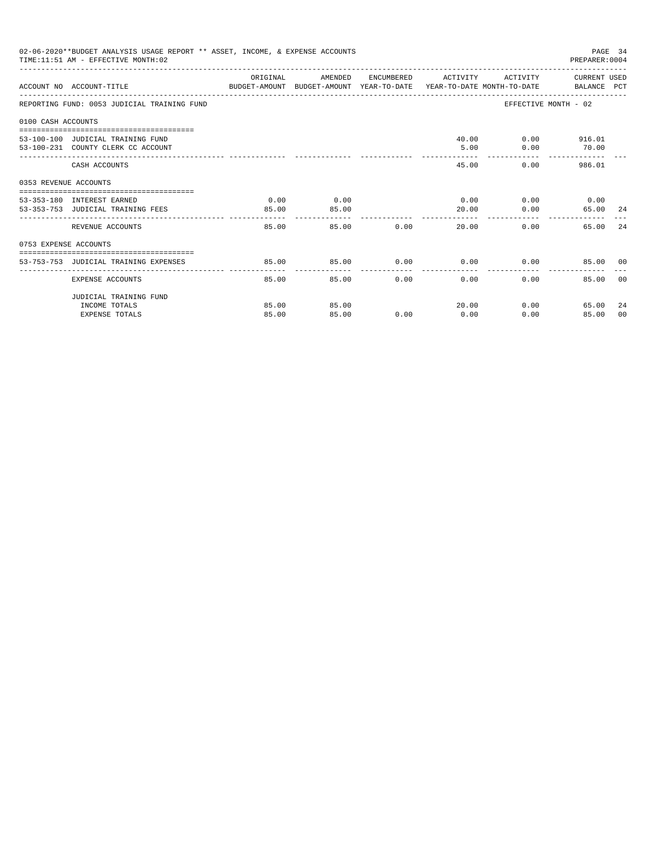|                       | 02-06-2020**BUDGET ANALYSIS USAGE REPORT ** ASSET, INCOME, & EXPENSE ACCOUNTS<br>TIME: 11:51 AM - EFFECTIVE MONTH: 02 |          |         |       |                      |          | PREPARER: 0004              | PAGE 34 |
|-----------------------|-----------------------------------------------------------------------------------------------------------------------|----------|---------|-------|----------------------|----------|-----------------------------|---------|
|                       | ACCOUNT NO ACCOUNT-TITLE CONTROL PROTECT-AMOUNT BUDGET-AMOUNT YEAR-TO-DATE YEAR-TO-DATE MONTH-TO-DATE BALANCE PCT     | ORIGINAL | AMENDED |       | ENCUMBERED ACTIVITY  |          | ACTIVITY CURRENT USED       |         |
|                       | REPORTING FUND: 0053 JUDICIAL TRAINING FUND                                                                           |          |         |       |                      |          | EFFECTIVE MONTH - 02        |         |
| 0100 CASH ACCOUNTS    |                                                                                                                       |          |         |       |                      |          |                             |         |
|                       |                                                                                                                       |          |         |       |                      |          |                             |         |
|                       | 53-100-100 JUDICIAL TRAINING FUND                                                                                     |          |         |       |                      |          | 40.00 0.00 916.01           |         |
|                       | 53-100-231 COUNTY CLERK CC ACCOUNT                                                                                    |          |         |       | 5.00                 | 0.00     | 70.00                       |         |
|                       | CASH ACCOUNTS                                                                                                         |          |         |       | 45.00                |          | 0.00<br>986.01              |         |
| 0353 REVENUE ACCOUNTS |                                                                                                                       |          |         |       |                      |          |                             |         |
|                       | 53-353-180 INTEREST EARNED                                                                                            | 0.00     | 0.00    |       |                      |          | $0.00$ $0.00$ $0.00$ $0.00$ |         |
|                       | 53-353-753 JUDICIAL TRAINING FEES                                                                                     | 85.00    | 85.00   |       | 20.00                | 0.00     | 65.00 24                    |         |
|                       |                                                                                                                       | -------  |         |       |                      |          |                             |         |
|                       | REVENUE ACCOUNTS                                                                                                      | 85.00    |         | 85.00 | 0.00<br>20.00        |          | 0.00<br>65.00               | 2.4     |
| 0753 EXPENSE ACCOUNTS |                                                                                                                       |          |         |       |                      |          |                             |         |
|                       |                                                                                                                       |          |         |       |                      |          |                             |         |
|                       | 53-753-753 JUDICIAL TRAINING EXPENSES                                                                                 | 85.00    | 85.00   |       | $0.00$ $0.00$ $0.00$ |          | 85.00 00                    |         |
|                       | EXPENSE ACCOUNTS                                                                                                      | 85.00    | 85.00   | 0.00  | 0.00                 | $0.00 -$ | 85.00                       | - 0.0   |
|                       | JUDICIAL TRAINING FUND                                                                                                |          |         |       |                      |          |                             |         |
|                       | INCOME TOTALS                                                                                                         | 85.00    | 85.00   |       | 20.00                |          | $0.00$ and $0.00$<br>65.00  | 24      |
|                       | <b>EXPENSE TOTALS</b>                                                                                                 | 85.00    | 85.00   | 0.00  | 0.00                 | 0.00     | 85.00                       | 00      |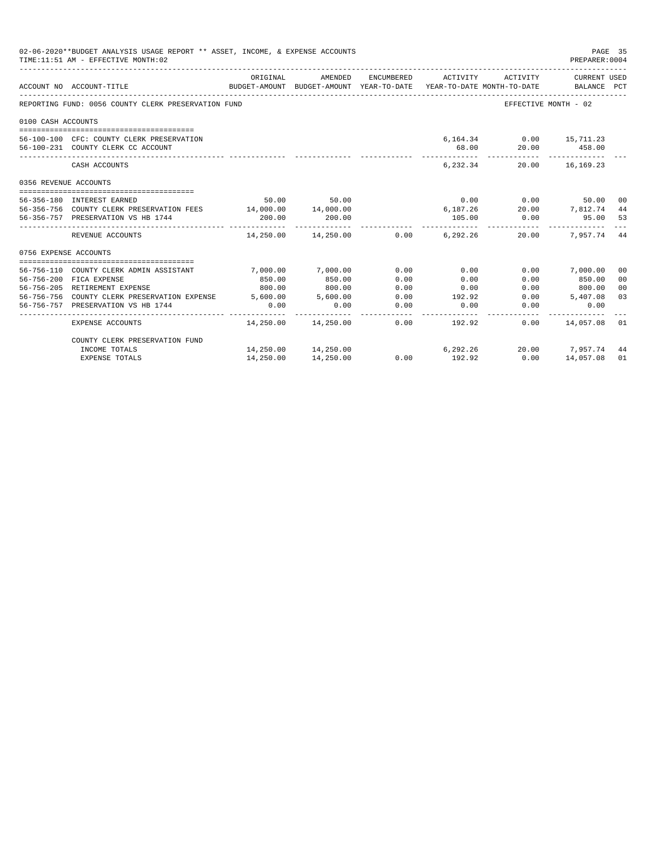|                       | 02-06-2020**BUDGET ANALYSIS USAGE REPORT ** ASSET, INCOME, & EXPENSE ACCOUNTS<br>TIME: 11:51 AM - EFFECTIVE MONTH: 02 |            |                                                                                |            |               |                               | PAGE 35<br>PREPARER: 0004   |                |
|-----------------------|-----------------------------------------------------------------------------------------------------------------------|------------|--------------------------------------------------------------------------------|------------|---------------|-------------------------------|-----------------------------|----------------|
|                       | ACCOUNT NO ACCOUNT-TITLE                                                                                              | ORIGINAL   | AMENDED<br>BUDGET-AMOUNT BUDGET-AMOUNT YEAR-TO-DATE YEAR-TO-DATE MONTH-TO-DATE | ENCUMBERED | ACTIVITY      | ACTIVITY                      | CURRENT USED<br>BALANCE PCT |                |
|                       | REPORTING FUND: 0056 COUNTY CLERK PRESERVATION FUND                                                                   |            |                                                                                |            |               |                               | EFFECTIVE MONTH - 02        |                |
| 0100 CASH ACCOUNTS    |                                                                                                                       |            |                                                                                |            |               |                               |                             |                |
|                       |                                                                                                                       |            |                                                                                |            |               |                               |                             |                |
|                       | 56-100-100 CFC: COUNTY CLERK PRESERVATION                                                                             |            |                                                                                |            |               | 6.164.34 0.00 15.711.23       |                             |                |
|                       | 56-100-231 COUNTY CLERK CC ACCOUNT                                                                                    |            |                                                                                |            | 68.00         |                               | 20.00 458.00                |                |
|                       | CASH ACCOUNTS                                                                                                         |            |                                                                                |            | 6, 232, 34    |                               | 20.00 16.169.23             |                |
| 0356 REVENUE ACCOUNTS |                                                                                                                       |            |                                                                                |            |               |                               |                             |                |
|                       | 56-356-180 INTEREST EARNED                                                                                            |            | 50.00 50.00                                                                    |            |               | $0.00$ 0.00                   | 50.00 00                    |                |
|                       | 56-356-756 COUNTY CLERK PRESERVATION FEES 14,000.00 14,000.00                                                         |            |                                                                                |            |               | $6,187.26$ $20.00$ $7,812.74$ |                             | 44             |
|                       | 56-356-757 PRESERVATION VS HB 1744                                                                                    | 200.00     | 200.00                                                                         |            | 105.00        |                               | $0.00$ 95.00                | 53             |
|                       | REVENUE ACCOUNTS                                                                                                      | ---------- | $14,250.00$ $14,250.00$ $0.00$ $6,292.26$                                      |            |               | 20.00                         | 7.957.74 44                 |                |
| 0756 EXPENSE ACCOUNTS |                                                                                                                       |            |                                                                                |            |               |                               |                             |                |
|                       |                                                                                                                       |            |                                                                                |            |               |                               |                             |                |
|                       | 56-756-110 COUNTY CLERK ADMIN ASSISTANT                                                                               | 7.000.00   | 7,000.00                                                                       | 0.00       | 0.00          |                               | $0.00$ 7,000.00             | 00             |
|                       | 56-756-200 FICA EXPENSE                                                                                               | 850.00     | 850.00                                                                         | 0.00       | 0.00          | 0.00                          | 850.00                      | 0 <sup>0</sup> |
|                       | 56-756-205 RETIREMENT EXPENSE                                                                                         | 800.00     | 800.00                                                                         | 0.00       | 0.00          |                               | $0.00$ 800.00               | 0 <sup>0</sup> |
|                       | 56-756-756 COUNTY CLERK PRESERVATION EXPENSE 5,600.00 5,600.00                                                        |            |                                                                                | 0.00       | 192.92        |                               | $0.00$ 5,407.08             | 03             |
|                       | 56-756-757 PRESERVATION VS HB 1744                                                                                    | 0.00       | 0.00                                                                           | 0.00       | 0.00          | 0.00                          | 0.00                        |                |
|                       | EXPENSE ACCOUNTS                                                                                                      |            | 14,250.00  14,250.00                                                           |            | $0.00$ 192.92 |                               | $0.00$ $14.057.08$ 01       |                |
|                       | COUNTY CLERK PRESERVATION FUND                                                                                        |            |                                                                                |            |               |                               |                             |                |
|                       | INCOME TOTALS                                                                                                         |            | 14,250.00 14,250.00                                                            |            | 6,292.26      |                               | 20.00 7,957.74 44           |                |
|                       | <b>EXPENSE TOTALS</b>                                                                                                 | 14,250.00  | 14,250.00                                                                      | 0.00       | 192.92        | 0.00                          | 14,057.08                   | 01             |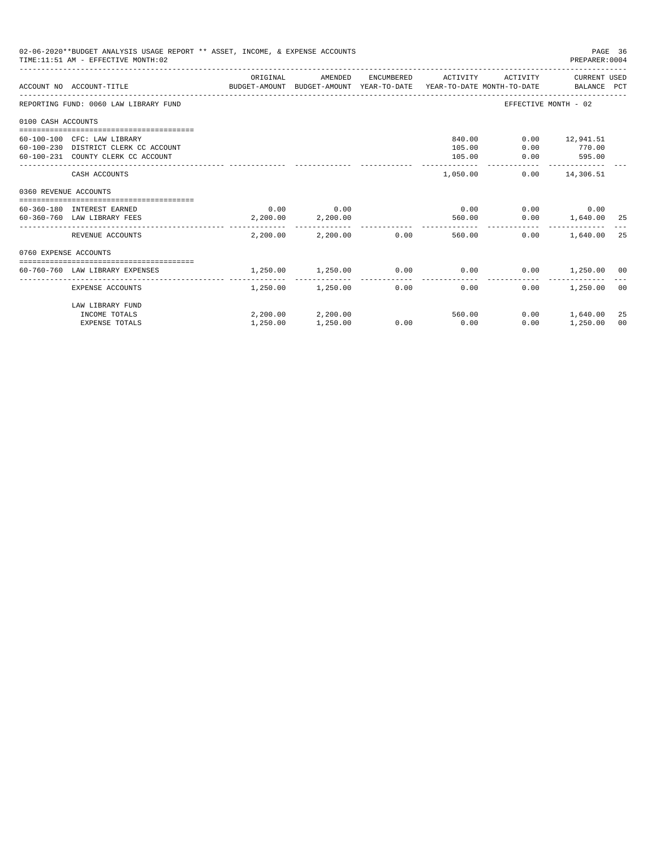|                       | 02-06-2020**BUDGET ANALYSIS USAGE REPORT ** ASSET, INCOME, & EXPENSE ACCOUNTS<br>TIME: 11:51 AM - EFFECTIVE MONTH: 02 |          |                            |      |                     |                      | PAGE 36<br>PREPARER: 0004  |                |
|-----------------------|-----------------------------------------------------------------------------------------------------------------------|----------|----------------------------|------|---------------------|----------------------|----------------------------|----------------|
|                       | ACCOUNT NO ACCOUNT-TITLE CONTROL SUDGET-AMOUNT BUDGET-AMOUNT YEAR-TO-DATE YEAR-TO-DATE MONTH-TO-DATE BALANCE PCT      | ORIGINAL | AMENDED                    |      | ENCUMBERED ACTIVITY |                      | ACTIVITY CURRENT USED      |                |
|                       | REPORTING FUND: 0060 LAW LIBRARY FUND                                                                                 |          |                            |      |                     | EFFECTIVE MONTH - 02 |                            |                |
| 0100 CASH ACCOUNTS    |                                                                                                                       |          |                            |      |                     |                      |                            |                |
|                       |                                                                                                                       |          |                            |      |                     |                      |                            |                |
|                       | 60-100-100 CFC: LAW LIBRARY<br>60-100-230 DISTRICT CLERK CC ACCOUNT                                                   |          |                            |      | 840.00<br>105.00    | 0.00                 | $0.00$ 12,941.51<br>770.00 |                |
|                       | 60-100-231 COUNTY CLERK CC ACCOUNT                                                                                    |          |                            |      | 105.00              | 0.00                 | 595.00                     |                |
|                       |                                                                                                                       |          |                            |      |                     |                      | -------------              |                |
|                       | CASH ACCOUNTS                                                                                                         |          |                            |      | 1,050.00            |                      | $0.00$ 14,306.51           |                |
| 0360 REVENUE ACCOUNTS |                                                                                                                       |          |                            |      |                     |                      |                            |                |
|                       |                                                                                                                       |          |                            |      |                     |                      |                            |                |
|                       | 60-360-180 INTEREST EARNED                                                                                            |          | $0.00$ 0.00                |      | 0.00                |                      | $0.00$ 0.00                |                |
|                       | 60-360-760 LAW LIBRARY FEES                                                                                           |          | 2,200.00 2,200.00          |      | 560.00              |                      | $0.00$ 1,640.00 25         |                |
|                       | REVENUE ACCOUNTS                                                                                                      |          | $2.200.00$ $2.200.00$ 0.00 |      | 560.00              | 0.00                 | 1,640.00                   | 25             |
| 0760 EXPENSE ACCOUNTS |                                                                                                                       |          |                            |      |                     |                      |                            |                |
|                       |                                                                                                                       |          |                            |      |                     |                      |                            |                |
|                       | 60-760-760 LAW LIBRARY EXPENSES                                                                                       | 1,250.00 | 1,250.00                   |      | $0.00$ 0.00         |                      | $0.00$ 1,250.00 00         |                |
|                       | EXPENSE ACCOUNTS                                                                                                      |          | 1,250.00 1,250.00 0.00     |      | 0.00                | 0.00                 | 1,250.00                   | 0 <sup>0</sup> |
|                       | LAW LIBRARY FUND                                                                                                      |          |                            |      |                     |                      |                            |                |
|                       | INCOME TOTALS                                                                                                         |          | 2,200.00 2,200.00          |      | 560.00              | 0.00                 | 1,640.00                   | 25             |
|                       | <b>EXPENSE TOTALS</b>                                                                                                 | 1,250.00 | 1,250.00                   | 0.00 | 0.00                | 0.00                 | 1,250.00                   | 00             |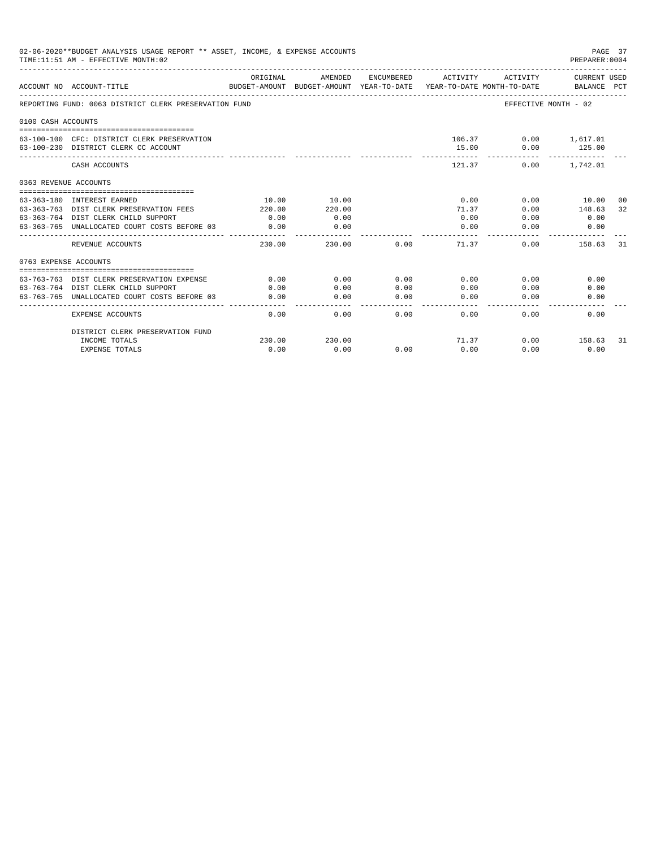|                       | 02-06-2020**BUDGET ANALYSIS USAGE REPORT ** ASSET, INCOME, & EXPENSE ACCOUNTS<br>TIME: 11:51 AM - EFFECTIVE MONTH: 02 |                           |                                       |            |                         |                                        | PAGE 37<br>PREPARER: 0004          |      |
|-----------------------|-----------------------------------------------------------------------------------------------------------------------|---------------------------|---------------------------------------|------------|-------------------------|----------------------------------------|------------------------------------|------|
|                       | ACCOUNT NO ACCOUNT-TITLE                                                                                              | ORIGINAL<br>BUDGET-AMOUNT | AMENDED<br>BUDGET-AMOUNT YEAR-TO-DATE | ENCUMBERED | ACTIVITY                | ACTIVITY<br>YEAR-TO-DATE MONTH-TO-DATE | <b>CURRENT USED</b><br>BALANCE PCT |      |
|                       | REPORTING FUND: 0063 DISTRICT CLERK PRESERVATION FUND                                                                 |                           |                                       |            |                         |                                        | EFFECTIVE MONTH - 02               |      |
| 0100 CASH ACCOUNTS    |                                                                                                                       |                           |                                       |            |                         |                                        |                                    |      |
|                       | 63-100-100 CFC: DISTRICT CLERK PRESERVATION<br>63-100-230 DISTRICT CLERK CC ACCOUNT                                   |                           |                                       |            | 15.00                   | 106.37<br>0.00                         | $0.00$ 1.617.01<br>125.00          |      |
|                       | CASH ACCOUNTS                                                                                                         |                           |                                       |            | 121.37                  | 0.00                                   | 1,742.01                           |      |
| 0363 REVENUE ACCOUNTS |                                                                                                                       |                           |                                       |            |                         |                                        |                                    |      |
|                       |                                                                                                                       |                           |                                       |            |                         |                                        |                                    |      |
|                       | 63-363-180 INTEREST EARNED                                                                                            | 10.00                     | 10.00                                 |            | 0.00                    | 0.00                                   | 10.00                              | - 00 |
|                       | 63-363-763 DIST CLERK PRESERVATION FEES                                                                               | 220.00                    | 220.00                                |            | 71.37                   | 0.00                                   | 148.63                             | 32   |
|                       | 63-363-764 DIST CLERK CHILD SUPPORT                                                                                   | 0.00                      | 0.00                                  |            | 0.00                    | 0.00                                   | 0.00                               |      |
|                       | 63-363-765 UNALLOCATED COURT COSTS BEFORE 03                                                                          | 0.00<br>-------------     | 0.00<br>--------                      |            | 0.00<br>$- - - - - - -$ | 0.00                                   | 0.00                               |      |
|                       | REVENUE ACCOUNTS                                                                                                      | 230.00                    | 230.00                                | 0.00       | 71.37                   | 0.00                                   | 158.63                             | 31   |
| 0763 EXPENSE ACCOUNTS |                                                                                                                       |                           |                                       |            |                         |                                        |                                    |      |
|                       |                                                                                                                       |                           |                                       |            |                         |                                        |                                    |      |
|                       | 63-763-763 DIST CLERK PRESERVATION EXPENSE                                                                            | 0.00                      | 0.00                                  | 0.00       | 0.00                    | 0.00                                   | 0.00                               |      |
|                       | 63-763-764 DIST CLERK CHILD SUPPORT                                                                                   | 0.00                      | 0.00                                  | 0.00       | 0.00                    | 0.00                                   | 0.00                               |      |
|                       | 63-763-765 UNALLOCATED COURT COSTS BEFORE 03                                                                          | 0.00                      | 0.00                                  | 0.00       | 0.00                    | 0.00                                   | 0.00                               |      |
|                       | <b>EXPENSE ACCOUNTS</b>                                                                                               | 0.00                      | 0.00                                  | 0.00       | 0.00                    | 0.00                                   | 0.00                               |      |
|                       | DISTRICT CLERK PRESERVATION FUND                                                                                      |                           |                                       |            |                         |                                        |                                    |      |
|                       | INCOME TOTALS                                                                                                         | 230.00                    | 230.00                                |            | 71.37                   | 0.00                                   | 158.63                             | 31   |
|                       | <b>EXPENSE TOTALS</b>                                                                                                 | 0.00                      | 0.00                                  | 0.00       | 0.00                    | 0.00                                   | 0.00                               |      |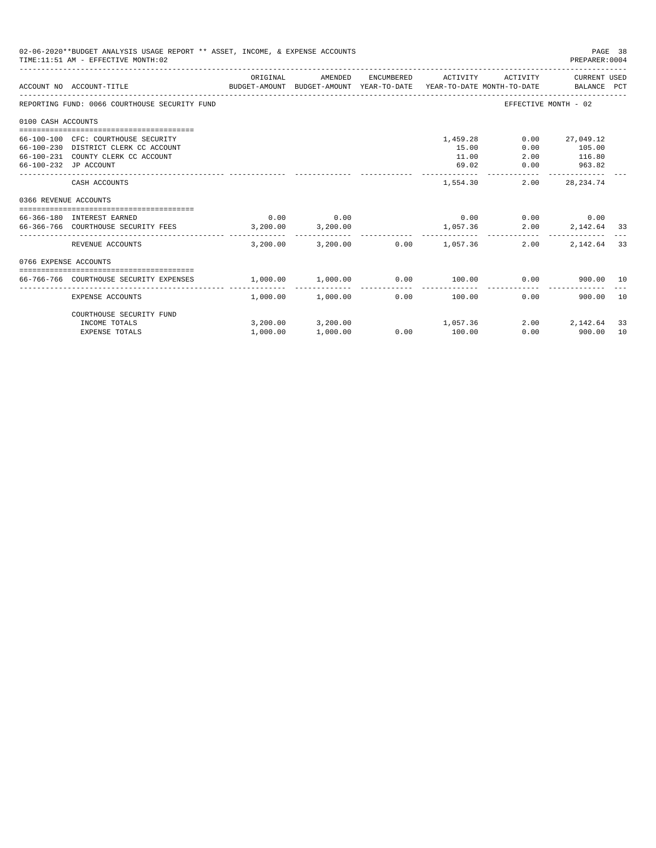|                       | 02-06-2020**BUDGET ANALYSIS USAGE REPORT ** ASSET, INCOME, & EXPENSE ACCOUNTS<br>TIME: 11:51 AM - EFFECTIVE MONTH: 02 |                       |                       |                          |                         |                        | PREPARER: 0004                  | PAGE 38 |
|-----------------------|-----------------------------------------------------------------------------------------------------------------------|-----------------------|-----------------------|--------------------------|-------------------------|------------------------|---------------------------------|---------|
|                       | BUDGET-AMOUNT BUDGET-AMOUNT YEAR-TO-DATE YEAR-TO-DATE MONTH-TO-DATE     BALANCE PCT<br>ACCOUNT NO ACCOUNT-TITLE       | ORIGINAL              | AMENDED               |                          | ENCUMBERED ACTIVITY     | ACTIVITY               | CURRENT USED                    |         |
|                       | REPORTING FUND: 0066 COURTHOUSE SECURITY FUND                                                                         |                       |                       |                          |                         |                        | EFFECTIVE MONTH - 02            |         |
| 0100 CASH ACCOUNTS    |                                                                                                                       |                       |                       |                          |                         |                        |                                 |         |
|                       |                                                                                                                       |                       |                       |                          |                         |                        |                                 |         |
|                       | 66-100-100 CFC: COURTHOUSE SECURITY<br>66-100-230 DISTRICT CLERK CC ACCOUNT                                           |                       |                       |                          | 1,459.28<br>15.00       | 0.00<br>0.00           | 27,049.12<br>105.00             |         |
|                       | 66-100-231 COUNTY CLERK CC ACCOUNT                                                                                    |                       |                       |                          | 11.00                   |                        | 2.00 116.80                     |         |
| 66-100-232 JP ACCOUNT |                                                                                                                       |                       |                       |                          | 69.02                   | 0.00                   | 963.82                          |         |
|                       | CASH ACCOUNTS                                                                                                         |                       |                       |                          | 1,554.30                | 2.00                   | 28, 234. 74                     |         |
| 0366 REVENUE ACCOUNTS |                                                                                                                       |                       |                       |                          |                         |                        |                                 |         |
|                       | --------------------------------------                                                                                |                       |                       |                          |                         |                        |                                 |         |
|                       | 66-366-180 INTEREST EARNED<br>66-366-766 COURTHOUSE SECURITY FEES 3,200.00 3,200.00                                   | 0.00                  | 0.00                  |                          | 0.00<br>1,057.36        |                        | $0.00$ 0.00<br>2.00 2,142.64 33 |         |
|                       |                                                                                                                       |                       |                       |                          |                         |                        |                                 |         |
|                       | REVENUE ACCOUNTS                                                                                                      | 3,200.00              |                       | $3,200.00$ 0.00 1,057.36 |                         | 2.00                   | 2,142.64                        | 33      |
| 0766 EXPENSE ACCOUNTS |                                                                                                                       |                       |                       |                          |                         |                        |                                 |         |
|                       | 66-766-766 COURTHOUSE SECURITY EXPENSES                                                                               | $1,000.00$ $1,000.00$ |                       |                          |                         | $0.00$ $100.00$ $0.00$ | 900.00 10                       |         |
|                       | EXPENSE ACCOUNTS                                                                                                      |                       | $1.000.00$ $1.000.00$ | ------------<br>0.00     | -------------<br>100.00 | 0.00                   | 900.00                          | 10      |
|                       | COURTHOUSE SECURITY FUND                                                                                              |                       |                       |                          |                         |                        |                                 |         |
|                       | INCOME TOTALS                                                                                                         |                       | 3,200.00 3,200.00     |                          | 1,057.36                |                        | 2.00 2.142.64                   | 33      |
|                       | <b>EXPENSE TOTALS</b>                                                                                                 | 1,000.00              | 1,000.00              |                          | $0.00$ 100.00           |                        | $0.00$ 900.00                   | 10      |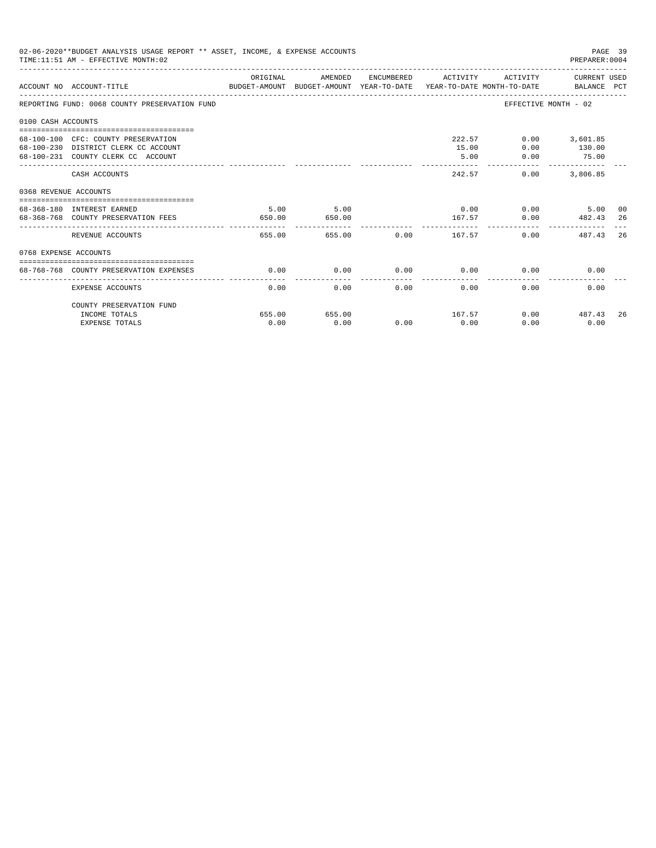|                       | 02-06-2020**BUDGET ANALYSIS USAGE REPORT ** ASSET, INCOME, & EXPENSE ACCOUNTS<br>TIME: 11:51 AM - EFFECTIVE MONTH: 02 |                |                |      |                     |                        | PAGE 39<br>PREPARER: 0004                           |    |
|-----------------------|-----------------------------------------------------------------------------------------------------------------------|----------------|----------------|------|---------------------|------------------------|-----------------------------------------------------|----|
|                       | BUDGET-AMOUNT BUDGET-AMOUNT YEAR-TO-DATE  YEAR-TO-DATE MONTH-TO-DATE     BALANCE PCT<br>ACCOUNT NO ACCOUNT-TITLE      | ORIGINAL       | AMENDED        |      | ENCUMBERED ACTIVITY |                        | ACTIVITY CURRENT USED                               |    |
|                       | REPORTING FUND: 0068 COUNTY PRESERVATION FUND                                                                         |                |                |      |                     |                        | EFFECTIVE MONTH - 02                                |    |
| 0100 CASH ACCOUNTS    |                                                                                                                       |                |                |      |                     |                        |                                                     |    |
|                       | 68-100-100 CFC: COUNTY PRESERVATION<br>68-100-230 DISTRICT CLERK CC ACCOUNT<br>68-100-231 COUNTY CLERK CC ACCOUNT     |                |                |      | 15.00<br>5.00       | 222.57<br>0.00<br>0.00 | $0.00$ 3,601.85<br>130.00<br>75.00<br>------------- |    |
|                       | CASH ACCOUNTS                                                                                                         |                |                |      |                     | 242.57<br>0.00         | 3,806.85                                            |    |
| 0368 REVENUE ACCOUNTS |                                                                                                                       |                |                |      |                     |                        |                                                     |    |
|                       | 68-368-180 INTEREST EARNED<br>68-368-768 COUNTY PRESERVATION FEES                                                     | 5.00<br>650.00 | 5.00<br>650.00 |      | 167.57              | $0.00$ 0.00            | 5.00<br>0.00 482.43 26                              | 00 |
|                       | REVENUE ACCOUNTS                                                                                                      | 655.00         |                |      | 655.00 0.00 167.57  | 0.00                   | 487.43                                              | 26 |
| 0768 EXPENSE ACCOUNTS |                                                                                                                       |                |                |      |                     |                        |                                                     |    |
|                       | 68-768-768 COUNTY PRESERVATION EXPENSES                                                                               | 0.00           | 0.00           |      | $0.00$ 0.00         |                        | 0.00<br>0.00                                        |    |
|                       | EXPENSE ACCOUNTS                                                                                                      | 0.00           | 0.00           | 0.00 | 0.00                | 0.00                   | 0.00                                                |    |
|                       | COUNTY PRESERVATION FUND                                                                                              |                |                |      |                     |                        |                                                     |    |
|                       | INCOME TOTALS<br><b>EXPENSE TOTALS</b>                                                                                | 655.00<br>0.00 | 655.00<br>0.00 | 0.00 | 167.57<br>0.00      | 0.00                   | $0.00$ 487.43<br>0.00                               | 26 |
|                       |                                                                                                                       |                |                |      |                     |                        |                                                     |    |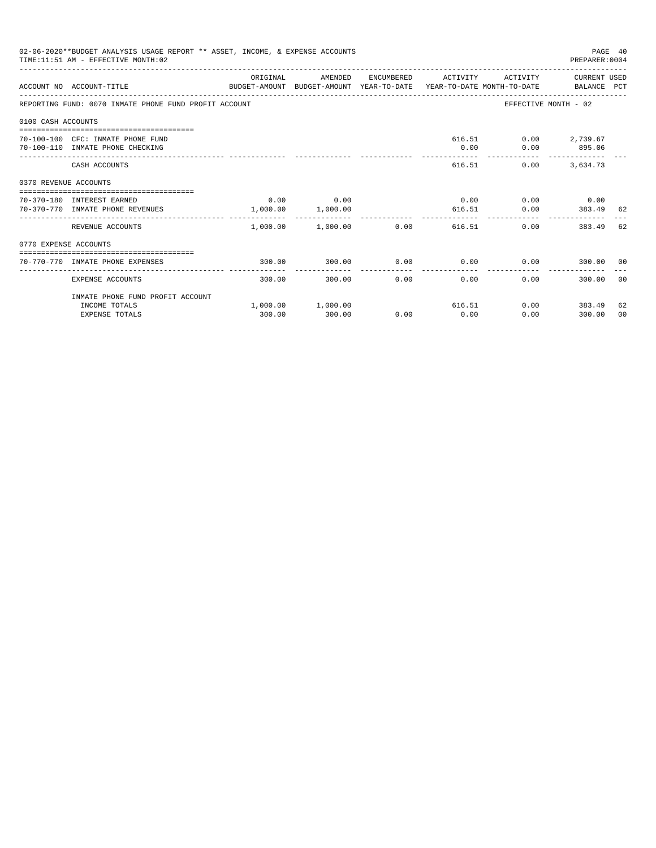|                       | 02-06-2020**BUDGET ANALYSIS USAGE REPORT ** ASSET, INCOME, & EXPENSE ACCOUNTS<br>TIME: 11:51 AM - EFFECTIVE MONTH: 02 |             |                                             |      |                      |                                            | PAGE 40<br>PREPARER: 0004 |          |
|-----------------------|-----------------------------------------------------------------------------------------------------------------------|-------------|---------------------------------------------|------|----------------------|--------------------------------------------|---------------------------|----------|
|                       | ACCOUNT NO ACCOUNT-TITLE<br>BUDGET-AMOUNT BUDGET-AMOUNT YEAR-TO-DATE YEAR-TO-DATE MONTH-TO-DATE BALANCE PCT           | ORIGINAL    | AMENDED                                     |      | ENCUMBERED ACTIVITY  |                                            | ACTIVITY CURRENT USED     |          |
|                       | REPORTING FUND: 0070 INMATE PHONE FUND PROFIT ACCOUNT                                                                 |             |                                             |      |                      |                                            | EFFECTIVE MONTH - 02      |          |
| 0100 CASH ACCOUNTS    |                                                                                                                       |             |                                             |      |                      |                                            |                           |          |
|                       | 70-100-100 CFC: INMATE PHONE FUND<br>70-100-110 INMATE PHONE CHECKING                                                 |             |                                             |      | 0.00                 | 616.51 0.00 2,739.67                       | $0.00$ 895.06             |          |
|                       | CASH ACCOUNTS                                                                                                         |             |                                             |      |                      | 616.51<br>0.00                             | 3,634.73                  |          |
| 0370 REVENUE ACCOUNTS |                                                                                                                       |             |                                             |      |                      |                                            |                           |          |
|                       | 70-370-180 INTEREST EARNED<br>70-370-770 INMATE PHONE REVENUES                                                        | $0.00$ 0.00 | 1,000.00 1,000.00                           |      | 616.51               | $0.00$ $0.00$ $0.00$ $0.00$ $0.00$<br>0.00 | 383.49                    | 62       |
|                       | REVENUE ACCOUNTS                                                                                                      | .           | -------------<br>$1,000.00$ $1,000.00$ 0.00 |      |                      | 616.51<br>0.00                             | 383.49                    | 62       |
| 0770 EXPENSE ACCOUNTS |                                                                                                                       |             |                                             |      |                      |                                            |                           |          |
|                       | 70-770-770 INMATE PHONE EXPENSES                                                                                      | 300.00      | 300.00                                      | 0.00 |                      | $0.00$ 0.00                                | 300.00 00                 |          |
|                       | EXPENSE ACCOUNTS                                                                                                      | 300.00      | 300.00                                      | 0.00 | ------------<br>0.00 | 0.00                                       | 300.00                    | 00       |
|                       | INMATE PHONE FUND PROFIT ACCOUNT                                                                                      |             |                                             |      |                      |                                            |                           |          |
|                       | INCOME TOTALS<br><b>EXPENSE TOTALS</b>                                                                                | 300.00      | $1,000.00$ $1,000.00$<br>300.00             | 0.00 | 0.00                 | 616.51<br>0.00                             | $0.00$ 383.49<br>300.00   | 62<br>00 |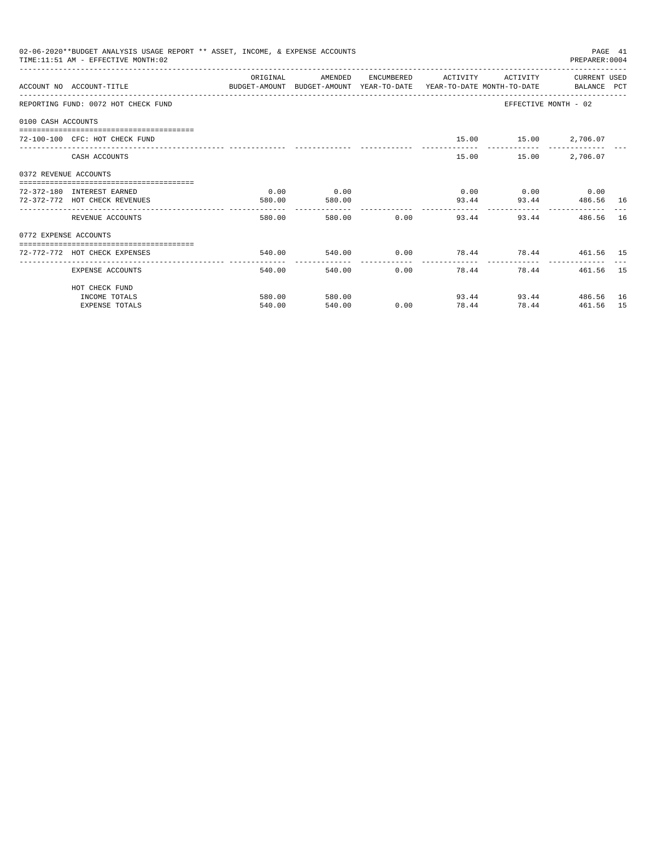| 02-06-2020**BUDGET ANALYSIS USAGE REPORT ** ASSET, INCOME, & EXPENSE ACCOUNTS<br>PAGE 41<br>TIME: 11:51 AM - EFFECTIVE MONTH: 02<br>PREPARER: 0004<br>OR TGTNAL<br>AMENDED<br>ACTIVITY CURRENT USED<br>ENCUMBERED<br><b>ACTIVITY</b><br>ACCOUNT NO ACCOUNT-TITLE CONTROL BUDGET-AMOUNT BUDGET-AMOUNT YEAR-TO-DATE YEAR-TO-DATE MONTH-TO-DATE BALANCE PCT<br>EFFECTIVE MONTH - 02<br>REPORTING FUND: 0072 HOT CHECK FUND<br>0100 CASH ACCOUNTS<br>15.00   15.00   2,706.07<br>72-100-100 CFC: HOT CHECK FUND<br>15.00   15.00   2.706.07<br>CASH ACCOUNTS<br>0372 REVENUE ACCOUNTS<br>0.00<br>$0.00$ $0.00$ $0.00$ $0.00$<br>0.00<br>72-372-180 INTEREST EARNED<br>93.44 486.56 16<br>72-372-772 HOT CHECK REVENUES<br>93.44<br>580.00<br>580.00<br>--------------<br>580.00 0.00<br>580.00<br>93.44<br>93.44<br>486.56<br>REVENUE ACCOUNTS<br>0772 EXPENSE ACCOUNTS<br>540.00<br>72-772-772 HOT CHECK EXPENSES |                       |        |        |              |                                            |                        |           |      |
|----------------------------------------------------------------------------------------------------------------------------------------------------------------------------------------------------------------------------------------------------------------------------------------------------------------------------------------------------------------------------------------------------------------------------------------------------------------------------------------------------------------------------------------------------------------------------------------------------------------------------------------------------------------------------------------------------------------------------------------------------------------------------------------------------------------------------------------------------------------------------------------------------------------|-----------------------|--------|--------|--------------|--------------------------------------------|------------------------|-----------|------|
|                                                                                                                                                                                                                                                                                                                                                                                                                                                                                                                                                                                                                                                                                                                                                                                                                                                                                                                |                       |        |        |              |                                            |                        |           |      |
|                                                                                                                                                                                                                                                                                                                                                                                                                                                                                                                                                                                                                                                                                                                                                                                                                                                                                                                |                       |        |        |              |                                            |                        |           |      |
|                                                                                                                                                                                                                                                                                                                                                                                                                                                                                                                                                                                                                                                                                                                                                                                                                                                                                                                |                       |        |        |              |                                            |                        |           |      |
|                                                                                                                                                                                                                                                                                                                                                                                                                                                                                                                                                                                                                                                                                                                                                                                                                                                                                                                |                       |        |        |              |                                            |                        |           |      |
|                                                                                                                                                                                                                                                                                                                                                                                                                                                                                                                                                                                                                                                                                                                                                                                                                                                                                                                |                       |        |        |              |                                            |                        |           |      |
|                                                                                                                                                                                                                                                                                                                                                                                                                                                                                                                                                                                                                                                                                                                                                                                                                                                                                                                |                       |        |        |              |                                            |                        |           |      |
|                                                                                                                                                                                                                                                                                                                                                                                                                                                                                                                                                                                                                                                                                                                                                                                                                                                                                                                |                       |        |        |              |                                            |                        |           |      |
|                                                                                                                                                                                                                                                                                                                                                                                                                                                                                                                                                                                                                                                                                                                                                                                                                                                                                                                |                       |        |        |              |                                            |                        |           |      |
|                                                                                                                                                                                                                                                                                                                                                                                                                                                                                                                                                                                                                                                                                                                                                                                                                                                                                                                |                       |        |        |              |                                            |                        |           | - 16 |
|                                                                                                                                                                                                                                                                                                                                                                                                                                                                                                                                                                                                                                                                                                                                                                                                                                                                                                                |                       |        |        |              |                                            |                        |           |      |
|                                                                                                                                                                                                                                                                                                                                                                                                                                                                                                                                                                                                                                                                                                                                                                                                                                                                                                                |                       |        |        |              |                                            |                        |           |      |
|                                                                                                                                                                                                                                                                                                                                                                                                                                                                                                                                                                                                                                                                                                                                                                                                                                                                                                                | EXPENSE ACCOUNTS      | 540.00 | 540.00 | ------------ | . _ _ _ _ _ _ _ _ _ _ _ _<br>0.00<br>78.44 | -------------<br>78.44 | 461.56 15 |      |
|                                                                                                                                                                                                                                                                                                                                                                                                                                                                                                                                                                                                                                                                                                                                                                                                                                                                                                                | HOT CHECK FUND        |        |        |              |                                            |                        |           |      |
|                                                                                                                                                                                                                                                                                                                                                                                                                                                                                                                                                                                                                                                                                                                                                                                                                                                                                                                | INCOME TOTALS         | 580.00 | 580.00 |              |                                            | 93.44 93.44 486.56     |           | 16   |
|                                                                                                                                                                                                                                                                                                                                                                                                                                                                                                                                                                                                                                                                                                                                                                                                                                                                                                                | <b>EXPENSE TOTALS</b> | 540.00 | 540.00 | 0.00         | 78.44                                      | 78.44                  | 461.56    | 15   |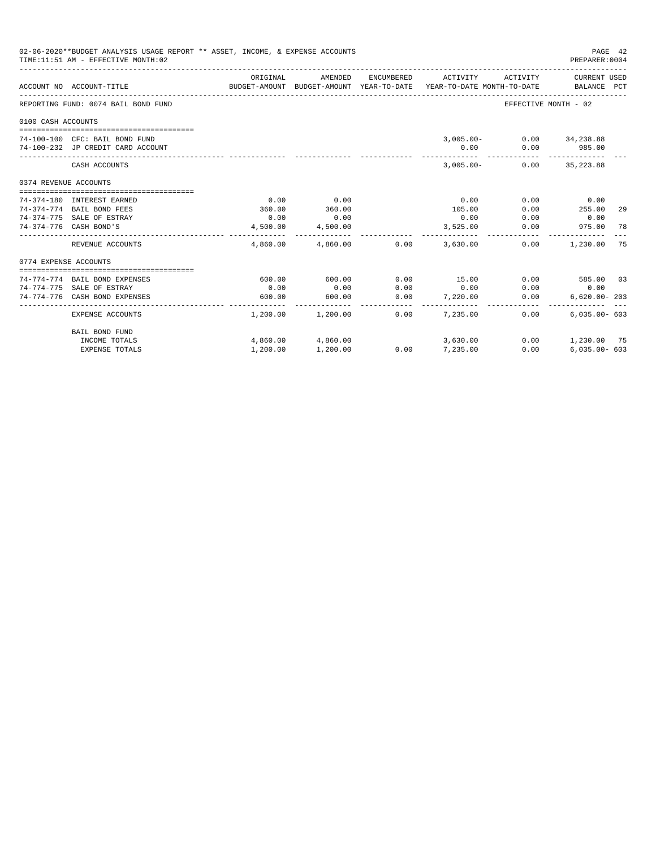|                        | 02-06-2020**BUDGET ANALYSIS USAGE REPORT ** ASSET, INCOME, & EXPENSE ACCOUNTS<br>TIME: 11:51 AM - EFFECTIVE MONTH: 02 |          |                         |                 |                                                                                 |                          | PAGE 42<br>PREPARER: 0004   |    |
|------------------------|-----------------------------------------------------------------------------------------------------------------------|----------|-------------------------|-----------------|---------------------------------------------------------------------------------|--------------------------|-----------------------------|----|
|                        | ACCOUNT NO ACCOUNT-TITLE                                                                                              | ORIGINAL | AMENDED                 | ENCUMBERED      | ACTIVITY<br>BUDGET-AMOUNT BUDGET-AMOUNT YEAR-TO-DATE YEAR-TO-DATE MONTH-TO-DATE | ACTIVITY                 | CURRENT USED<br>BALANCE PCT |    |
|                        | REPORTING FUND: 0074 BAIL BOND FUND                                                                                   |          |                         |                 |                                                                                 | EFFECTIVE MONTH - 02     |                             |    |
| 0100 CASH ACCOUNTS     |                                                                                                                       |          |                         |                 |                                                                                 |                          |                             |    |
|                        |                                                                                                                       |          |                         |                 |                                                                                 |                          |                             |    |
|                        | 74-100-100 CFC: BAIL BOND FUND                                                                                        |          |                         |                 |                                                                                 | 3,005.00- 0.00 34,238.88 |                             |    |
|                        | 74-100-232 JP CREDIT CARD ACCOUNT                                                                                     |          |                         |                 | 0.00                                                                            |                          | 0.00 985.00                 |    |
|                        | CASH ACCOUNTS                                                                                                         |          |                         |                 | $3.005.00 -$                                                                    |                          | $0.00$ 35,223.88            |    |
| 0374 REVENUE ACCOUNTS  |                                                                                                                       |          |                         |                 |                                                                                 |                          |                             |    |
|                        |                                                                                                                       |          |                         |                 |                                                                                 |                          |                             |    |
|                        | 74-374-180 INTEREST EARNED                                                                                            | 0.00     | 0.00                    |                 | 0.00                                                                            |                          | $0.00$ 0.00                 |    |
|                        | 74-374-774 BAIL BOND FEES                                                                                             | 360.00   | 360.00                  |                 | 105.00                                                                          | 0.00                     | 255.00                      | 29 |
| 74-374-776 CASH BOND'S | 74-374-775 SALE OF ESTRAY                                                                                             | 0.00     | 0.00                    |                 | 0.00                                                                            | 0.00                     | 0.00                        |    |
|                        |                                                                                                                       | 4,500.00 | 4,500.00                |                 | 3,525.00<br>------------                                                        | 0.00                     | 975.00 78                   |    |
|                        | REVENUE ACCOUNTS                                                                                                      |          | 4,860.00 4,860.00 0.00  |                 | 3,630,00                                                                        | 0.00                     | 1,230.00                    | 75 |
| 0774 EXPENSE ACCOUNTS  |                                                                                                                       |          |                         |                 |                                                                                 |                          |                             |    |
|                        | --------------------------------                                                                                      |          |                         |                 |                                                                                 |                          |                             |    |
|                        | 74-774-774 BAIL BOND EXPENSES                                                                                         | 600.00   | 600.00                  | 0.00            | 15.00                                                                           | 0.00                     | 585.00 03                   |    |
|                        | 74-774-775 SALE OF ESTRAY                                                                                             | 0.00     | 0.00                    | 0.00            | 0.00                                                                            | 0.00                     | 0.00                        |    |
|                        | 74-774-776 CASH BOND EXPENSES                                                                                         | 600.00   | 600.00<br>------------- | 0.00<br>------- | 7.220.00<br>.                                                                   | 0.00                     | $6,620.00 - 203$            |    |
|                        | EXPENSE ACCOUNTS                                                                                                      |          | 1,200.00 1,200.00       | 0.00            | 7.235.00                                                                        | 0.00                     | $6.035.00 - 603$            |    |
|                        | BAIL BOND FUND                                                                                                        |          |                         |                 |                                                                                 |                          |                             |    |
|                        | INCOME TOTALS                                                                                                         |          | 4,860.00 4,860.00       |                 | 3,630.00                                                                        | 0.00                     | 1,230.00 75                 |    |
|                        | <b>EXPENSE TOTALS</b>                                                                                                 | 1,200.00 | 1,200.00                |                 | $0.00$ 7,235.00                                                                 | 0.00                     | $6.035.00 - 603$            |    |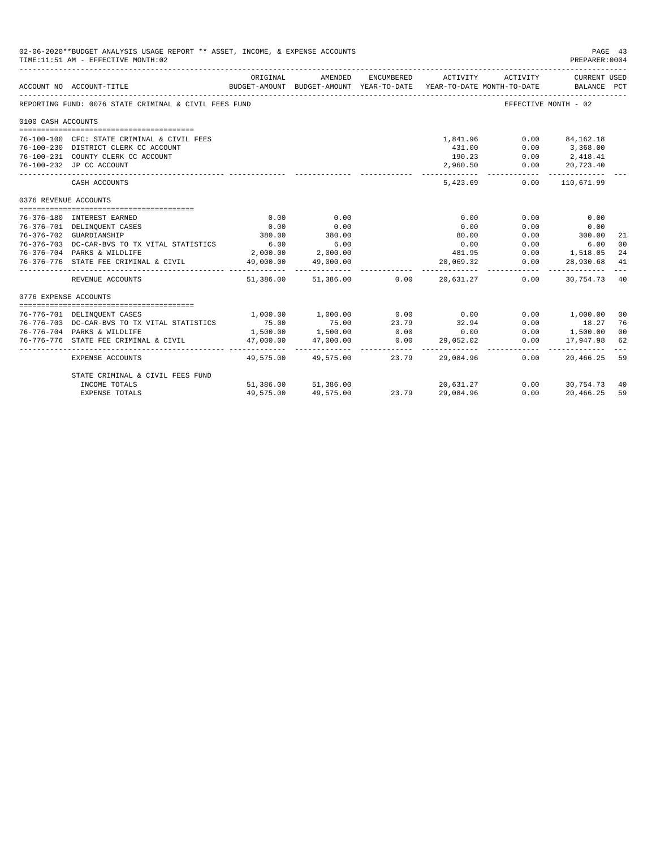|                       | 02-06-2020**BUDGET ANALYSIS USAGE REPORT ** ASSET, INCOME, & EXPENSE ACCOUNTS<br>TIME:11:51 AM - EFFECTIVE MONTH:02 |           |                            |            |                                                                                             |                      | PAGE 43<br>PREPARER: 0004                                                                                             |                |
|-----------------------|---------------------------------------------------------------------------------------------------------------------|-----------|----------------------------|------------|---------------------------------------------------------------------------------------------|----------------------|-----------------------------------------------------------------------------------------------------------------------|----------------|
|                       | ACCOUNT NO ACCOUNT-TITLE                                                                                            | ORIGINAL  | AMENDED                    | ENCUMBERED | ACTIVITY<br>BUDGET-AMOUNT BUDGET-AMOUNT YEAR-TO-DATE YEAR-TO-DATE MONTH-TO-DATE BALANCE PCT | ACTIVITY             | CURRENT USED                                                                                                          |                |
|                       | REPORTING FUND: 0076 STATE CRIMINAL & CIVIL FEES FUND                                                               |           |                            |            |                                                                                             |                      | EFFECTIVE MONTH - 02                                                                                                  |                |
| 0100 CASH ACCOUNTS    |                                                                                                                     |           |                            |            |                                                                                             |                      |                                                                                                                       |                |
|                       |                                                                                                                     |           |                            |            |                                                                                             |                      |                                                                                                                       |                |
|                       | 76-100-100 CFC: STATE CRIMINAL & CIVIL FEES                                                                         |           |                            |            | 1,841.96                                                                                    |                      | $0.00$ $84,162.18$                                                                                                    |                |
|                       | 76-100-230 DISTRICT CLERK CC ACCOUNT                                                                                |           |                            |            | 431.00                                                                                      |                      | $0.00$ 3,368.00                                                                                                       |                |
|                       | 76-100-231 COUNTY CLERK CC ACCOUNT                                                                                  |           |                            |            | 190.23                                                                                      |                      | $0.00$ 2,418.41                                                                                                       |                |
|                       | 76-100-232 JP CC ACCOUNT                                                                                            |           |                            |            | 2,960.50<br>------------ <u>-</u>                                                           | -----------          | $0.00$ 20,723.40<br>.                                                                                                 |                |
|                       | CASH ACCOUNTS                                                                                                       |           |                            |            | 5,423.69                                                                                    |                      | $0.00$ 110,671.99                                                                                                     |                |
| 0376 REVENUE ACCOUNTS |                                                                                                                     |           |                            |            |                                                                                             |                      |                                                                                                                       |                |
|                       | 76-376-180 INTEREST EARNED                                                                                          | 0.00      | 0.00                       |            | 0.00                                                                                        | 0.00                 | 0.00                                                                                                                  |                |
|                       | 76-376-701 DELINQUENT CASES                                                                                         | 0.00      | 0.00                       |            | 0.00                                                                                        | 0.00                 | 0.00                                                                                                                  |                |
|                       | 76-376-702 GUARDIANSHIP                                                                                             | 380.00    | 380.00                     |            | 80.00                                                                                       | 0.00                 | 300.00                                                                                                                | 21             |
|                       | 76-376-703 DC-CAR-BVS TO TX VITAL STATISTICS                                                                        | 6.00      | 6.00                       |            | 0.00                                                                                        |                      | 0.00<br>6.00                                                                                                          | 0 <sup>0</sup> |
|                       | 76-376-704 PARKS & WILDLIFE                                                                                         |           | 2,000.00 2,000.00          |            | 481.95                                                                                      |                      | $0.00$ 1,518.05                                                                                                       | 24             |
|                       | 76-376-776 STATE FEE CRIMINAL & CIVIL                                                                               | 49,000.00 | 49,000.00<br>------------- |            | 20,069.32                                                                                   | 0.00<br>____________ | 28,930.68<br>-------------                                                                                            | 41             |
|                       | REVENUE ACCOUNTS                                                                                                    |           | 51,386.00 51,386.00 0.00   |            | 20.631.27                                                                                   | 0.00                 | 30.754.73 40                                                                                                          |                |
| 0776 EXPENSE ACCOUNTS |                                                                                                                     |           |                            |            |                                                                                             |                      |                                                                                                                       |                |
|                       | 76-776-701 DELINQUENT CASES                                                                                         | 1,000.00  | 1,000.00                   | 0.00       | 0.00                                                                                        |                      | 0.00 1,000.00                                                                                                         | 0 <sup>0</sup> |
|                       | 76-776-703 DC-CAR-BVS TO TX VITAL STATISTICS                                                                        | 75.00     |                            | 23.79      | 32.94                                                                                       |                      |                                                                                                                       | 76             |
|                       | 76-776-704 PARKS & WILDLIFE                                                                                         | 1,500.00  | 75.00<br>1,500.00          | 0.00       | 0.00                                                                                        |                      | $\begin{array}{ccc} 0\, . \, 00 & \qquad & 18\, . \, 27 \\ 0\, . \, 00 & \qquad & 1\, , \, 500\, . \, 00 \end{array}$ | 0 <sup>0</sup> |
|                       | 76-776-776 STATE FEE CRIMINAL & CIVIL                                                                               | 47,000.00 | 47,000.00                  | 0.00       | 29,052.02                                                                                   | 0.00                 | 17,947.98                                                                                                             | 62             |
|                       | EXPENSE ACCOUNTS                                                                                                    |           | 49,575.00 49,575.00        | 23.79      | 29,084.96                                                                                   | 0.00                 | 20,466.25 59                                                                                                          |                |
|                       | STATE CRIMINAL & CIVIL FEES FUND                                                                                    |           |                            |            |                                                                                             |                      |                                                                                                                       |                |
|                       | INCOME TOTALS                                                                                                       |           | 51,386.00 51,386.00        |            | 20,631.27                                                                                   |                      | $0.00$ $30.754.73$ 40                                                                                                 |                |
|                       | <b>EXPENSE TOTALS</b>                                                                                               | 49,575.00 | 49,575.00                  | 23.79      | 29,084.96                                                                                   | 0.00                 | 20,466.25                                                                                                             | 59             |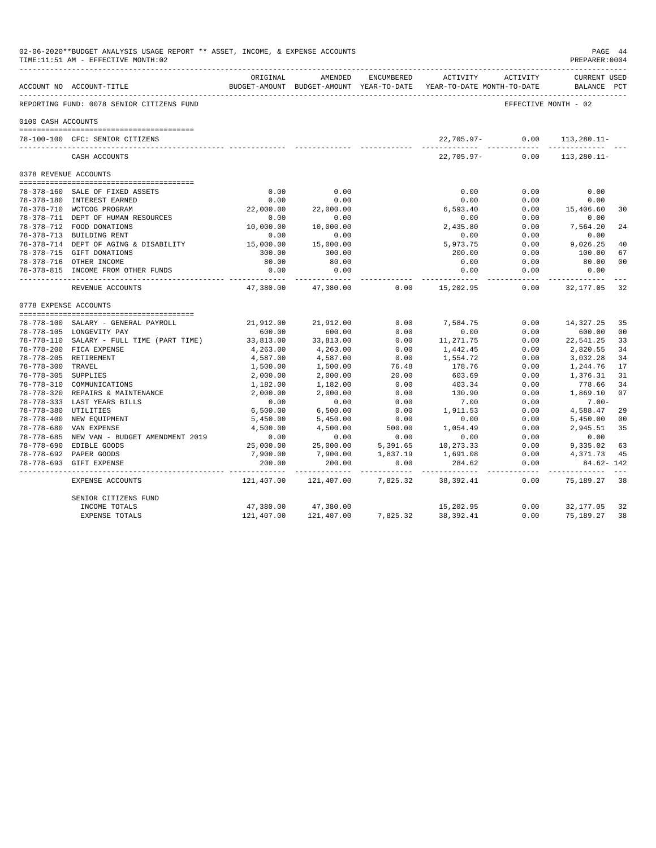|                       | 02-06-2020**BUDGET ANALYSIS USAGE REPORT ** ASSET, INCOME, & EXPENSE ACCOUNTS<br>TIME:11:51 AM - EFFECTIVE MONTH:02 |                      |                              |               |                                                                     |                      | PAGE 44<br>PREPARER: 0004          |                |
|-----------------------|---------------------------------------------------------------------------------------------------------------------|----------------------|------------------------------|---------------|---------------------------------------------------------------------|----------------------|------------------------------------|----------------|
|                       | ACCOUNT NO ACCOUNT-TITLE<br>______________________________________                                                  | ORIGINAL             | AMENDED                      | ENCUMBERED    | BUDGET-AMOUNT BUDGET-AMOUNT YEAR-TO-DATE YEAR-TO-DATE MONTH-TO-DATE | ACTIVITY ACTIVITY    | <b>CURRENT USED</b><br>BALANCE PCT |                |
|                       | REPORTING FUND: 0078 SENIOR CITIZENS FUND                                                                           |                      |                              |               |                                                                     | EFFECTIVE MONTH - 02 |                                    |                |
| 0100 CASH ACCOUNTS    |                                                                                                                     |                      |                              |               |                                                                     |                      |                                    |                |
|                       | 78-100-100 CFC: SENIOR CITIZENS                                                                                     |                      |                              |               |                                                                     | 22,705.97- 0.00      | $113, 280.11 -$                    |                |
|                       | CASH ACCOUNTS                                                                                                       |                      |                              |               | 22,705.97-                                                          | 0.00                 | $113.280.11 -$                     |                |
| 0378 REVENUE ACCOUNTS |                                                                                                                     |                      |                              |               |                                                                     |                      |                                    |                |
|                       |                                                                                                                     |                      |                              |               |                                                                     |                      |                                    |                |
|                       | 78-378-160 SALE OF FIXED ASSETS                                                                                     | 0.00                 | 0.00                         |               | 0.00                                                                | 0.00                 | 0.00                               |                |
|                       | 78-378-180 INTEREST EARNED                                                                                          | 0.00                 | 0.00                         |               | 0.00                                                                | 0.00                 | 0.00                               |                |
|                       | 78-378-710 WCTCOG PROGRAM                                                                                           | 22,000.00            | 22,000.00                    |               | 6,593.40                                                            | 0.00                 | 15,406.60                          | 30             |
|                       | 78-378-711 DEPT OF HUMAN RESOURCES                                                                                  | 0.00                 | 0.00                         |               | 0.00                                                                | 0.00                 | 0.00                               |                |
|                       | 78-378-712 FOOD DONATIONS                                                                                           | 10,000.00            | 10,000.00                    |               | 2,435.80                                                            | 0.00                 | 7,564.20                           | 24             |
|                       | 78-378-713 BUILDING RENT                                                                                            | 0.00                 | 0.00                         |               | 0.00                                                                | 0.00                 | 0.00                               |                |
|                       | 78-378-714 DEPT OF AGING & DISABILITY                                                                               | 15,000.00            | 15,000.00                    |               | 5,973.75                                                            | 0.00                 | 9,026.25                           | 40             |
|                       | 78-378-715 GIFT DONATIONS                                                                                           | 300.00               | 300.00                       |               | 200.00                                                              | 0.00                 | 100.00                             | 67             |
|                       | 78-378-716 OTHER INCOME                                                                                             | 80.00                | 80.00                        |               | 0.00                                                                | 0.00                 | 80.00                              | 0 <sub>0</sub> |
|                       | 78-378-815 INCOME FROM OTHER FUNDS                                                                                  | 0.00<br>-----------  | 0.00<br>-----------          |               | 0.00                                                                | 0.00<br>--------     | 0.00<br>----------                 |                |
|                       | REVENUE ACCOUNTS                                                                                                    | 47,380.00            | 47,380.00                    | 0.00          | 15,202.95                                                           | 0.00                 | 32,177.05                          | 32             |
| 0778 EXPENSE ACCOUNTS |                                                                                                                     |                      |                              |               |                                                                     |                      |                                    |                |
|                       |                                                                                                                     |                      |                              |               |                                                                     |                      |                                    |                |
|                       | 78-778-100 SALARY - GENERAL PAYROLL                                                                                 | 21,912.00            | 21,912.00                    | 0.00          | 7,584.75                                                            | 0.00                 | 14,327.25                          | 35             |
|                       | 78-778-105 LONGEVITY PAY                                                                                            | 600.00               | 600.00                       | 0.00          | 0.00                                                                | 0.00                 | 600.00                             | 00             |
|                       | 78-778-110 SALARY - FULL TIME (PART TIME)                                                                           | 33,813.00            | 33,813.00                    | 0.00          | 11,271.75                                                           | 0.00                 | 22,541.25                          | 33             |
|                       | 78-778-200 FICA EXPENSE                                                                                             | 4,263.00             | 4,263.00                     | 0.00          | 1,442.45                                                            | 0.00                 | 2,820.55                           | 34             |
| 78-778-300 TRAVEL     | 78-778-205 RETIREMENT                                                                                               | 4,587.00             | 4,587.00                     | 0.00<br>76.48 | 1,554.72<br>178.76                                                  | 0.00<br>0.00         | 3,032.28                           | 34<br>17       |
| 78-778-305 SUPPLIES   |                                                                                                                     | 1,500.00             | 1,500.00<br>2,000.00         | 20.00         | 603.69                                                              | 0.00                 | 1,244.76<br>1,376.31               | 31             |
|                       | 78-778-310 COMMUNICATIONS                                                                                           | 2,000.00<br>1,182.00 |                              | 0.00          | 403.34                                                              | 0.00                 | 778.66                             | 34             |
|                       | 78-778-320 REPAIRS & MAINTENANCE                                                                                    | 2,000.00             | 1,182.00<br>2,000.00         | 0.00          | 130.90                                                              | 0.00                 | 1,869.10                           | 07             |
|                       | 78-778-333 LAST YEARS BILLS                                                                                         | 0.00                 | 0.00                         | 0.00          | 7.00                                                                | 0.00                 | $7.00 -$                           |                |
| 78-778-380 UTILITIES  |                                                                                                                     | 6,500.00             | 6,500.00                     | 0.00          | 1,911.53                                                            | 0.00                 | 4,588.47                           | 29             |
|                       | 78-778-400 NEW EQUIPMENT                                                                                            | 5,450.00             | 5,450.00                     | 0.00          | 0.00                                                                | 0.00                 | 5,450.00                           | 00             |
|                       | 78-778-680 VAN EXPENSE                                                                                              | 4,500.00             | 4,500.00                     | 500.00        | 1,054.49                                                            | 0.00                 | 2,945.51                           | 35             |
|                       | 78-778-685 NEW VAN - BUDGET AMENDMENT 2019                                                                          | 0.00                 | 0.00                         | 0.00          | 0.00                                                                | 0.00                 | 0.00                               |                |
|                       | 78-778-690 EDIBLE GOODS                                                                                             | 25,000.00            | 25,000.00                    | 5,391.65      | 10,273.33                                                           | 0.00                 | 9,335.02                           | 63             |
|                       | 78-778-692 PAPER GOODS                                                                                              | 7,900.00             | 7,900.00                     | 1,837.19      | 1,691.08                                                            | 0.00                 | 4,371.73                           | 45             |
|                       | 78-778-693 GIFT EXPENSE                                                                                             | 200.00               | 200.00                       | 0.00          | 284.62                                                              | 0.00                 | 84.62- 142                         |                |
|                       | EXPENSE ACCOUNTS                                                                                                    | .<br>121,407.00      | ------------ -<br>121,407.00 | 7,825.32      | ___________________________<br>38,392.41                            | 0.00                 | 75, 189. 27 38                     |                |
|                       | SENIOR CITIZENS FUND                                                                                                |                      |                              |               |                                                                     |                      |                                    |                |
|                       | INCOME TOTALS                                                                                                       | 47,380.00            | 47,380.00                    |               | 15,202.95                                                           | 0.00                 | 32,177.05                          | 32             |
|                       | <b>EXPENSE TOTALS</b>                                                                                               | 121,407.00           | 121,407.00                   | 7,825.32      | 38, 392.41                                                          | 0.00                 | 75,189.27                          | 38             |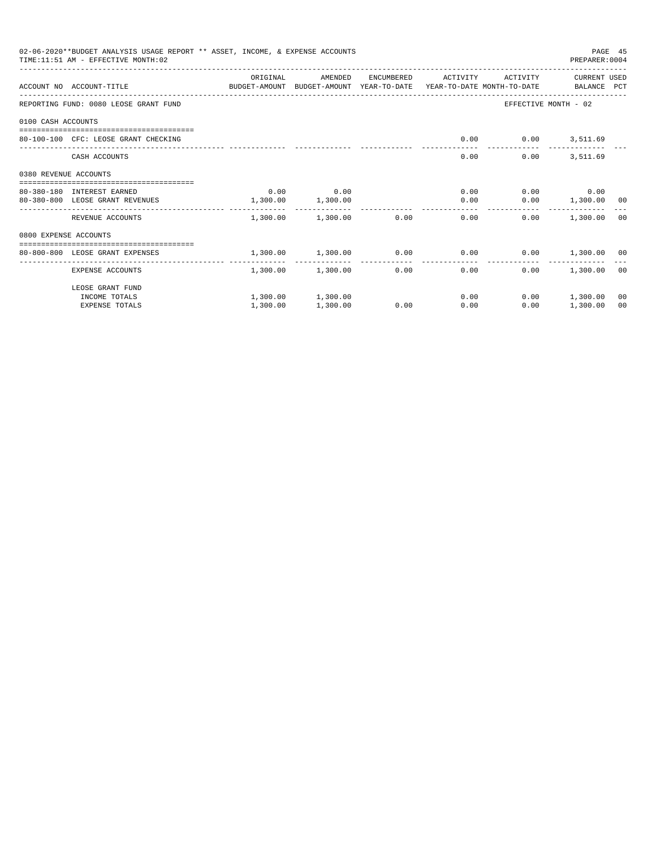|                       | 02-06-2020**BUDGET ANALYSIS USAGE REPORT ** ASSET, INCOME, & EXPENSE ACCOUNTS<br>TIME: 11:51 AM - EFFECTIVE MONTH: 02 |          |                            |              |                               |              | PREPARER: 0004       | PAGE 45 |
|-----------------------|-----------------------------------------------------------------------------------------------------------------------|----------|----------------------------|--------------|-------------------------------|--------------|----------------------|---------|
|                       |                                                                                                                       | ORIGINAL | AMENDED                    | ENCUMBERED   | ACTIVITY                      | ACTIVITY     | CURRENT USED         |         |
|                       | ACCOUNT NO ACCOUNT-TITLE<br>BUDGET-AMOUNT BUDGET-AMOUNT YEAR-TO-DATE YEAR-TO-DATE MONTH-TO-DATE     BALANCE PCT       |          |                            |              |                               |              |                      |         |
|                       | REPORTING FUND: 0080 LEOSE GRANT FUND                                                                                 |          |                            |              |                               |              | EFFECTIVE MONTH - 02 |         |
| 0100 CASH ACCOUNTS    |                                                                                                                       |          |                            |              |                               |              |                      |         |
|                       | 80-100-100 CFC: LEOSE GRANT CHECKING                                                                                  |          |                            |              | 0.00                          |              | $0.00$ 3,511.69      |         |
|                       | CASH ACCOUNTS                                                                                                         |          |                            |              | 0.00                          | 0.00         | 3,511.69             |         |
| 0380 REVENUE ACCOUNTS |                                                                                                                       |          |                            |              |                               |              |                      |         |
|                       | 80-380-180 INTEREST EARNED                                                                                            | 0.00     | 0.00                       |              |                               | 0.00         | $0.00$ 0.00          |         |
|                       | 80-380-800 LEOSE GRANT REVENUES                                                                                       | 1,300.00 | 1,300.00                   |              | 0.00                          |              | $0.00$ 1,300.00 00   |         |
|                       | REVENUE ACCOUNTS                                                                                                      |          | $1,300.00$ $1,300.00$ 0.00 |              |                               | 0.00<br>0.00 | 1,300.00 00          |         |
| 0800 EXPENSE ACCOUNTS |                                                                                                                       |          |                            |              |                               |              |                      |         |
|                       | ---------------------------------<br>80-800-800 LEOSE GRANT EXPENSES                                                  |          | 1,300.00 1,300.00 0.00     |              | $0.00$ $0.00$ $1,300.00$ $00$ |              |                      |         |
|                       | EXPENSE ACCOUNTS                                                                                                      | .        | 1,300.00 1,300.00          | ------------ | ---------------<br>0.00       | 0.00<br>0.00 | 1,300.00 00          |         |
|                       | LEOSE GRANT FUND                                                                                                      |          |                            |              |                               |              |                      |         |
|                       | INCOME TOTALS                                                                                                         |          | 1,300.00 1,300.00          |              | 0.00                          |              | $0.00$ 1,300.00      | 00      |
|                       | <b>EXPENSE TOTALS</b>                                                                                                 | 1,300.00 | 1,300.00                   | 0.00         | 0.00                          | 0.00         | 1,300.00             | 00      |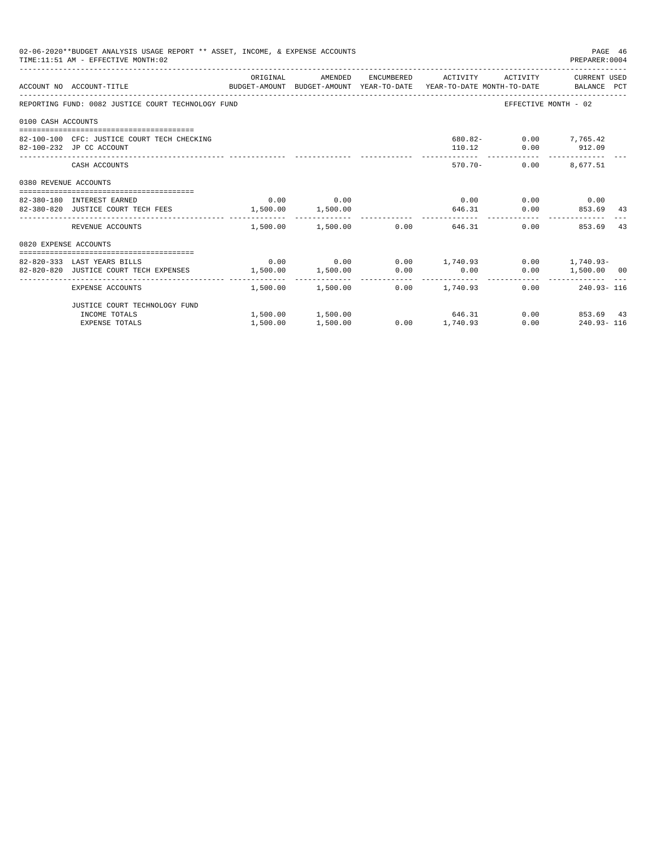|                       | 02-06-2020**BUDGET ANALYSIS USAGE REPORT ** ASSET, INCOME, & EXPENSE ACCOUNTS<br>TIME: 11:51 AM - EFFECTIVE MONTH: 02 |          |             |                                                          | PAGE 46<br>PREPARER: 0004                   |    |
|-----------------------|-----------------------------------------------------------------------------------------------------------------------|----------|-------------|----------------------------------------------------------|---------------------------------------------|----|
|                       | ACCOUNT NO ACCOUNT-TITLE CONTROL SUDGET-AMOUNT BUDGET-AMOUNT YEAR-TO-DATE YEAR-TO-DATE MONTH-TO-DATE BALANCE PCT      | ORIGINAL |             | AMENDED ENCUMBERED ACTIVITY ACTIVITY CURRENTUSED         |                                             |    |
|                       | REPORTING FUND: 0082 JUSTICE COURT TECHNOLOGY FUND                                                                    |          |             |                                                          | EFFECTIVE MONTH - 02                        |    |
| 0100 CASH ACCOUNTS    |                                                                                                                       |          |             |                                                          |                                             |    |
|                       | 82-100-100 CFC: JUSTICE COURT TECH CHECKING<br>82-100-232 JP CC ACCOUNT                                               |          |             |                                                          | 680.82- 0.00 7,765.42<br>110.12 0.00 912.09 |    |
|                       | CASH ACCOUNTS                                                                                                         |          |             |                                                          | 570.70- 0.00 8.677.51                       |    |
| 0380 REVENUE ACCOUNTS |                                                                                                                       |          |             |                                                          |                                             |    |
|                       | 82-380-180 INTEREST EARNED                                                                                            |          | $0.00$ 0.00 |                                                          | $0.00$ $0.00$ $0.00$ $0.00$                 |    |
|                       | 82-380-820 JUSTICE COURT TECH FEES 1,500.00 1,500.00                                                                  |          |             |                                                          | 646.31 0.00 853.69 43                       |    |
|                       | REVENUE ACCOUNTS                                                                                                      |          |             | $1.500.00$ $1.500.00$ $0.00$ $646.31$                    | 0.00<br>853.69                              | 43 |
| 0820 EXPENSE ACCOUNTS |                                                                                                                       |          |             |                                                          |                                             |    |
|                       |                                                                                                                       |          |             |                                                          |                                             |    |
|                       | 82-820-333 LAST YEARS BILLS                                                                                           |          |             | $0.00$ $0.00$ $0.00$ $1,740.93$ $0.00$ $1,740.93$ $0.00$ |                                             |    |
|                       | 82-820-820 JUSTICE COURT TECH EXPENSES $1,500.00$ $1,500.00$ $0.00$ $0.00$                                            |          |             |                                                          | $0.00$ 1,500.00 00                          |    |
|                       | EXPENSE ACCOUNTS                                                                                                      |          |             | $1,500.00$ $1,500.00$ $0.00$ $1,740.93$                  | $0.00$ 240.93-116                           |    |
|                       | JUSTICE COURT TECHNOLOGY FUND                                                                                         |          |             |                                                          |                                             |    |
|                       | INCOME TOTALS                                                                                                         |          |             | $1,500.00$ $1,500.00$ $646.31$                           | 0.00 853.69 43                              |    |
|                       | <b>EXPENSE TOTALS</b>                                                                                                 | 1,500.00 | 1,500.00    | $0.00$ 1,740.93                                          | $0.00$ 240.93-116                           |    |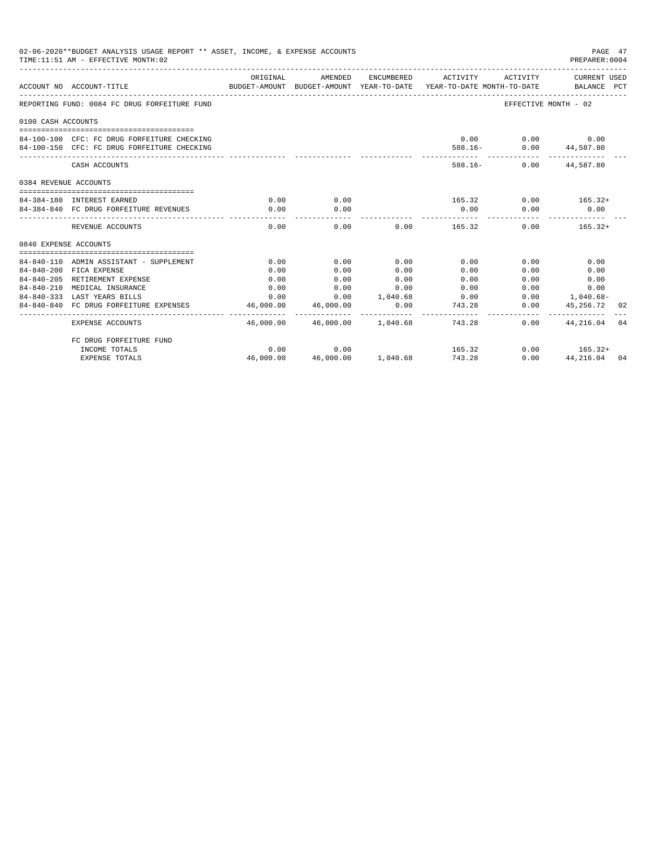|                       | 02-06-2020**BUDGET ANALYSIS USAGE REPORT ** ASSET, INCOME, & EXPENSE ACCOUNTS<br>TIME: 11:51 AM - EFFECTIVE MONTH: 02 |                          |                           |                     |                                        |                                                                                                                                                                                                                             | PAGE 47<br>PREPARER: 0004                            |  |
|-----------------------|-----------------------------------------------------------------------------------------------------------------------|--------------------------|---------------------------|---------------------|----------------------------------------|-----------------------------------------------------------------------------------------------------------------------------------------------------------------------------------------------------------------------------|------------------------------------------------------|--|
|                       | ACCOUNT NO ACCOUNT-TITLE                                                                                              | ORIGINAL                 | AMENDED                   |                     |                                        | ENCUMBERED ACTIVITY ACTIVITY CURRENT USED<br>BUDGET-AMOUNT BUDGET-AMOUNT YEAR-TO-DATE YEAR-TO-DATE MONTH-TO-DATE BALANCE PCT                                                                                                |                                                      |  |
|                       | REPORTING FUND: 0084 FC DRUG FORFEITURE FUND                                                                          |                          |                           |                     |                                        | EFFECTIVE MONTH - 02                                                                                                                                                                                                        |                                                      |  |
| 0100 CASH ACCOUNTS    |                                                                                                                       |                          |                           |                     |                                        |                                                                                                                                                                                                                             |                                                      |  |
|                       |                                                                                                                       |                          |                           |                     |                                        |                                                                                                                                                                                                                             |                                                      |  |
|                       | 84-100-100 CFC: FC DRUG FORFEITURE CHECKING                                                                           |                          |                           |                     |                                        | $0.00$ $0.00$ $0.00$                                                                                                                                                                                                        |                                                      |  |
|                       | 84-100-150 CFC: FC DRUG FORFEITURE CHECKING                                                                           |                          |                           |                     |                                        | 588.16- 0.00 44,587.80<br>------------ -------------                                                                                                                                                                        |                                                      |  |
|                       | CASH ACCOUNTS                                                                                                         |                          |                           |                     |                                        | 588.16- 0.00 44.587.80                                                                                                                                                                                                      |                                                      |  |
| 0384 REVENUE ACCOUNTS |                                                                                                                       |                          |                           |                     |                                        |                                                                                                                                                                                                                             |                                                      |  |
|                       |                                                                                                                       |                          |                           |                     |                                        |                                                                                                                                                                                                                             |                                                      |  |
|                       | 84-384-180 INTEREST EARNED                                                                                            | 0.00                     | 0.00                      |                     |                                        | $165.32$ 0.00 $165.32+$                                                                                                                                                                                                     |                                                      |  |
|                       | 84-384-840 FC DRUG FORFEITURE REVENUES                                                                                | 0.00                     | 0.00                      |                     | 0.00                                   | 0.00                                                                                                                                                                                                                        | 0.00                                                 |  |
|                       | REVENUE ACCOUNTS                                                                                                      | 0.00                     | 0.00                      |                     | $0.00$ 165.32                          |                                                                                                                                                                                                                             | $0.00$ 165.32+                                       |  |
| 0840 EXPENSE ACCOUNTS |                                                                                                                       |                          |                           |                     |                                        |                                                                                                                                                                                                                             |                                                      |  |
|                       |                                                                                                                       |                          |                           |                     |                                        |                                                                                                                                                                                                                             |                                                      |  |
|                       | 84-840-110 ADMIN ASSISTANT - SUPPLEMENT                                                                               | 0.00                     | 0.00                      | 0.00                | 0.00                                   | 0.00                                                                                                                                                                                                                        | 0.00                                                 |  |
|                       | 84-840-200 FICA EXPENSE                                                                                               | 0.00                     | 0.00                      | 0.00                | 0.00                                   | 0.00                                                                                                                                                                                                                        | 0.00                                                 |  |
|                       | 84-840-205 RETIREMENT EXPENSE                                                                                         | 0.00                     | 0.00                      | 0.00                | 0.00                                   | 0.00                                                                                                                                                                                                                        | 0.00                                                 |  |
|                       | 84-840-210 MEDICAL INSURANCE                                                                                          | 0.00                     | 0.00                      | 0.00                | 0.00                                   | $0.00$ and $0.00$ and $0.00$ and $0.00$ and $0.00$ and $0.00$ and $0.00$ and $0.00$ and $0.00$ and $0.00$ and $0.00$ and $0.00$ and $0.00$ and $0.00$ and $0.00$ and $0.00$ and $0.00$ and $0.00$ and $0.00$ and $0.00$ and | 0.00                                                 |  |
|                       | 84-840-333 LAST YEARS BILLS                                                                                           |                          |                           |                     | $0.00$ $0.00$ $1.040.68$ $0.00$        |                                                                                                                                                                                                                             | $0.00$ 1,040.68-                                     |  |
|                       | 84-840-840 FC DRUG FORFEITURE EXPENSES                                                                                | 46,000.00<br>----------- | 46,000.00<br>____________ | 0.00<br>___________ | 743.28<br>.                            |                                                                                                                                                                                                                             | $0.00$ 45,256.72 02<br>_____________________________ |  |
|                       | EXPENSE ACCOUNTS                                                                                                      |                          |                           |                     | 46,000.00  46,000.00  1,040.68  743.28 |                                                                                                                                                                                                                             | $0.00$ $44.216.04$ 04                                |  |
|                       | FC DRUG FORFEITURE FUND                                                                                               |                          |                           |                     |                                        |                                                                                                                                                                                                                             |                                                      |  |
|                       | INCOME TOTALS                                                                                                         | 0.00                     | 0.00                      |                     | 165.32                                 |                                                                                                                                                                                                                             | $0.00$ 165.32+                                       |  |
|                       | <b>EXPENSE TOTALS</b>                                                                                                 | 46,000.00                |                           | 46,000.00 1,040.68  | 743.28                                 | 0.00                                                                                                                                                                                                                        | 44, 216, 04 04                                       |  |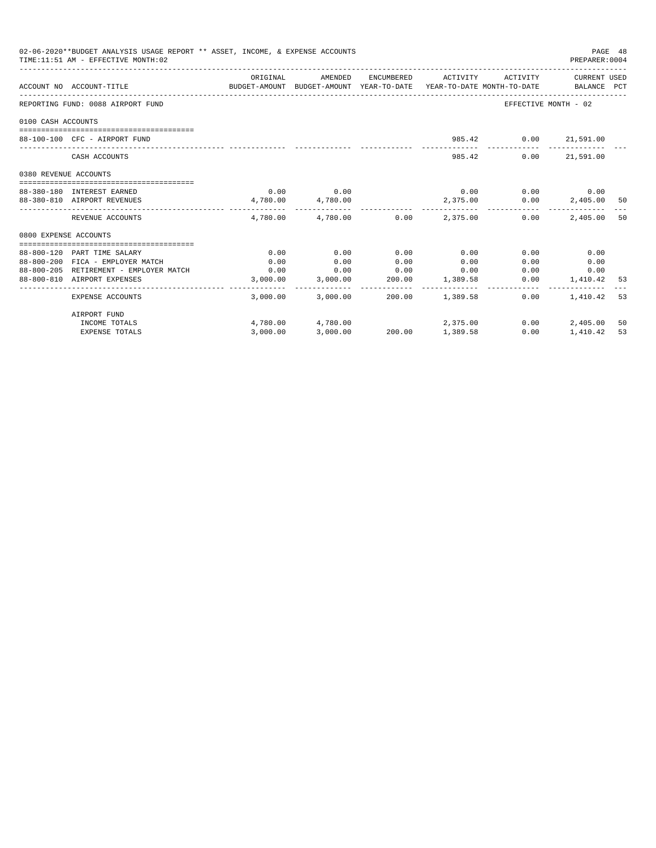| 02-06-2020**BUDGET ANALYSIS USAGE REPORT ** ASSET, INCOME, & EXPENSE ACCOUNTS<br>TIME:11:51 AM - EFFECTIVE MONTH:02 |                                        |                                                                                             |                                         |                 |                 |                              |                      | PAGE 48<br>PREPARER: 0004 |  |
|---------------------------------------------------------------------------------------------------------------------|----------------------------------------|---------------------------------------------------------------------------------------------|-----------------------------------------|-----------------|-----------------|------------------------------|----------------------|---------------------------|--|
|                                                                                                                     | ACCOUNT NO ACCOUNT-TITLE               | ORIGINAL<br>BUDGET-AMOUNT BUDGET-AMOUNT YEAR-TO-DATE YEAR-TO-DATE MONTH-TO-DATE BALANCE PCT | AMENDED                                 |                 |                 | ENCUMBERED ACTIVITY ACTIVITY | CURRENT USED         |                           |  |
|                                                                                                                     | REPORTING FUND: 0088 AIRPORT FUND      |                                                                                             |                                         |                 |                 |                              | EFFECTIVE MONTH - 02 |                           |  |
| 0100 CASH ACCOUNTS                                                                                                  |                                        |                                                                                             |                                         |                 |                 |                              |                      |                           |  |
|                                                                                                                     | 88-100-100 CFC - AIRPORT FUND          |                                                                                             |                                         |                 |                 | 985.42 0.00 21,591.00        |                      |                           |  |
|                                                                                                                     | CASH ACCOUNTS                          |                                                                                             |                                         |                 |                 | 0.00<br>985.42               | 21,591.00            |                           |  |
| 0380 REVENUE ACCOUNTS                                                                                               |                                        |                                                                                             |                                         |                 |                 |                              |                      |                           |  |
|                                                                                                                     | 88-380-180 INTEREST EARNED             |                                                                                             | $0.00$ 0.00                             |                 |                 | $0.00$ $0.00$ $0.00$ $0.00$  |                      |                           |  |
|                                                                                                                     | 88-380-810 AIRPORT REVENUES            | 4,780.00 4,780.00                                                                           |                                         |                 |                 | 2,375.00 0.00                | 2,405.00             | 50                        |  |
|                                                                                                                     | REVENUE ACCOUNTS                       |                                                                                             | $4.780.00$ $4.780.00$ $0.00$ $2.375.00$ |                 |                 | 0.00                         | 2,405.00             | 50                        |  |
| 0800 EXPENSE ACCOUNTS                                                                                               |                                        |                                                                                             |                                         |                 |                 |                              |                      |                           |  |
|                                                                                                                     |                                        |                                                                                             |                                         |                 |                 |                              |                      |                           |  |
|                                                                                                                     | 88-800-120 PART TIME SALARY            | 0.00                                                                                        | 0.00                                    | 0.00            | 0.00            | 0.00                         | 0.00                 |                           |  |
|                                                                                                                     | 88-800-200 FICA - EMPLOYER MATCH       | 0.00                                                                                        | 0.00                                    | 0.00            | 0.00            | 0.00                         | 0.00                 |                           |  |
|                                                                                                                     | 88-800-205 RETIREMENT - EMPLOYER MATCH | 0.00                                                                                        | 0.00<br>3,000.00 3,000.00               | $0.00$ 0.00     | 200.00 1,389.58 |                              | 0.00<br>0.00         |                           |  |
|                                                                                                                     | 88-800-810 AIRPORT EXPENSES            |                                                                                             |                                         |                 |                 | 0.00                         | 1,410.42 53          |                           |  |
|                                                                                                                     | EXPENSE ACCOUNTS                       |                                                                                             | 3,000.00 3,000.00                       |                 | 200.00 1,389.58 | 0.00                         | 1,410.42 53          |                           |  |
|                                                                                                                     | AIRPORT FUND                           |                                                                                             |                                         |                 |                 |                              |                      |                           |  |
|                                                                                                                     | INCOME TOTALS                          |                                                                                             | 4,780.00 4,780.00                       |                 | 2,375.00        | 0.00                         | 2,405.00             | 50                        |  |
|                                                                                                                     | <b>EXPENSE TOTALS</b>                  | 3,000.00                                                                                    | 3,000.00                                | 200.00 1,389.58 |                 | 0.00                         | 1,410.42             | 53                        |  |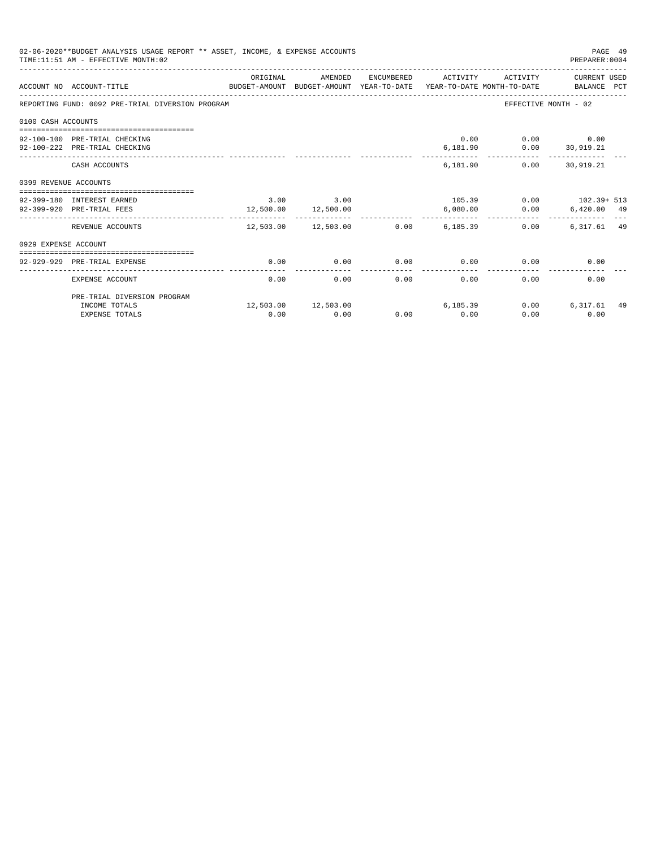| 02-06-2020**BUDGET ANALYSIS USAGE REPORT ** ASSET, INCOME, & EXPENSE ACCOUNTS<br>PAGE 49<br>TIME: 11:51 AM - EFFECTIVE MONTH: 02<br>PREPARER: 0004 |                                                                                                             |               |                                                                   |      |                     |                                                     |                                                    |  |
|----------------------------------------------------------------------------------------------------------------------------------------------------|-------------------------------------------------------------------------------------------------------------|---------------|-------------------------------------------------------------------|------|---------------------|-----------------------------------------------------|----------------------------------------------------|--|
|                                                                                                                                                    | ACCOUNT NO ACCOUNT-TITLE<br>BUDGET-AMOUNT BUDGET-AMOUNT YEAR-TO-DATE YEAR-TO-DATE MONTH-TO-DATE BALANCE PCT | ORIGINAL      | AMENDED                                                           |      | ENCUMBERED ACTIVITY |                                                     | ACTIVITY CURRENT USED                              |  |
|                                                                                                                                                    | REPORTING FUND: 0092 PRE-TRIAL DIVERSION PROGRAM                                                            |               |                                                                   |      |                     |                                                     | EFFECTIVE MONTH - 02                               |  |
| 0100 CASH ACCOUNTS                                                                                                                                 |                                                                                                             |               |                                                                   |      |                     |                                                     |                                                    |  |
|                                                                                                                                                    | 92-100-100 PRE-TRIAL CHECKING<br>92-100-222 PRE-TRIAL CHECKING                                              |               |                                                                   |      |                     | $0.00$ $0.00$ $0.00$<br>6,181.90   0.00   30,919.21 |                                                    |  |
|                                                                                                                                                    | CASH ACCOUNTS                                                                                               |               |                                                                   |      |                     | 6,181.90                                            | $0.00$ 30,919.21                                   |  |
| 0399 REVENUE ACCOUNTS                                                                                                                              |                                                                                                             |               |                                                                   |      |                     |                                                     |                                                    |  |
|                                                                                                                                                    | 92-399-180 INTEREST EARNED<br>92-399-920 PRE-TRIAL FEES                                                     | $3.00$ $3.00$ | 12,500.00 12,500.00                                               |      | 6.080.00            |                                                     | $105.39$ 0.00 $102.39 + 513$<br>$0.00$ 6,420.00 49 |  |
|                                                                                                                                                    | REVENUE ACCOUNTS                                                                                            | --------      | -------------<br>$12,503.00$ $12,503.00$ $0.00$ $6,185.39$ $0.00$ |      | . <b>.</b> .        |                                                     | 6,317.61 49                                        |  |
| 0929 EXPENSE ACCOUNT                                                                                                                               |                                                                                                             |               |                                                                   |      |                     |                                                     |                                                    |  |
|                                                                                                                                                    | 92-929-929 PRE-TRIAL EXPENSE                                                                                | 0.00          | 0.00                                                              | 0.00 |                     | $0.00$ 0.00                                         | 0.00                                               |  |
|                                                                                                                                                    | EXPENSE ACCOUNT                                                                                             | 0.00          | 0.00                                                              | 0.00 | 0.00                | 0.00                                                | 0.00                                               |  |
|                                                                                                                                                    | PRE-TRIAL DIVERSION PROGRAM                                                                                 |               |                                                                   |      |                     |                                                     |                                                    |  |
|                                                                                                                                                    | INCOME TOTALS<br><b>EXPENSE TOTALS</b>                                                                      | 0.00          | $12,503.00$ $12,503.00$ 6,185.39<br>0.00                          | 0.00 | 0.00                | 0.00<br>0.00                                        | 6,317.61 49<br>0.00                                |  |